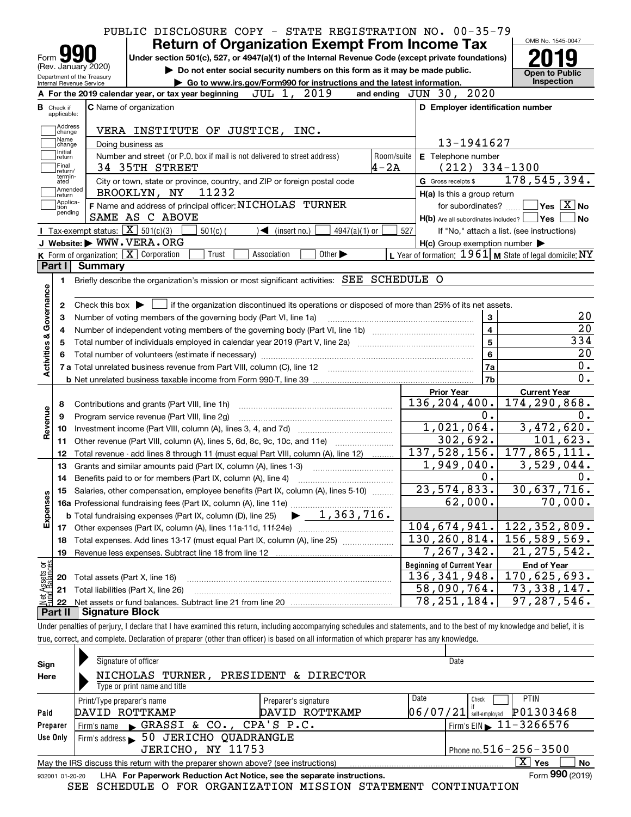| <b>Return of Organization Exempt From Income Tax</b><br>Under section 501(c), 527, or 4947(a)(1) of the Internal Revenue Code (except private foundations)<br>Form $\Box$<br>(Rev. January 2020)<br>Do not enter social security numbers on this form as it may be made public.<br>Department of the Treasury<br>Go to www.irs.gov/Form990 for instructions and the latest information.<br>Internal Revenue Service<br>JUL 1,<br>2019<br>A For the 2019 calendar year, or tax year beginning<br>C Name of organization<br><b>B</b> Check if<br>applicable:<br>Address<br>VERA INSTITUTE OF JUSTICE, INC.<br>change | and ending JUN 30, 2020<br>D Employer identification number                                                      | <b>Open to Public</b><br>Inspection        |
|--------------------------------------------------------------------------------------------------------------------------------------------------------------------------------------------------------------------------------------------------------------------------------------------------------------------------------------------------------------------------------------------------------------------------------------------------------------------------------------------------------------------------------------------------------------------------------------------------------------------|------------------------------------------------------------------------------------------------------------------|--------------------------------------------|
|                                                                                                                                                                                                                                                                                                                                                                                                                                                                                                                                                                                                                    |                                                                                                                  |                                            |
|                                                                                                                                                                                                                                                                                                                                                                                                                                                                                                                                                                                                                    |                                                                                                                  |                                            |
|                                                                                                                                                                                                                                                                                                                                                                                                                                                                                                                                                                                                                    |                                                                                                                  |                                            |
|                                                                                                                                                                                                                                                                                                                                                                                                                                                                                                                                                                                                                    |                                                                                                                  |                                            |
|                                                                                                                                                                                                                                                                                                                                                                                                                                                                                                                                                                                                                    |                                                                                                                  |                                            |
|                                                                                                                                                                                                                                                                                                                                                                                                                                                                                                                                                                                                                    |                                                                                                                  |                                            |
| Name                                                                                                                                                                                                                                                                                                                                                                                                                                                                                                                                                                                                               |                                                                                                                  |                                            |
| Doing business as<br>change<br>Initial                                                                                                                                                                                                                                                                                                                                                                                                                                                                                                                                                                             | 13-1941627                                                                                                       |                                            |
| Number and street (or P.O. box if mail is not delivered to street address)<br>return<br>Final                                                                                                                                                                                                                                                                                                                                                                                                                                                                                                                      | E Telephone number<br>Room/suite                                                                                 |                                            |
| $4 - 2A$<br>34 35TH STREET<br>return/<br>termin-                                                                                                                                                                                                                                                                                                                                                                                                                                                                                                                                                                   | $(212)$ 334-1300                                                                                                 |                                            |
| City or town, state or province, country, and ZIP or foreign postal code<br>ated<br>Amended                                                                                                                                                                                                                                                                                                                                                                                                                                                                                                                        | G Gross receipts \$                                                                                              | 178,545,394.                               |
| 11232<br>BROOKLYN, NY<br> return<br>Applica-                                                                                                                                                                                                                                                                                                                                                                                                                                                                                                                                                                       | H(a) Is this a group return                                                                                      |                                            |
| F Name and address of principal officer: NICHOLAS TURNER<br>tion<br>pending<br>SAME AS C ABOVE                                                                                                                                                                                                                                                                                                                                                                                                                                                                                                                     | for subordinates?                                                                                                | $\sqrt{}$ Yes $\sqrt{}$ X $\sqrt{}$ No     |
| Tax-exempt status: $\boxed{\mathbf{X}}$ 501(c)(3)                                                                                                                                                                                                                                                                                                                                                                                                                                                                                                                                                                  | $H(b)$ Are all subordinates included? $\Box$ Yes                                                                 |                                            |
| $501(c)$ (<br>$\triangleleft$ (insert no.)<br>$4947(a)(1)$ or<br>J Website: WWW.VERA.ORG                                                                                                                                                                                                                                                                                                                                                                                                                                                                                                                           | 527                                                                                                              | If "No," attach a list. (see instructions) |
| K Form of organization: X Corporation<br>Trust<br>Association<br>Other $\blacktriangleright$                                                                                                                                                                                                                                                                                                                                                                                                                                                                                                                       | $H(c)$ Group exemption number $\blacktriangleright$<br>L Year of formation: $1961$ M State of legal domicile: NY |                                            |
| Part I<br><b>Summary</b>                                                                                                                                                                                                                                                                                                                                                                                                                                                                                                                                                                                           |                                                                                                                  |                                            |
|                                                                                                                                                                                                                                                                                                                                                                                                                                                                                                                                                                                                                    |                                                                                                                  |                                            |
| Briefly describe the organization's mission or most significant activities: SEE SCHEDULE O<br>1.                                                                                                                                                                                                                                                                                                                                                                                                                                                                                                                   |                                                                                                                  |                                            |
|                                                                                                                                                                                                                                                                                                                                                                                                                                                                                                                                                                                                                    |                                                                                                                  |                                            |
| Check this box $\blacktriangleright$ $\Box$ if the organization discontinued its operations or disposed of more than 25% of its net assets.<br>2                                                                                                                                                                                                                                                                                                                                                                                                                                                                   |                                                                                                                  |                                            |
| Number of voting members of the governing body (Part VI, line 1a)<br>з                                                                                                                                                                                                                                                                                                                                                                                                                                                                                                                                             | 3                                                                                                                |                                            |
| 4                                                                                                                                                                                                                                                                                                                                                                                                                                                                                                                                                                                                                  | $\overline{\mathbf{4}}$                                                                                          |                                            |
| Total number of individuals employed in calendar year 2019 (Part V, line 2a) manufacture of individuals employed in calendar year 2019 (Part V, line 2a)<br>5                                                                                                                                                                                                                                                                                                                                                                                                                                                      | $\overline{5}$                                                                                                   | 334                                        |
|                                                                                                                                                                                                                                                                                                                                                                                                                                                                                                                                                                                                                    | $6\phantom{a}$                                                                                                   |                                            |
| Activities & Governance                                                                                                                                                                                                                                                                                                                                                                                                                                                                                                                                                                                            | 7a                                                                                                               |                                            |
|                                                                                                                                                                                                                                                                                                                                                                                                                                                                                                                                                                                                                    | 7b                                                                                                               |                                            |
|                                                                                                                                                                                                                                                                                                                                                                                                                                                                                                                                                                                                                    | <b>Prior Year</b>                                                                                                | <b>Current Year</b>                        |
| Contributions and grants (Part VIII, line 1h)<br>8                                                                                                                                                                                                                                                                                                                                                                                                                                                                                                                                                                 | 136, 204, 400.                                                                                                   | 174, 290, 868.                             |
| Program service revenue (Part VIII, line 2g)<br>9                                                                                                                                                                                                                                                                                                                                                                                                                                                                                                                                                                  | 0.                                                                                                               |                                            |
| Revenue<br>10                                                                                                                                                                                                                                                                                                                                                                                                                                                                                                                                                                                                      | 1,021,064.                                                                                                       | 3,472,620.                                 |
| Other revenue (Part VIII, column (A), lines 5, 6d, 8c, 9c, 10c, and 11e)<br>11                                                                                                                                                                                                                                                                                                                                                                                                                                                                                                                                     | 302,692.                                                                                                         | 101,623.                                   |
| 12<br>Total revenue - add lines 8 through 11 (must equal Part VIII, column (A), line 12)                                                                                                                                                                                                                                                                                                                                                                                                                                                                                                                           | 137,528,156.                                                                                                     | 177,865,111.                               |
| 13<br>Grants and similar amounts paid (Part IX, column (A), lines 1-3)                                                                                                                                                                                                                                                                                                                                                                                                                                                                                                                                             | 1,949,040.                                                                                                       | $\overline{3,529,044}$ .                   |
| Benefits paid to or for members (Part IX, column (A), line 4)<br>14                                                                                                                                                                                                                                                                                                                                                                                                                                                                                                                                                | 0.                                                                                                               |                                            |
| Salaries, other compensation, employee benefits (Part IX, column (A), lines 5-10)<br>15                                                                                                                                                                                                                                                                                                                                                                                                                                                                                                                            | 23, 574, 833.                                                                                                    | 30,637,716.                                |
| Expenses<br>16a Professional fundraising fees (Part IX, column (A), line 11e)                                                                                                                                                                                                                                                                                                                                                                                                                                                                                                                                      | 62,000.                                                                                                          | 70,000.                                    |
| $\blacktriangleright$ 1,363,716.<br><b>b</b> Total fundraising expenses (Part IX, column (D), line 25)                                                                                                                                                                                                                                                                                                                                                                                                                                                                                                             |                                                                                                                  |                                            |
| Other expenses (Part IX, column (A), lines 11a-11d, 11f-24e)<br>17                                                                                                                                                                                                                                                                                                                                                                                                                                                                                                                                                 | 104,674,941.                                                                                                     | 122, 352, 809.                             |
| Total expenses. Add lines 13-17 (must equal Part IX, column (A), line 25) [11, 11, 1201, 1301, 1301, 1301, 130<br>18                                                                                                                                                                                                                                                                                                                                                                                                                                                                                               | 130,260,814.                                                                                                     | 156,589,569.                               |
| Revenue less expenses. Subtract line 18 from line 12<br>19                                                                                                                                                                                                                                                                                                                                                                                                                                                                                                                                                         | $\overline{7}$ , 267, 342.                                                                                       | 21, 275, 542.                              |
| Net Assets or<br>Fund Balances                                                                                                                                                                                                                                                                                                                                                                                                                                                                                                                                                                                     | <b>Beginning of Current Year</b>                                                                                 | <b>End of Year</b>                         |
| Total assets (Part X, line 16)<br>20                                                                                                                                                                                                                                                                                                                                                                                                                                                                                                                                                                               | 136, 341, 948.                                                                                                   | 170,625,693.                               |
| Total liabilities (Part X, line 26)<br>21                                                                                                                                                                                                                                                                                                                                                                                                                                                                                                                                                                          | 58,090,764.                                                                                                      | 73, 338, 147.                              |
| 22                                                                                                                                                                                                                                                                                                                                                                                                                                                                                                                                                                                                                 | 78, 251, 184.                                                                                                    | 97,287,546.                                |
| <b>Signature Block</b><br>Part II                                                                                                                                                                                                                                                                                                                                                                                                                                                                                                                                                                                  |                                                                                                                  |                                            |
| Under penalties of perjury, I declare that I have examined this return, including accompanying schedules and statements, and to the best of my knowledge and belief, it is                                                                                                                                                                                                                                                                                                                                                                                                                                         |                                                                                                                  |                                            |

| Sign<br>Here    | Signature of officer<br>NICHOLAS TURNER,<br>Type or print name and title          | PRESIDENT & DIRECTOR                   | Date              |                                                    |
|-----------------|-----------------------------------------------------------------------------------|----------------------------------------|-------------------|----------------------------------------------------|
| Paid            | Print/Type preparer's name<br>DAVID ROTTKAMP                                      | Preparer's signature<br>DAVID ROTTKAMP | Date<br> 06/07/21 | <b>PTIN</b><br>Check<br>P01303468<br>self-employed |
| Preparer        | GRASSI & CO., CPA'S P.C.<br>Firm's name                                           |                                        |                   | Firm's EIN 11-3266576                              |
| Use Only        | 50 JERICHO QUADRANGLE<br>Firm's address                                           |                                        |                   |                                                    |
|                 | JERICHO, NY 11753                                                                 |                                        |                   | Phone no. $516 - 256 - 3500$                       |
|                 | May the IRS discuss this return with the preparer shown above? (see instructions) |                                        |                   | X.<br><b>No</b><br>Yes                             |
| 932001 01-20-20 | LHA For Paperwork Reduction Act Notice, see the separate instructions.            |                                        |                   | Form 990 (2019)                                    |

SEE SCHEDULE O FOR ORGANIZATION MISSION STATEMENT CONTINUATION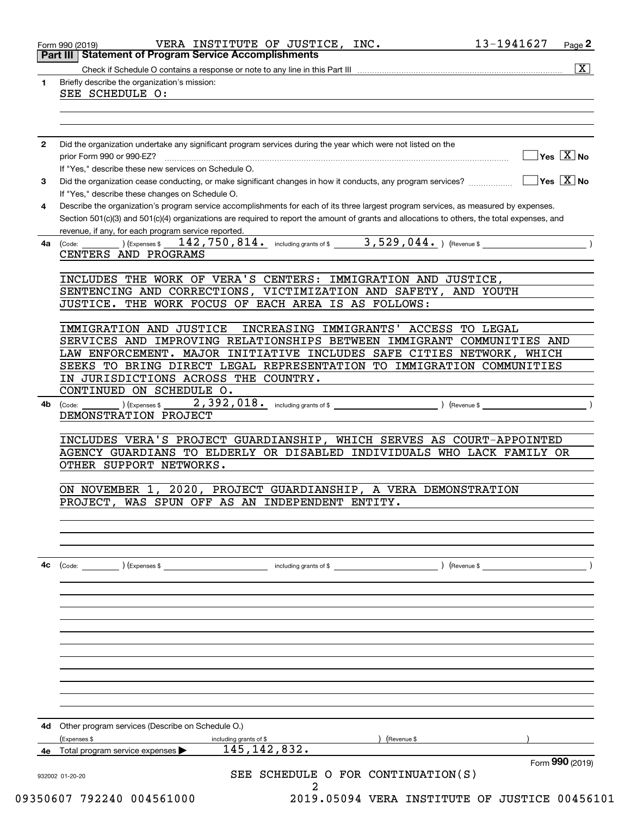|    | <b>Part III   Statement of Program Service Accomplishments</b>                                                                               |
|----|----------------------------------------------------------------------------------------------------------------------------------------------|
|    | $\overline{\mathbf{x}}$                                                                                                                      |
| 1  | Briefly describe the organization's mission:                                                                                                 |
|    | SEE SCHEDULE O:                                                                                                                              |
|    |                                                                                                                                              |
|    |                                                                                                                                              |
|    |                                                                                                                                              |
| 2  | Did the organization undertake any significant program services during the year which were not listed on the                                 |
|    | $\sqrt{}$ Yes $\sqrt{X}$ No                                                                                                                  |
|    | If "Yes," describe these new services on Schedule O.                                                                                         |
|    |                                                                                                                                              |
| 3  |                                                                                                                                              |
|    | If "Yes," describe these changes on Schedule O.                                                                                              |
| 4  | Describe the organization's program service accomplishments for each of its three largest program services, as measured by expenses.         |
|    | Section 501(c)(3) and 501(c)(4) organizations are required to report the amount of grants and allocations to others, the total expenses, and |
|    | revenue, if any, for each program service reported.                                                                                          |
| 4a | 142,750,814. including grants of \$ 3,529,044. ) (Revenue \$<br>) (Expenses \$<br>(Code:                                                     |
|    | CENTERS AND PROGRAMS                                                                                                                         |
|    |                                                                                                                                              |
|    | INCLUDES THE WORK OF VERA'S CENTERS: IMMIGRATION AND JUSTICE,                                                                                |
|    | SENTENCING AND CORRECTIONS, VICTIMIZATION AND SAFETY, AND YOUTH                                                                              |
|    | JUSTICE. THE WORK FOCUS OF EACH AREA IS AS FOLLOWS:                                                                                          |
|    |                                                                                                                                              |
|    | IMMIGRATION AND JUSTICE<br>INCREASING IMMIGRANTS' ACCESS TO LEGAL                                                                            |
|    | SERVICES AND IMPROVING RELATIONSHIPS BETWEEN IMMIGRANT COMMUNITIES AND                                                                       |
|    | LAW ENFORCEMENT. MAJOR INITIATIVE INCLUDES SAFE CITIES NETWORK, WHICH                                                                        |
|    |                                                                                                                                              |
|    | SEEKS TO BRING DIRECT LEGAL REPRESENTATION TO IMMIGRATION COMMUNITIES                                                                        |
|    | IN JURISDICTIONS ACROSS THE COUNTRY.                                                                                                         |
|    | CONTINUED ON SCHEDULE O.                                                                                                                     |
| 4b | (Expenses \$<br>(Code:                                                                                                                       |
|    | DEMONSTRATION PROJECT                                                                                                                        |
|    |                                                                                                                                              |
|    | INCLUDES VERA'S PROJECT GUARDIANSHIP, WHICH SERVES AS COURT-APPOINTED                                                                        |
|    | AGENCY GUARDIANS TO ELDERLY OR DISABLED INDIVIDUALS WHO LACK FAMILY OR                                                                       |
|    | OTHER SUPPORT NETWORKS.                                                                                                                      |
|    |                                                                                                                                              |
|    | $\overline{2020}$<br>PROJECT GUARDIANSHIP,<br>A VERA DEMONSTRATION<br>ON NOVEMBER 1                                                          |
|    | PROJECT, WAS SPUN OFF AS AN INDEPENDENT ENTITY.                                                                                              |
|    |                                                                                                                                              |
|    |                                                                                                                                              |
|    |                                                                                                                                              |
|    |                                                                                                                                              |
|    |                                                                                                                                              |
| 4c | (Code: ) (Expenses \$                                                                                                                        |
|    |                                                                                                                                              |
|    |                                                                                                                                              |
|    |                                                                                                                                              |
|    |                                                                                                                                              |
|    |                                                                                                                                              |
|    |                                                                                                                                              |
|    |                                                                                                                                              |
|    |                                                                                                                                              |
|    |                                                                                                                                              |
|    |                                                                                                                                              |
|    |                                                                                                                                              |
|    |                                                                                                                                              |
|    |                                                                                                                                              |
|    | 4d Other program services (Describe on Schedule O.)                                                                                          |
|    | (Expenses \$<br>) (Revenue \$<br>including grants of \$<br>145, 142, 832.<br>4e Total program service expenses                               |
|    |                                                                                                                                              |
|    | Form 990 (2019)                                                                                                                              |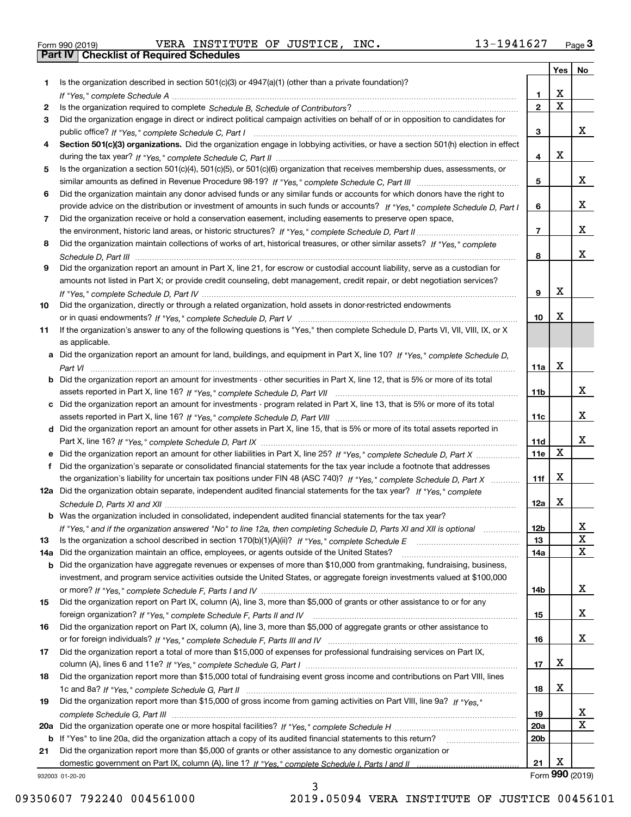| Form 990 (2019) |  |  |
|-----------------|--|--|

Form 990 (2019) Page **3Part IV Checklist of Required Schedules** VERA INSTITUTE OF JUSTICE, INC. 13-1941627

|     |                                                                                                                                                 |                 | Yes                   | No          |
|-----|-------------------------------------------------------------------------------------------------------------------------------------------------|-----------------|-----------------------|-------------|
| 1.  | Is the organization described in section $501(c)(3)$ or $4947(a)(1)$ (other than a private foundation)?                                         |                 |                       |             |
|     |                                                                                                                                                 | 1               | х                     |             |
| 2   |                                                                                                                                                 | $\mathbf{2}$    | $\overline{\text{x}}$ |             |
| 3   | Did the organization engage in direct or indirect political campaign activities on behalf of or in opposition to candidates for                 |                 |                       |             |
|     |                                                                                                                                                 | 3               |                       | x           |
| 4   | Section 501(c)(3) organizations. Did the organization engage in lobbying activities, or have a section 501(h) election in effect                |                 |                       |             |
|     |                                                                                                                                                 | 4               | X                     |             |
| 5   | Is the organization a section 501(c)(4), 501(c)(5), or 501(c)(6) organization that receives membership dues, assessments, or                    |                 |                       |             |
|     |                                                                                                                                                 | 5               |                       | x           |
| 6   | Did the organization maintain any donor advised funds or any similar funds or accounts for which donors have the right to                       |                 |                       |             |
|     | provide advice on the distribution or investment of amounts in such funds or accounts? If "Yes," complete Schedule D, Part I                    | 6               |                       | x           |
| 7   | Did the organization receive or hold a conservation easement, including easements to preserve open space,                                       |                 |                       |             |
|     |                                                                                                                                                 | $\overline{7}$  |                       | x           |
| 8   | Did the organization maintain collections of works of art, historical treasures, or other similar assets? If "Yes," complete                    |                 |                       |             |
|     |                                                                                                                                                 | 8               |                       | x           |
| 9   | Did the organization report an amount in Part X, line 21, for escrow or custodial account liability, serve as a custodian for                   |                 |                       |             |
|     | amounts not listed in Part X; or provide credit counseling, debt management, credit repair, or debt negotiation services?                       |                 | X                     |             |
|     |                                                                                                                                                 | 9               |                       |             |
| 10  | Did the organization, directly or through a related organization, hold assets in donor-restricted endowments                                    | 10              | Х                     |             |
|     |                                                                                                                                                 |                 |                       |             |
| 11  | If the organization's answer to any of the following questions is "Yes," then complete Schedule D, Parts VI, VII, VIII, IX, or X                |                 |                       |             |
|     | as applicable.<br>a Did the organization report an amount for land, buildings, and equipment in Part X, line 10? If "Yes," complete Schedule D. |                 |                       |             |
|     |                                                                                                                                                 | 11a             | X                     |             |
|     | <b>b</b> Did the organization report an amount for investments - other securities in Part X, line 12, that is 5% or more of its total           |                 |                       |             |
|     |                                                                                                                                                 | 11b             |                       | x           |
|     | c Did the organization report an amount for investments - program related in Part X, line 13, that is 5% or more of its total                   |                 |                       |             |
|     |                                                                                                                                                 | 11c             |                       | x           |
|     | d Did the organization report an amount for other assets in Part X, line 15, that is 5% or more of its total assets reported in                 |                 |                       |             |
|     |                                                                                                                                                 | 11d             |                       | x           |
|     |                                                                                                                                                 | 11e             | X                     |             |
| f   | Did the organization's separate or consolidated financial statements for the tax year include a footnote that addresses                         |                 |                       |             |
|     | the organization's liability for uncertain tax positions under FIN 48 (ASC 740)? If "Yes," complete Schedule D, Part X                          | 11f             | X                     |             |
|     | 12a Did the organization obtain separate, independent audited financial statements for the tax year? If "Yes," complete                         |                 |                       |             |
|     |                                                                                                                                                 | 12a             | X                     |             |
|     | <b>b</b> Was the organization included in consolidated, independent audited financial statements for the tax year?                              |                 |                       |             |
|     | If "Yes," and if the organization answered "No" to line 12a, then completing Schedule D, Parts XI and XII is optional                           | 12b             |                       | Y           |
| 13  |                                                                                                                                                 | 13              |                       | X           |
| 14a | Did the organization maintain an office, employees, or agents outside of the United States?                                                     | 14a             |                       | $\mathbf X$ |
|     | <b>b</b> Did the organization have aggregate revenues or expenses of more than \$10,000 from grantmaking, fundraising, business,                |                 |                       |             |
|     | investment, and program service activities outside the United States, or aggregate foreign investments valued at \$100,000                      |                 |                       |             |
|     |                                                                                                                                                 | 14b             |                       | x           |
| 15  | Did the organization report on Part IX, column (A), line 3, more than \$5,000 of grants or other assistance to or for any                       |                 |                       |             |
|     |                                                                                                                                                 | 15              |                       | x           |
| 16  | Did the organization report on Part IX, column (A), line 3, more than \$5,000 of aggregate grants or other assistance to                        |                 |                       |             |
|     |                                                                                                                                                 | 16              |                       | x           |
| 17  | Did the organization report a total of more than \$15,000 of expenses for professional fundraising services on Part IX,                         |                 |                       |             |
|     |                                                                                                                                                 | 17              | X                     |             |
| 18  | Did the organization report more than \$15,000 total of fundraising event gross income and contributions on Part VIII, lines                    |                 |                       |             |
|     |                                                                                                                                                 | 18              | х                     |             |
| 19  | Did the organization report more than \$15,000 of gross income from gaming activities on Part VIII, line 9a? If "Yes."                          |                 |                       |             |
|     |                                                                                                                                                 | 19              |                       | X           |
|     |                                                                                                                                                 | <b>20a</b>      |                       | $\mathbf X$ |
|     | b If "Yes" to line 20a, did the organization attach a copy of its audited financial statements to this return?                                  | 20 <sub>b</sub> |                       |             |
| 21  | Did the organization report more than \$5,000 of grants or other assistance to any domestic organization or                                     |                 |                       |             |
|     |                                                                                                                                                 | 21              | Х                     |             |
|     | 932003 01-20-20                                                                                                                                 |                 | Form 990 (2019)       |             |

932003 01-20-20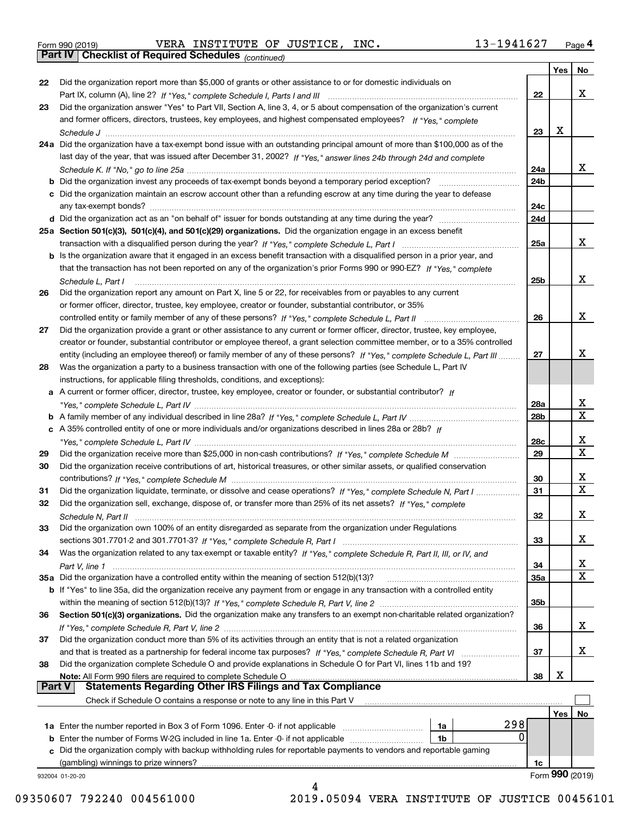|  | Form 990 (2019) |
|--|-----------------|
|  |                 |

Form 990 (2019) Page **4Part IV Checklist of Required Schedules** VERA INSTITUTE OF JUSTICE, INC. 13-1941627

*(continued)*

|          |                                                                                                                                       |     |     | Yes   No                |
|----------|---------------------------------------------------------------------------------------------------------------------------------------|-----|-----|-------------------------|
| 22       | Did the organization report more than \$5,000 of grants or other assistance to or for domestic individuals on                         |     |     |                         |
|          |                                                                                                                                       | 22  |     | X                       |
| 23       | Did the organization answer "Yes" to Part VII, Section A, line 3, 4, or 5 about compensation of the organization's current            |     |     |                         |
|          | and former officers, directors, trustees, key employees, and highest compensated employees? If "Yes," complete                        |     |     |                         |
|          |                                                                                                                                       | 23  | X   |                         |
|          | 24a Did the organization have a tax-exempt bond issue with an outstanding principal amount of more than \$100,000 as of the           |     |     |                         |
|          | last day of the year, that was issued after December 31, 2002? If "Yes," answer lines 24b through 24d and complete                    |     |     |                         |
|          |                                                                                                                                       | 24a |     | x                       |
|          | <b>b</b> Did the organization invest any proceeds of tax-exempt bonds beyond a temporary period exception?                            | 24b |     |                         |
|          | c Did the organization maintain an escrow account other than a refunding escrow at any time during the year to defease                |     |     |                         |
|          | any tax-exempt bonds?                                                                                                                 | 24c |     |                         |
|          | d Did the organization act as an "on behalf of" issuer for bonds outstanding at any time during the year?                             | 24d |     |                         |
|          | 25a Section 501(c)(3), 501(c)(4), and 501(c)(29) organizations. Did the organization engage in an excess benefit                      |     |     |                         |
|          |                                                                                                                                       | 25a |     | x                       |
|          | b Is the organization aware that it engaged in an excess benefit transaction with a disqualified person in a prior year, and          |     |     |                         |
|          | that the transaction has not been reported on any of the organization's prior Forms 990 or 990-EZ? If "Yes," complete                 |     |     |                         |
|          |                                                                                                                                       | 25b |     | x                       |
|          | Schedule L, Part I<br>Did the organization report any amount on Part X, line 5 or 22, for receivables from or payables to any current |     |     |                         |
| 26       |                                                                                                                                       |     |     |                         |
|          | or former officer, director, trustee, key employee, creator or founder, substantial contributor, or 35%                               |     |     | x                       |
|          | controlled entity or family member of any of these persons? If "Yes," complete Schedule L, Part II                                    | 26  |     |                         |
| 27       | Did the organization provide a grant or other assistance to any current or former officer, director, trustee, key employee,           |     |     |                         |
|          | creator or founder, substantial contributor or employee thereof, a grant selection committee member, or to a 35% controlled           |     |     |                         |
|          | entity (including an employee thereof) or family member of any of these persons? If "Yes," complete Schedule L, Part III              | 27  |     | Χ                       |
| 28       | Was the organization a party to a business transaction with one of the following parties (see Schedule L, Part IV                     |     |     |                         |
|          | instructions, for applicable filing thresholds, conditions, and exceptions):                                                          |     |     |                         |
|          | a A current or former officer, director, trustee, key employee, creator or founder, or substantial contributor? If                    |     |     |                         |
|          |                                                                                                                                       | 28a |     | x                       |
|          |                                                                                                                                       | 28b |     | $\overline{\mathbf{x}}$ |
|          | c A 35% controlled entity of one or more individuals and/or organizations described in lines 28a or 28b? If                           |     |     |                         |
|          |                                                                                                                                       | 28c |     | х                       |
| 29       |                                                                                                                                       | 29  |     | $\mathbf X$             |
| 30       | Did the organization receive contributions of art, historical treasures, or other similar assets, or qualified conservation           |     |     |                         |
|          |                                                                                                                                       | 30  |     | х                       |
| 31       | Did the organization liquidate, terminate, or dissolve and cease operations? If "Yes," complete Schedule N, Part I                    | 31  |     | $\overline{\mathbf{x}}$ |
| 32       | Did the organization sell, exchange, dispose of, or transfer more than 25% of its net assets? If "Yes," complete                      |     |     |                         |
|          | Schedule N, Part II                                                                                                                   | 32  |     | X                       |
| 33       | Did the organization own 100% of an entity disregarded as separate from the organization under Regulations                            |     |     |                         |
|          |                                                                                                                                       | 33  |     | x                       |
| 34       | Was the organization related to any tax-exempt or taxable entity? If "Yes," complete Schedule R, Part II, III, or IV, and             |     |     |                         |
|          |                                                                                                                                       | 34  |     | x                       |
|          | 35a Did the organization have a controlled entity within the meaning of section 512(b)(13)?                                           | 35a |     | $\mathbf X$             |
|          | b If "Yes" to line 35a, did the organization receive any payment from or engage in any transaction with a controlled entity           |     |     |                         |
|          |                                                                                                                                       | 35b |     |                         |
| 36       | Section 501(c)(3) organizations. Did the organization make any transfers to an exempt non-charitable related organization?            |     |     |                         |
|          |                                                                                                                                       | 36  |     | x                       |
| 37       | Did the organization conduct more than 5% of its activities through an entity that is not a related organization                      |     |     |                         |
|          | and that is treated as a partnership for federal income tax purposes? If "Yes," complete Schedule R, Part VI                          | 37  |     | x                       |
| 38       | Did the organization complete Schedule O and provide explanations in Schedule O for Part VI, lines 11b and 19?                        |     |     |                         |
|          | Note: All Form 990 filers are required to complete Schedule O                                                                         | 38  | X   |                         |
| ∣ Part V | <b>Statements Regarding Other IRS Filings and Tax Compliance</b>                                                                      |     |     |                         |
|          | Check if Schedule O contains a response or note to any line in this Part V                                                            |     |     |                         |
|          |                                                                                                                                       |     | Yes | No                      |
|          | 298<br>1a Enter the number reported in Box 3 of Form 1096. Enter -0- if not applicable<br>1a                                          |     |     |                         |
|          | 0<br>1b                                                                                                                               |     |     |                         |
|          | c Did the organization comply with backup withholding rules for reportable payments to vendors and reportable gaming                  |     |     |                         |
|          | (gambling) winnings to prize winners?                                                                                                 | 1c  |     |                         |
|          | 932004 01-20-20                                                                                                                       |     |     | Form 990 (2019)         |
|          |                                                                                                                                       |     |     |                         |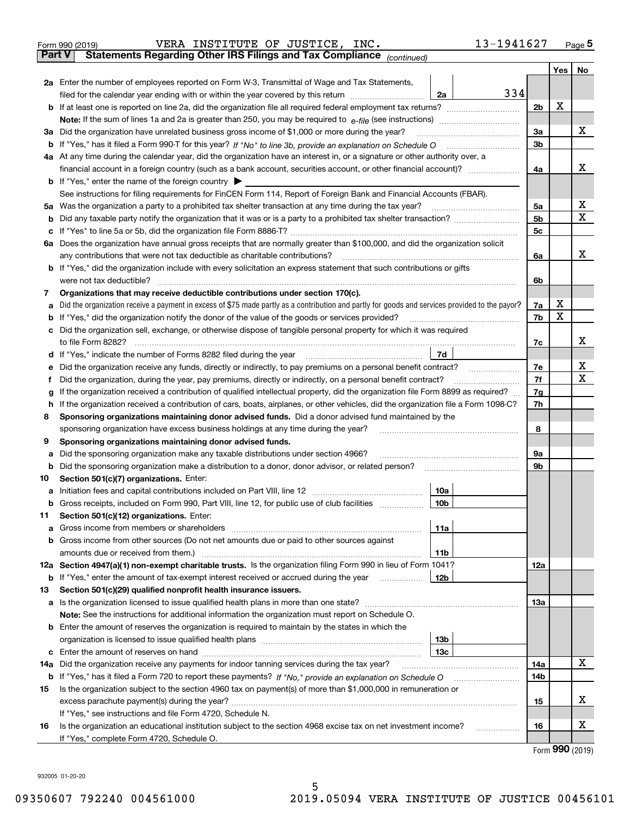|               | 13-1941627<br>VERA INSTITUTE OF JUSTICE, INC.<br>Form 990 (2019)                                                                                |                |   | $Page$ <sup>5</sup> |
|---------------|-------------------------------------------------------------------------------------------------------------------------------------------------|----------------|---|---------------------|
| <b>Part V</b> | Statements Regarding Other IRS Filings and Tax Compliance (continued)                                                                           |                |   |                     |
|               |                                                                                                                                                 |                |   | Yes   No            |
|               | 2a Enter the number of employees reported on Form W-3, Transmittal of Wage and Tax Statements,                                                  |                |   |                     |
|               | 334<br>filed for the calendar year ending with or within the year covered by this return<br>2a                                                  |                |   |                     |
|               |                                                                                                                                                 | 2 <sub>b</sub> | Х |                     |
|               |                                                                                                                                                 |                |   |                     |
|               | 3a Did the organization have unrelated business gross income of \$1,000 or more during the year?                                                | 3a             |   | x                   |
|               |                                                                                                                                                 | 3 <sub>b</sub> |   |                     |
|               | 4a At any time during the calendar year, did the organization have an interest in, or a signature or other authority over, a                    |                |   |                     |
|               |                                                                                                                                                 | 4a             |   | x                   |
|               | <b>b</b> If "Yes," enter the name of the foreign country $\triangleright$                                                                       |                |   |                     |
|               | See instructions for filing requirements for FinCEN Form 114, Report of Foreign Bank and Financial Accounts (FBAR).                             |                |   |                     |
|               | 5a Was the organization a party to a prohibited tax shelter transaction at any time during the tax year?                                        | 5a             |   | x                   |
| b             |                                                                                                                                                 | 5 <sub>b</sub> |   | X                   |
| c             |                                                                                                                                                 | 5 <sub>c</sub> |   |                     |
|               | 6a Does the organization have annual gross receipts that are normally greater than \$100,000, and did the organization solicit                  |                |   |                     |
|               | any contributions that were not tax deductible as charitable contributions?                                                                     | 6a             |   | x                   |
|               | b If "Yes," did the organization include with every solicitation an express statement that such contributions or gifts                          |                |   |                     |
|               | were not tax deductible?                                                                                                                        | 6b             |   |                     |
| 7             | Organizations that may receive deductible contributions under section 170(c).                                                                   |                |   |                     |
| а             | Did the organization receive a payment in excess of \$75 made partly as a contribution and partly for goods and services provided to the payor? | 7a             | х |                     |
| b             | If "Yes," did the organization notify the donor of the value of the goods or services provided?                                                 | 7b             | X |                     |
| c             | Did the organization sell, exchange, or otherwise dispose of tangible personal property for which it was required                               |                |   |                     |
|               | to file Form 8282?                                                                                                                              | 7c             |   | х                   |
| d             | 7d                                                                                                                                              |                |   |                     |
|               | Did the organization receive any funds, directly or indirectly, to pay premiums on a personal benefit contract?                                 | 7e             |   | x                   |
|               | Did the organization, during the year, pay premiums, directly or indirectly, on a personal benefit contract?                                    | 7f             |   | x                   |
|               | If the organization received a contribution of qualified intellectual property, did the organization file Form 8899 as required?                | 7g             |   |                     |
| h             | If the organization received a contribution of cars, boats, airplanes, or other vehicles, did the organization file a Form 1098-C?              | 7h             |   |                     |
| 8             | Sponsoring organizations maintaining donor advised funds. Did a donor advised fund maintained by the                                            |                |   |                     |
|               | sponsoring organization have excess business holdings at any time during the year?                                                              | 8              |   |                     |
| 9             | Sponsoring organizations maintaining donor advised funds.                                                                                       |                |   |                     |
| а             | Did the sponsoring organization make any taxable distributions under section 4966?                                                              | 9a             |   |                     |
| b             | Did the sponsoring organization make a distribution to a donor, donor advisor, or related person?                                               | 9b             |   |                     |
| 10            | Section 501(c)(7) organizations. Enter:                                                                                                         |                |   |                     |
|               | 10a                                                                                                                                             |                |   |                     |
| b             | Gross receipts, included on Form 990, Part VIII, line 12, for public use of club facilities<br>10b                                              |                |   |                     |
| 11            | Section 501(c)(12) organizations. Enter:                                                                                                        |                |   |                     |
| а             | Gross income from members or shareholders<br>11a                                                                                                |                |   |                     |
| b             | Gross income from other sources (Do not net amounts due or paid to other sources against                                                        |                |   |                     |
|               | amounts due or received from them.)<br>11b                                                                                                      |                |   |                     |
|               | 12a Section 4947(a)(1) non-exempt charitable trusts. Is the organization filing Form 990 in lieu of Form 1041?                                  | 12a            |   |                     |
|               | <b>b</b> If "Yes," enter the amount of tax-exempt interest received or accrued during the year<br>12b                                           |                |   |                     |
| 13            | Section 501(c)(29) qualified nonprofit health insurance issuers.                                                                                |                |   |                     |
|               | <b>a</b> Is the organization licensed to issue qualified health plans in more than one state?                                                   | 13а            |   |                     |
|               | Note: See the instructions for additional information the organization must report on Schedule O.                                               |                |   |                     |
|               | <b>b</b> Enter the amount of reserves the organization is required to maintain by the states in which the                                       |                |   |                     |
|               | 13 <sub>b</sub>                                                                                                                                 |                |   |                     |
| c             | 13c                                                                                                                                             |                |   |                     |
| 14a           | Did the organization receive any payments for indoor tanning services during the tax year?                                                      | 14a            |   | х                   |
|               |                                                                                                                                                 | 14b            |   |                     |
| 15            | Is the organization subject to the section 4960 tax on payment(s) of more than \$1,000,000 in remuneration or                                   |                |   |                     |
|               |                                                                                                                                                 | 15             |   | x                   |
|               | If "Yes," see instructions and file Form 4720, Schedule N.                                                                                      |                |   |                     |
| 16            | Is the organization an educational institution subject to the section 4968 excise tax on net investment income?                                 | 16             |   | x                   |

Form (2019) **990**

932005 01-20-20

If "Yes," complete Form 4720, Schedule O.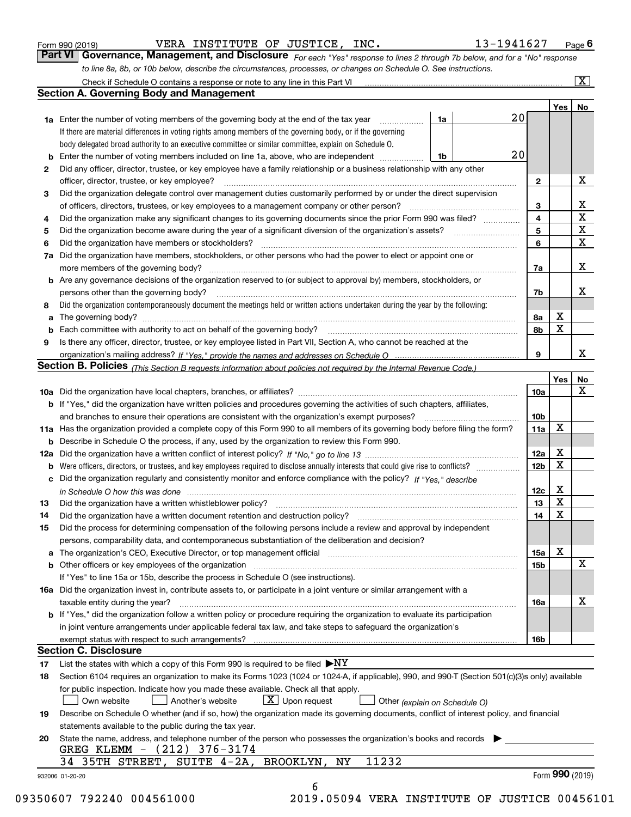| Form 990 (2019) |  |  |
|-----------------|--|--|
|                 |  |  |

VERA INSTITUTE OF JUSTICE, INC. 13-1941627

*For each "Yes" response to lines 2 through 7b below, and for a "No" response to line 8a, 8b, or 10b below, describe the circumstances, processes, or changes on Schedule O. See instructions.* Form 990 (2019) **CONTEXTIGE INSTITUTE OF JUSTICE, INC.** The setting and the same of the setting of the setting of the setting page **6**<br>**Part VI Governance, Management, and Disclosure** For each "Yes" response to lines 2 t

|                 | <b>1a</b> Enter the number of voting members of the governing body at the end of the tax year                                                                                 | 1a | 20 |                         | Yes <sub>1</sub> | No                      |
|-----------------|-------------------------------------------------------------------------------------------------------------------------------------------------------------------------------|----|----|-------------------------|------------------|-------------------------|
|                 | If there are material differences in voting rights among members of the governing body, or if the governing                                                                   |    |    |                         |                  |                         |
|                 | body delegated broad authority to an executive committee or similar committee, explain on Schedule O.                                                                         |    |    |                         |                  |                         |
| b               | Enter the number of voting members included on line 1a, above, who are independent                                                                                            | 1b | 20 |                         |                  |                         |
| 2               | Did any officer, director, trustee, or key employee have a family relationship or a business relationship with any other                                                      |    |    |                         |                  |                         |
|                 | officer, director, trustee, or key employee?                                                                                                                                  |    |    | $\mathbf{2}$            |                  | X                       |
| З               | Did the organization delegate control over management duties customarily performed by or under the direct supervision                                                         |    |    |                         |                  |                         |
|                 | of officers, directors, trustees, or key employees to a management company or other person?                                                                                   |    |    | 3                       |                  | X                       |
| 4               | Did the organization make any significant changes to its governing documents since the prior Form 990 was filed?                                                              |    |    | $\overline{\mathbf{4}}$ |                  | $\overline{\mathbf{x}}$ |
| 5               |                                                                                                                                                                               |    |    | 5                       |                  | $\overline{\mathbf{x}}$ |
| 6               | Did the organization have members or stockholders?                                                                                                                            |    |    | 6                       |                  | $\mathbf X$             |
|                 | Did the organization have members, stockholders, or other persons who had the power to elect or appoint one or                                                                |    |    |                         |                  |                         |
| 7a              |                                                                                                                                                                               |    |    |                         |                  | X                       |
|                 |                                                                                                                                                                               |    |    | 7a                      |                  |                         |
|                 | <b>b</b> Are any governance decisions of the organization reserved to (or subject to approval by) members, stockholders, or                                                   |    |    |                         |                  | х                       |
|                 | persons other than the governing body?                                                                                                                                        |    |    | 7b                      |                  |                         |
| 8               | Did the organization contemporaneously document the meetings held or written actions undertaken during the year by the following:                                             |    |    |                         | X                |                         |
| a               |                                                                                                                                                                               |    |    | 8а                      | X                |                         |
| b               |                                                                                                                                                                               |    |    | 8b                      |                  |                         |
| 9               | Is there any officer, director, trustee, or key employee listed in Part VII, Section A, who cannot be reached at the                                                          |    |    |                         |                  |                         |
|                 |                                                                                                                                                                               |    |    | 9                       |                  | X                       |
|                 | Section B. Policies (This Section B requests information about policies not required by the Internal Revenue Code.)                                                           |    |    |                         |                  |                         |
|                 |                                                                                                                                                                               |    |    |                         | Yes              | No                      |
|                 |                                                                                                                                                                               |    |    | 10a                     |                  | X                       |
|                 | <b>b</b> If "Yes," did the organization have written policies and procedures governing the activities of such chapters, affiliates,                                           |    |    |                         |                  |                         |
|                 |                                                                                                                                                                               |    |    | 10 <sub>b</sub>         |                  |                         |
|                 | 11a Has the organization provided a complete copy of this Form 990 to all members of its governing body before filing the form?                                               |    |    | 11a                     | X                |                         |
|                 | <b>b</b> Describe in Schedule O the process, if any, used by the organization to review this Form 990.                                                                        |    |    |                         |                  |                         |
|                 |                                                                                                                                                                               |    |    | 12a                     | X                |                         |
|                 | <b>b</b> Were officers, directors, or trustees, and key employees required to disclose annually interests that could give rise to conflicts?                                  |    |    | 12 <sub>b</sub>         | х                |                         |
|                 | c Did the organization regularly and consistently monitor and enforce compliance with the policy? If "Yes," describe                                                          |    |    |                         |                  |                         |
|                 | in Schedule O how this was done manufactured and continuum control of the Schedule O how this was done manufactured and continuum control of the Schedule O how this was done |    |    | 12c                     | X                |                         |
| 13              |                                                                                                                                                                               |    |    | 13                      | X                |                         |
| 14              |                                                                                                                                                                               |    |    | 14                      | X                |                         |
| 15              | Did the process for determining compensation of the following persons include a review and approval by independent                                                            |    |    |                         |                  |                         |
|                 | persons, comparability data, and contemporaneous substantiation of the deliberation and decision?                                                                             |    |    |                         |                  |                         |
|                 |                                                                                                                                                                               |    |    | 15a                     | х                |                         |
|                 |                                                                                                                                                                               |    |    | 15b                     |                  | $\mathbf X$             |
|                 | If "Yes" to line 15a or 15b, describe the process in Schedule O (see instructions).                                                                                           |    |    |                         |                  |                         |
|                 | 16a Did the organization invest in, contribute assets to, or participate in a joint venture or similar arrangement with a                                                     |    |    |                         |                  |                         |
|                 | taxable entity during the year?                                                                                                                                               |    |    | 16a                     |                  | X                       |
|                 | b If "Yes," did the organization follow a written policy or procedure requiring the organization to evaluate its participation                                                |    |    |                         |                  |                         |
|                 | in joint venture arrangements under applicable federal tax law, and take steps to safequard the organization's                                                                |    |    |                         |                  |                         |
|                 | exempt status with respect to such arrangements?                                                                                                                              |    |    | 16b                     |                  |                         |
|                 | <b>Section C. Disclosure</b>                                                                                                                                                  |    |    |                         |                  |                         |
| 17              | List the states with which a copy of this Form 990 is required to be filed $\blacktriangleright$ NY                                                                           |    |    |                         |                  |                         |
| 18              | Section 6104 requires an organization to make its Forms 1023 (1024 or 1024-A, if applicable), 990, and 990-T (Section 501(c)(3)s only) available                              |    |    |                         |                  |                         |
|                 | for public inspection. Indicate how you made these available. Check all that apply.                                                                                           |    |    |                         |                  |                         |
|                 | $X$ Upon request<br>Own website<br>Another's website<br>Other (explain on Schedule O)                                                                                         |    |    |                         |                  |                         |
| 19              | Describe on Schedule O whether (and if so, how) the organization made its governing documents, conflict of interest policy, and financial                                     |    |    |                         |                  |                         |
|                 | statements available to the public during the tax year.                                                                                                                       |    |    |                         |                  |                         |
| 20              | State the name, address, and telephone number of the person who possesses the organization's books and records                                                                |    |    |                         |                  |                         |
|                 | GREG KLEMM - (212) 376-3174                                                                                                                                                   |    |    |                         |                  |                         |
|                 | 11232<br>34 35TH STREET, SUITE 4-2A, BROOKLYN,<br>NY                                                                                                                          |    |    |                         |                  |                         |
| 932006 01-20-20 |                                                                                                                                                                               |    |    |                         | Form 990 (2019)  |                         |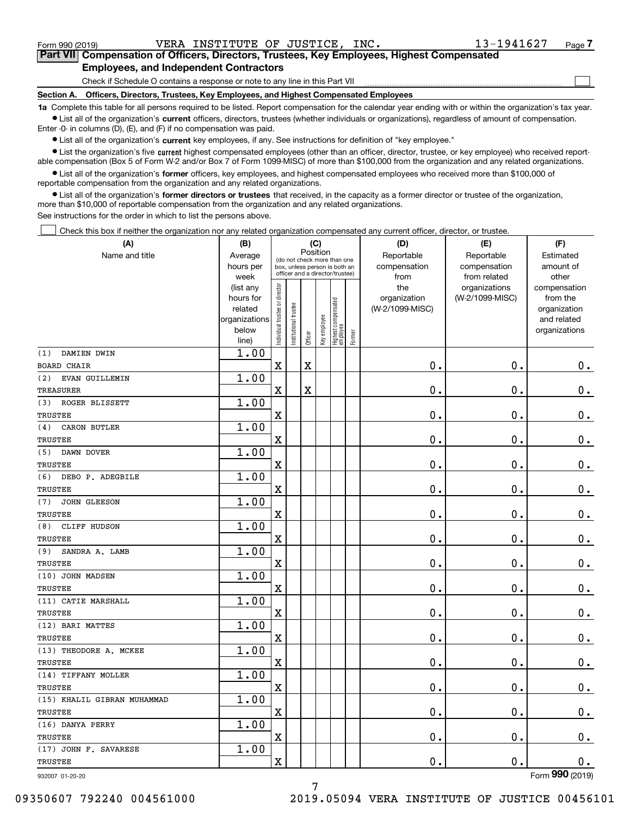$\mathcal{L}^{\text{max}}$ 

# **7Part VII Compensation of Officers, Directors, Trustees, Key Employees, Highest Compensated Employees, and Independent Contractors**

Check if Schedule O contains a response or note to any line in this Part VII

**Section A. Officers, Directors, Trustees, Key Employees, and Highest Compensated Employees**

**1a**  Complete this table for all persons required to be listed. Report compensation for the calendar year ending with or within the organization's tax year. **•** List all of the organization's current officers, directors, trustees (whether individuals or organizations), regardless of amount of compensation.

Enter -0- in columns (D), (E), and (F) if no compensation was paid.

 $\bullet$  List all of the organization's  $\,$ current key employees, if any. See instructions for definition of "key employee."

**•** List the organization's five current highest compensated employees (other than an officer, director, trustee, or key employee) who received reportable compensation (Box 5 of Form W-2 and/or Box 7 of Form 1099-MISC) of more than \$100,000 from the organization and any related organizations.

**•** List all of the organization's former officers, key employees, and highest compensated employees who received more than \$100,000 of reportable compensation from the organization and any related organizations.

**former directors or trustees**  ¥ List all of the organization's that received, in the capacity as a former director or trustee of the organization, more than \$10,000 of reportable compensation from the organization and any related organizations.

See instructions for the order in which to list the persons above.

Check this box if neither the organization nor any related organization compensated any current officer, director, or trustee.  $\mathcal{L}^{\text{max}}$ 

| (A)                         | (B)                    |                                |                                                                  | (C)         |              |                                  |        | (D)             | (E)                              | (F)                            |
|-----------------------------|------------------------|--------------------------------|------------------------------------------------------------------|-------------|--------------|----------------------------------|--------|-----------------|----------------------------------|--------------------------------|
| Name and title              | Average                |                                | (do not check more than one                                      | Position    |              |                                  |        | Reportable      | Reportable                       | Estimated                      |
|                             | hours per              |                                | box, unless person is both an<br>officer and a director/trustee) |             |              |                                  |        | compensation    | compensation                     | amount of                      |
|                             | week                   |                                |                                                                  |             |              |                                  |        | from<br>the     | from related                     | other                          |
|                             | (list any<br>hours for |                                |                                                                  |             |              |                                  |        | organization    | organizations<br>(W-2/1099-MISC) | compensation<br>from the       |
|                             | related                |                                |                                                                  |             |              |                                  |        | (W-2/1099-MISC) |                                  | organization                   |
|                             | organizations          |                                |                                                                  |             |              |                                  |        |                 |                                  | and related                    |
|                             | below                  | Individual trustee or director | nstitutional trustee                                             |             | Key employee |                                  |        |                 |                                  | organizations                  |
|                             | line)                  |                                |                                                                  | Officer     |              | Highest compensated<br> employee | Former |                 |                                  |                                |
| DAMIEN DWIN<br>(1)          | 1.00                   |                                |                                                                  |             |              |                                  |        |                 |                                  |                                |
| <b>BOARD CHAIR</b>          |                        | $\mathbf X$                    |                                                                  | $\mathbf X$ |              |                                  |        | 0.              | $\mathbf 0$ .                    | $0_{.}$                        |
| (2)<br>EVAN GUILLEMIN       | 1.00                   |                                |                                                                  |             |              |                                  |        |                 |                                  |                                |
| <b>TREASURER</b>            |                        | $\overline{\mathbf{X}}$        |                                                                  | X           |              |                                  |        | 0.              | $\mathbf 0$ .                    | $\mathbf 0$ .                  |
| (3)<br>ROGER BLISSETT       | 1.00                   |                                |                                                                  |             |              |                                  |        |                 |                                  |                                |
| <b>TRUSTEE</b>              |                        | $\rm X$                        |                                                                  |             |              |                                  |        | $\mathbf 0$ .   | $\mathbf 0$ .                    | $\mathbf 0$ .                  |
| CARON BUTLER<br>(4)         | 1.00                   |                                |                                                                  |             |              |                                  |        |                 |                                  |                                |
| <b>TRUSTEE</b>              |                        | X                              |                                                                  |             |              |                                  |        | 0.              | $\mathbf 0$ .                    | 0.                             |
| (5)<br>DAWN DOVER           | 1.00                   |                                |                                                                  |             |              |                                  |        |                 |                                  |                                |
| TRUSTEE                     |                        | $\overline{\mathbf{X}}$        |                                                                  |             |              |                                  |        | 0.              | $\mathbf 0$ .                    | $\mathbf 0$ .                  |
| (6)<br>DEBO P. ADEGBILE     | 1.00                   |                                |                                                                  |             |              |                                  |        |                 |                                  |                                |
| TRUSTEE                     |                        | $\overline{\mathbf{X}}$        |                                                                  |             |              |                                  |        | 0.              | $\mathbf 0$ .                    | $\mathbf 0$ .                  |
| <b>JOHN GLEESON</b><br>(7)  | 1.00                   |                                |                                                                  |             |              |                                  |        |                 |                                  |                                |
| <b>TRUSTEE</b>              |                        | $\overline{\mathbf{X}}$        |                                                                  |             |              |                                  |        | $\mathbf 0$ .   | $\mathbf 0$ .                    | $0_{.}$                        |
| CLIFF HUDSON<br>(8)         | 1.00                   |                                |                                                                  |             |              |                                  |        |                 |                                  |                                |
| <b>TRUSTEE</b>              |                        | $\overline{\mathbf{X}}$        |                                                                  |             |              |                                  |        | $\mathbf 0$ .   | 0.                               | $\mathbf 0$ .                  |
| SANDRA A. LAMB<br>(9)       | 1.00                   |                                |                                                                  |             |              |                                  |        |                 |                                  |                                |
| <b>TRUSTEE</b>              |                        | $\overline{\textbf{X}}$        |                                                                  |             |              |                                  |        | 0.              | $\mathbf 0$ .                    | $\mathbf 0$ .                  |
| (10) JOHN MADSEN            | 1.00                   |                                |                                                                  |             |              |                                  |        |                 |                                  |                                |
| <b>TRUSTEE</b>              |                        | $\overline{\mathbf{X}}$        |                                                                  |             |              |                                  |        | 0.              | 0.                               | $\mathbf 0$ .                  |
| (11) CATIE MARSHALL         | 1.00                   |                                |                                                                  |             |              |                                  |        |                 |                                  |                                |
| <b>TRUSTEE</b>              |                        | $\overline{\mathbf{X}}$        |                                                                  |             |              |                                  |        | 0.              | $\mathbf 0$ .                    | $\mathbf 0$ .                  |
| (12) BARI MATTES            | 1.00                   |                                |                                                                  |             |              |                                  |        |                 |                                  |                                |
| <b>TRUSTEE</b>              |                        | $\overline{\mathbf{X}}$        |                                                                  |             |              |                                  |        | 0.              | $\mathbf 0$ .                    | 0.                             |
| (13) THEODORE A. MCKEE      | 1.00                   |                                |                                                                  |             |              |                                  |        |                 |                                  |                                |
| TRUSTEE                     |                        | $\overline{\textbf{X}}$        |                                                                  |             |              |                                  |        | 0.              | $\mathbf 0$ .                    | $\mathbf 0$ .                  |
| (14) TIFFANY MOLLER         | 1.00                   |                                |                                                                  |             |              |                                  |        |                 |                                  |                                |
| TRUSTEE                     |                        | $\overline{\mathbf{X}}$        |                                                                  |             |              |                                  |        | $\mathbf 0$ .   | 0.                               | $\mathbf 0$ .                  |
| (15) KHALIL GIBRAN MUHAMMAD | 1.00                   |                                |                                                                  |             |              |                                  |        |                 |                                  |                                |
| TRUSTEE                     |                        | $\overline{\mathbf{X}}$        |                                                                  |             |              |                                  |        | $\mathbf 0$ .   | $\mathbf 0$ .                    | $\mathbf 0$ .                  |
| (16) DANYA PERRY            | 1.00                   |                                |                                                                  |             |              |                                  |        |                 |                                  |                                |
| <b>TRUSTEE</b>              |                        | X                              |                                                                  |             |              |                                  |        | $\mathbf 0$ .   | 0.                               | 0.                             |
| (17) JOHN F. SAVARESE       | 1.00                   |                                |                                                                  |             |              |                                  |        |                 |                                  |                                |
| TRUSTEE                     |                        | $\overline{\mathbf{X}}$        |                                                                  |             |              |                                  |        | 0.              | $\mathbf{0}$ .                   | 0.<br>$\overline{\phantom{0}}$ |

7

932007 01-20-20

Form (2019) **990**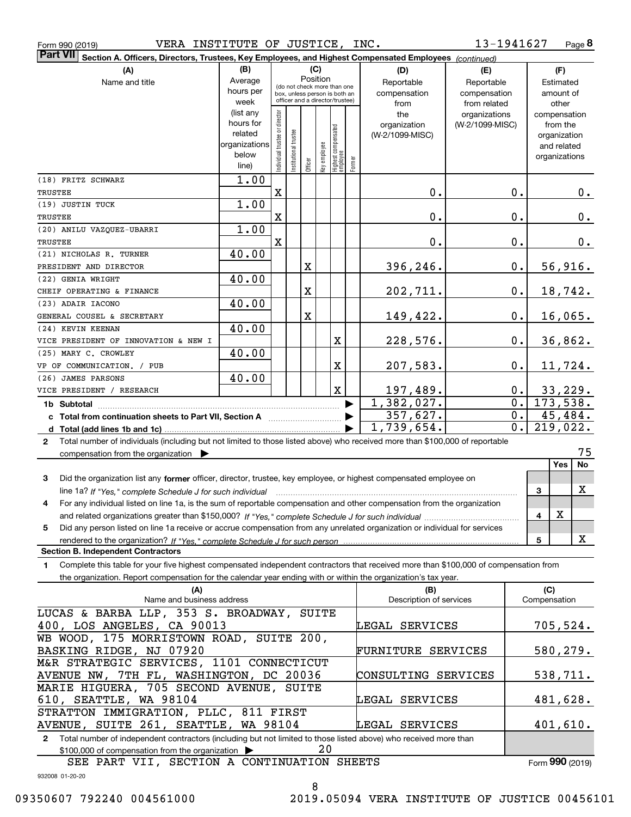| Form 990 (2019) |  |  |
|-----------------|--|--|
|                 |  |  |

Form 990 (2019) VERA INSTITUTE OF JUSTICE, INC.  $13-1941627$  Page

**8** 13-1941627

| <b>Part VII</b><br>Section A. Officers, Directors, Trustees, Key Employees, and Highest Compensated Employees (continued)                            |                        |                                         |                                 |         |              |                                   |        |                                |                 |                  |                         |         |
|------------------------------------------------------------------------------------------------------------------------------------------------------|------------------------|-----------------------------------------|---------------------------------|---------|--------------|-----------------------------------|--------|--------------------------------|-----------------|------------------|-------------------------|---------|
| (B)<br>(C)<br>(A)<br>(D)                                                                                                                             |                        |                                         |                                 |         |              |                                   |        |                                | (E)             |                  | (F)                     |         |
| Name and title                                                                                                                                       | Average                | Position<br>(do not check more than one |                                 |         |              |                                   |        | Reportable                     | Reportable      |                  | Estimated               |         |
|                                                                                                                                                      | hours per              |                                         | box, unless person is both an   |         |              |                                   |        | compensation<br>compensation   |                 |                  | amount of               |         |
|                                                                                                                                                      | week                   |                                         | officer and a director/trustee) |         |              |                                   |        | from                           | from related    |                  | other                   |         |
|                                                                                                                                                      | (list any              |                                         |                                 |         |              |                                   |        | the                            | organizations   |                  | compensation            |         |
|                                                                                                                                                      | hours for              |                                         |                                 |         |              |                                   |        | organization                   | (W-2/1099-MISC) |                  | from the                |         |
|                                                                                                                                                      | related                |                                         |                                 |         |              |                                   |        | (W-2/1099-MISC)                |                 |                  | organization            |         |
|                                                                                                                                                      | organizations<br>below |                                         |                                 |         |              |                                   |        |                                |                 |                  | and related             |         |
|                                                                                                                                                      | line)                  | ndividual trustee or director           | nstitutional trustee            | Officer | Key employee | Highest compensated<br>  employee | Former |                                |                 |                  | organizations           |         |
| (18) FRITZ SCHWARZ                                                                                                                                   | 1.00                   |                                         |                                 |         |              |                                   |        |                                |                 |                  |                         |         |
| TRUSTEE                                                                                                                                              |                        | X                                       |                                 |         |              |                                   |        | $\mathbf 0$ .                  |                 | 0.               |                         | $0$ .   |
| (19) JUSTIN TUCK                                                                                                                                     | 1.00                   |                                         |                                 |         |              |                                   |        |                                |                 |                  |                         |         |
| TRUSTEE                                                                                                                                              |                        | X                                       |                                 |         |              |                                   |        | $\mathbf 0$ .                  |                 | $0$ .            |                         | $0_{.}$ |
| (20) ANILU VAZQUEZ-UBARRI                                                                                                                            | 1.00                   |                                         |                                 |         |              |                                   |        |                                |                 |                  |                         |         |
| TRUSTEE                                                                                                                                              |                        | $\mathbf X$                             |                                 |         |              |                                   |        | 0.                             |                 | $0$ .            |                         | 0.      |
| (21) NICHOLAS R. TURNER                                                                                                                              | 40.00                  |                                         |                                 |         |              |                                   |        |                                |                 |                  |                         |         |
| PRESIDENT AND DIRECTOR                                                                                                                               |                        |                                         |                                 | X       |              |                                   |        | 396,246.                       |                 | $0$ .            | 56,916.                 |         |
| (22) GENIA WRIGHT                                                                                                                                    | 40.00                  |                                         |                                 |         |              |                                   |        |                                |                 |                  |                         |         |
| CHEIF OPERATING & FINANCE                                                                                                                            |                        |                                         |                                 | X       |              |                                   |        | 202,711.                       |                 | $0$ .            | 18,742.                 |         |
| (23) ADAIR IACONO                                                                                                                                    | 40.00                  |                                         |                                 |         |              |                                   |        |                                |                 |                  |                         |         |
| GENERAL COUSEL & SECRETARY                                                                                                                           |                        |                                         |                                 | X       |              |                                   |        | 149,422.                       |                 | 0.               | 16,065.                 |         |
| (24) KEVIN KEENAN                                                                                                                                    | 40.00                  |                                         |                                 |         |              |                                   |        |                                |                 |                  |                         |         |
| VICE PRESIDENT OF INNOVATION & NEW I                                                                                                                 |                        |                                         |                                 |         |              | X                                 |        | 228,576.                       |                 | 0.               | 36,862.                 |         |
| (25) MARY C. CROWLEY                                                                                                                                 | 40.00                  |                                         |                                 |         |              |                                   |        |                                |                 |                  |                         |         |
| VP OF COMMUNICATION. / PUB                                                                                                                           |                        |                                         |                                 |         |              | X                                 |        | 207,583.                       |                 | 0.               | 11,724.                 |         |
| (26) JAMES PARSONS                                                                                                                                   | 40.00                  |                                         |                                 |         |              |                                   |        |                                |                 |                  |                         |         |
| VICE PRESIDENT / RESEARCH                                                                                                                            |                        |                                         |                                 |         |              | $\mathbf X$                       |        | 197,489.                       |                 | $0$ .            | 33,229.                 |         |
| 1b Subtotal                                                                                                                                          |                        |                                         |                                 |         |              |                                   |        | 1,382,027.                     |                 | $\overline{0}$ . | 173,538.                |         |
|                                                                                                                                                      |                        |                                         |                                 |         |              |                                   |        | 357,627.                       |                 | $\overline{0}$ . | 45, 484.                |         |
|                                                                                                                                                      |                        |                                         |                                 |         |              |                                   |        | 1,739,654.                     |                 | $\overline{0}$ . | $\overline{219}$ , 022. |         |
| Total number of individuals (including but not limited to those listed above) who received more than \$100,000 of reportable<br>$\mathbf{2}$         |                        |                                         |                                 |         |              |                                   |        |                                |                 |                  |                         |         |
| compensation from the organization $\blacktriangleright$                                                                                             |                        |                                         |                                 |         |              |                                   |        |                                |                 |                  |                         | 75      |
|                                                                                                                                                      |                        |                                         |                                 |         |              |                                   |        |                                |                 |                  | <b>Yes</b>              | No      |
| Did the organization list any former officer, director, trustee, key employee, or highest compensated employee on<br>3                               |                        |                                         |                                 |         |              |                                   |        |                                |                 |                  |                         |         |
| line 1a? If "Yes," complete Schedule J for such individual manufactured contained and the line 1a? If "Yes," complete Schedule J for such individual |                        |                                         |                                 |         |              |                                   |        |                                |                 |                  | 3                       | х       |
| For any individual listed on line 1a, is the sum of reportable compensation and other compensation from the organization<br>4                        |                        |                                         |                                 |         |              |                                   |        |                                |                 |                  |                         |         |
|                                                                                                                                                      |                        |                                         |                                 |         |              |                                   |        |                                |                 |                  | X<br>4                  |         |
| Did any person listed on line 1a receive or accrue compensation from any unrelated organization or individual for services<br>5                      |                        |                                         |                                 |         |              |                                   |        |                                |                 |                  |                         |         |
|                                                                                                                                                      |                        |                                         |                                 |         |              |                                   |        |                                |                 |                  | 5                       | X       |
| <b>Section B. Independent Contractors</b>                                                                                                            |                        |                                         |                                 |         |              |                                   |        |                                |                 |                  |                         |         |
| Complete this table for your five highest compensated independent contractors that received more than \$100,000 of compensation from<br>1            |                        |                                         |                                 |         |              |                                   |        |                                |                 |                  |                         |         |
| the organization. Report compensation for the calendar year ending with or within the organization's tax year.                                       |                        |                                         |                                 |         |              |                                   |        |                                |                 |                  |                         |         |
| (A)<br>Name and business address                                                                                                                     |                        |                                         |                                 |         |              |                                   |        | (B)<br>Description of services |                 |                  | (C)<br>Compensation     |         |
|                                                                                                                                                      |                        |                                         |                                 |         |              |                                   |        |                                |                 |                  |                         |         |
| LUCAS & BARBA LLP, 353 S. BROADWAY, SUITE                                                                                                            |                        |                                         |                                 |         |              |                                   |        |                                |                 |                  |                         |         |
| 400, LOS ANGELES, CA 90013<br>WB WOOD, 175 MORRISTOWN ROAD, SUITE 200,                                                                               |                        |                                         |                                 |         |              |                                   |        | LEGAL SERVICES                 |                 |                  | 705,524.                |         |
| BASKING RIDGE, NJ 07920                                                                                                                              |                        |                                         |                                 |         |              |                                   |        | FURNITURE SERVICES             |                 |                  | 580,279.                |         |
| M&R STRATEGIC SERVICES, 1101 CONNECTICUT                                                                                                             |                        |                                         |                                 |         |              |                                   |        |                                |                 |                  |                         |         |
| AVENUE NW, 7TH FL, WASHINGTON, DC 20036                                                                                                              |                        |                                         |                                 |         |              |                                   |        | CONSULTING SERVICES            |                 |                  |                         |         |
| MARIE HIGUERA, 705 SECOND AVENUE, SUITE                                                                                                              |                        |                                         |                                 |         |              |                                   |        |                                |                 |                  | 538,711.                |         |
| 610, SEATTLE, WA 98104                                                                                                                               |                        |                                         |                                 |         |              |                                   |        | LEGAL SERVICES                 |                 |                  | 481,628.                |         |
| STRATTON IMMIGRATION, PLLC, 811 FIRST                                                                                                                |                        |                                         |                                 |         |              |                                   |        |                                |                 |                  |                         |         |
| AVENUE, SUITE 261, SEATTLE, WA 98104                                                                                                                 |                        |                                         |                                 |         |              |                                   |        | LEGAL SERVICES                 |                 |                  | 401,610.                |         |
| Total number of independent contractors (including but not limited to those listed above) who received more than<br>2                                |                        |                                         |                                 |         |              |                                   |        |                                |                 |                  |                         |         |

 $\$100,\!000$  of compensation from the organization  $\quadblacktriangleright\quad \qquad \quad \ \ \, 20$ 

932008 01-20-20 Form (2019) **990**SEE PART VII, SECTION A CONTINUATION SHEETS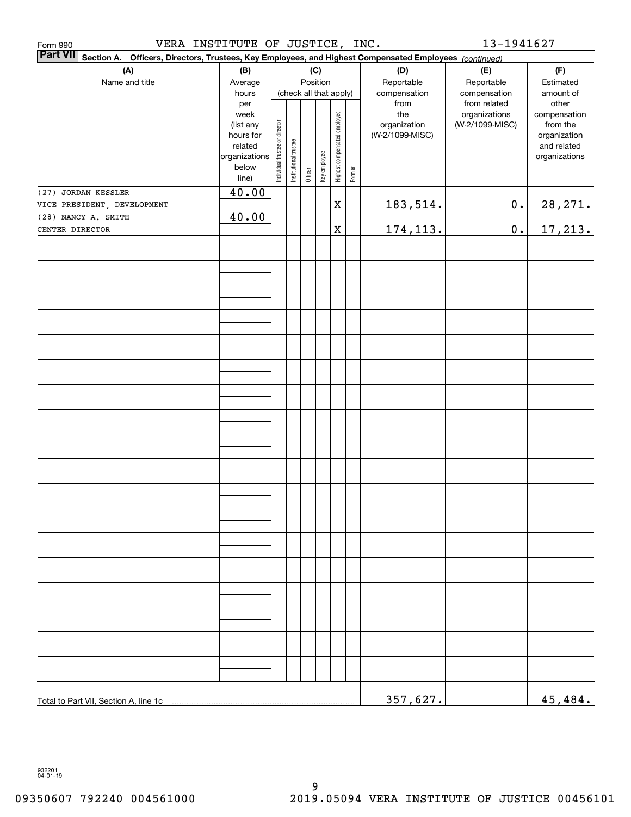| VERA INSTITUTE OF JUSTICE,<br>Form 990                                                                             |                        |                                |                        |         |              |                              |        | INC.                            | 13-1941627      |                             |  |
|--------------------------------------------------------------------------------------------------------------------|------------------------|--------------------------------|------------------------|---------|--------------|------------------------------|--------|---------------------------------|-----------------|-----------------------------|--|
| Part VII Section A.<br>Officers, Directors, Trustees, Key Employees, and Highest Compensated Employees (continued) |                        |                                |                        |         |              |                              |        |                                 |                 |                             |  |
| (B)<br>(A)<br>(C)                                                                                                  |                        |                                |                        |         |              | (D)                          | (E)    | (F)                             |                 |                             |  |
| Name and title                                                                                                     | Average                |                                |                        |         | Position     |                              |        | Reportable                      | Reportable      | Estimated                   |  |
|                                                                                                                    | hours                  |                                | (check all that apply) |         |              |                              |        | compensation                    | compensation    | amount of                   |  |
|                                                                                                                    | per                    |                                |                        |         |              |                              |        | from                            | from related    | other                       |  |
|                                                                                                                    | week                   |                                |                        |         |              |                              |        | the                             | organizations   | compensation                |  |
|                                                                                                                    | (list any<br>hours for |                                |                        |         |              |                              |        | organization<br>(W-2/1099-MISC) | (W-2/1099-MISC) | from the                    |  |
|                                                                                                                    | related                |                                |                        |         |              |                              |        |                                 |                 | organization<br>and related |  |
|                                                                                                                    | organizations          | Individual trustee or director | Institutional trustee  |         |              | Highest compensated employee |        |                                 |                 | organizations               |  |
|                                                                                                                    | below                  |                                |                        |         | Key employee |                              |        |                                 |                 |                             |  |
|                                                                                                                    | line)                  |                                |                        | Officer |              |                              | Former |                                 |                 |                             |  |
| (27) JORDAN KESSLER                                                                                                | 40.00                  |                                |                        |         |              |                              |        |                                 |                 |                             |  |
| VICE PRESIDENT, DEVELOPMENT                                                                                        |                        |                                |                        |         |              | $\mathbf X$                  |        | <u>183,514.</u>                 | $\mathbf 0$ .   | 28, 271.                    |  |
| (28) NANCY A. SMITH                                                                                                | 40.00                  |                                |                        |         |              |                              |        |                                 |                 |                             |  |
| CENTER DIRECTOR                                                                                                    |                        |                                |                        |         |              | $\mathbf X$                  |        | <u>174,113.</u>                 | $\mathbf 0$ .   | 17, 213.                    |  |
|                                                                                                                    |                        |                                |                        |         |              |                              |        |                                 |                 |                             |  |
|                                                                                                                    |                        |                                |                        |         |              |                              |        |                                 |                 |                             |  |
|                                                                                                                    |                        |                                |                        |         |              |                              |        |                                 |                 |                             |  |
|                                                                                                                    |                        |                                |                        |         |              |                              |        |                                 |                 |                             |  |
|                                                                                                                    |                        |                                |                        |         |              |                              |        |                                 |                 |                             |  |
|                                                                                                                    |                        |                                |                        |         |              |                              |        |                                 |                 |                             |  |
|                                                                                                                    |                        |                                |                        |         |              |                              |        |                                 |                 |                             |  |
|                                                                                                                    |                        |                                |                        |         |              |                              |        |                                 |                 |                             |  |
|                                                                                                                    |                        |                                |                        |         |              |                              |        |                                 |                 |                             |  |
|                                                                                                                    |                        |                                |                        |         |              |                              |        |                                 |                 |                             |  |
|                                                                                                                    |                        |                                |                        |         |              |                              |        |                                 |                 |                             |  |
|                                                                                                                    |                        |                                |                        |         |              |                              |        |                                 |                 |                             |  |
|                                                                                                                    |                        |                                |                        |         |              |                              |        |                                 |                 |                             |  |
|                                                                                                                    |                        |                                |                        |         |              |                              |        |                                 |                 |                             |  |
|                                                                                                                    |                        |                                |                        |         |              |                              |        |                                 |                 |                             |  |
|                                                                                                                    |                        |                                |                        |         |              |                              |        |                                 |                 |                             |  |
|                                                                                                                    |                        |                                |                        |         |              |                              |        |                                 |                 |                             |  |
|                                                                                                                    |                        |                                |                        |         |              |                              |        |                                 |                 |                             |  |
|                                                                                                                    |                        |                                |                        |         |              |                              |        |                                 |                 |                             |  |
|                                                                                                                    |                        |                                |                        |         |              |                              |        |                                 |                 |                             |  |
|                                                                                                                    |                        |                                |                        |         |              |                              |        |                                 |                 |                             |  |
|                                                                                                                    |                        |                                |                        |         |              |                              |        |                                 |                 |                             |  |
|                                                                                                                    |                        |                                |                        |         |              |                              |        |                                 |                 |                             |  |
|                                                                                                                    |                        |                                |                        |         |              |                              |        |                                 |                 |                             |  |
|                                                                                                                    |                        |                                |                        |         |              |                              |        |                                 |                 |                             |  |
|                                                                                                                    |                        |                                |                        |         |              |                              |        |                                 |                 |                             |  |
|                                                                                                                    |                        |                                |                        |         |              |                              |        |                                 |                 |                             |  |
|                                                                                                                    |                        |                                |                        |         |              |                              |        |                                 |                 |                             |  |
|                                                                                                                    |                        |                                |                        |         |              |                              |        | 357,627.                        |                 | 45,484.                     |  |

932201 04-01-19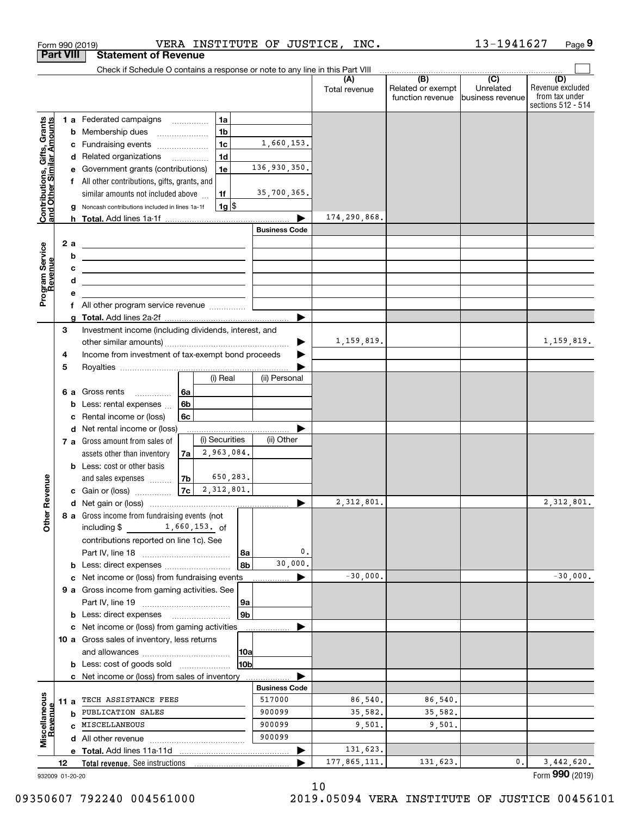|                                                           |                  | VERA INSTITUTE OF JUSTICE, INC.<br>Form 990 (2019)                                                                   |                      |                      |                                                     | 13-1941627                    | Page 9                                                          |
|-----------------------------------------------------------|------------------|----------------------------------------------------------------------------------------------------------------------|----------------------|----------------------|-----------------------------------------------------|-------------------------------|-----------------------------------------------------------------|
|                                                           | <b>Part VIII</b> | <b>Statement of Revenue</b>                                                                                          |                      |                      |                                                     |                               |                                                                 |
|                                                           |                  | Check if Schedule O contains a response or note to any line in this Part VIII                                        |                      |                      | $\overline{(\mathsf{B})}$ $\overline{(\mathsf{C})}$ |                               |                                                                 |
|                                                           |                  |                                                                                                                      |                      | (A)<br>Total revenue | Related or exempt<br>function revenue               | Unrelated<br>business revenue | (D)<br>Revenue excluded<br>from tax under<br>sections 512 - 514 |
|                                                           |                  | 1 a Federated campaigns<br>1a                                                                                        |                      |                      |                                                     |                               |                                                                 |
|                                                           |                  | 1 <sub>b</sub><br><b>b</b> Membership dues                                                                           |                      |                      |                                                     |                               |                                                                 |
|                                                           |                  | 1 <sub>c</sub><br>c Fundraising events                                                                               | 1,660,153.           |                      |                                                     |                               |                                                                 |
|                                                           |                  | 1 <sub>d</sub><br>d Related organizations                                                                            |                      |                      |                                                     |                               |                                                                 |
|                                                           |                  | e Government grants (contributions)<br>1e                                                                            | 136,930,350.         |                      |                                                     |                               |                                                                 |
|                                                           |                  | f All other contributions, gifts, grants, and                                                                        |                      |                      |                                                     |                               |                                                                 |
|                                                           |                  | similar amounts not included above<br>1f                                                                             | 35,700,365.          |                      |                                                     |                               |                                                                 |
| Contributions, Gifts, Grants<br>and Other Similar Amounts | g                | $1g$ \$<br>Noncash contributions included in lines 1a-1f                                                             |                      |                      |                                                     |                               |                                                                 |
|                                                           |                  |                                                                                                                      |                      | 174,290,868.         |                                                     |                               |                                                                 |
|                                                           |                  |                                                                                                                      | <b>Business Code</b> |                      |                                                     |                               |                                                                 |
|                                                           | 2a               | <u> 1980 - John Stone, Amerikaans en Stone (</u>                                                                     |                      |                      |                                                     |                               |                                                                 |
|                                                           | b                | <u> 1989 - Andrea Stadt Britain, amerikansk politiker (</u>                                                          |                      |                      |                                                     |                               |                                                                 |
|                                                           | с                | <u> Alexandria de la contrada de la contrada de la contrada de la contrada de la contrada de la contrada de la c</u> |                      |                      |                                                     |                               |                                                                 |
|                                                           | d                | <u> 1989 - Johann Stein, mars an de Brasilia (b. 1989)</u>                                                           |                      |                      |                                                     |                               |                                                                 |
| Program Service<br>Revenue                                | е                |                                                                                                                      |                      |                      |                                                     |                               |                                                                 |
|                                                           |                  |                                                                                                                      |                      |                      |                                                     |                               |                                                                 |
|                                                           |                  |                                                                                                                      |                      |                      |                                                     |                               |                                                                 |
|                                                           | 3                | Investment income (including dividends, interest, and                                                                |                      |                      |                                                     |                               |                                                                 |
|                                                           |                  |                                                                                                                      |                      | 1, 159, 819.         |                                                     |                               | 1,159,819.                                                      |
|                                                           | 4                | Income from investment of tax-exempt bond proceeds                                                                   |                      |                      |                                                     |                               |                                                                 |
|                                                           | 5                |                                                                                                                      |                      |                      |                                                     |                               |                                                                 |
|                                                           |                  | (i) Real                                                                                                             | (ii) Personal        |                      |                                                     |                               |                                                                 |
|                                                           |                  | 6a<br>6 a Gross rents                                                                                                |                      |                      |                                                     |                               |                                                                 |
|                                                           | b                | 6b<br>Less: rental expenses                                                                                          |                      |                      |                                                     |                               |                                                                 |
|                                                           | c                | Rental income or (loss)<br>6c                                                                                        |                      |                      |                                                     |                               |                                                                 |
|                                                           |                  | d Net rental income or (loss)                                                                                        |                      |                      |                                                     |                               |                                                                 |
|                                                           |                  | (i) Securities<br>7 a Gross amount from sales of                                                                     | (ii) Other           |                      |                                                     |                               |                                                                 |
|                                                           |                  | 2,963,084.<br>7a<br>assets other than inventory                                                                      |                      |                      |                                                     |                               |                                                                 |
|                                                           |                  | <b>b</b> Less: cost or other basis                                                                                   |                      |                      |                                                     |                               |                                                                 |
|                                                           |                  | 650,283.<br>7 <sub>b</sub><br>and sales expenses                                                                     |                      |                      |                                                     |                               |                                                                 |
| evenue                                                    |                  | 2,312,801.<br>7c<br>c Gain or (loss)                                                                                 |                      |                      |                                                     |                               |                                                                 |
|                                                           |                  |                                                                                                                      |                      | 2,312,801.           |                                                     |                               | 2, 312, 801.                                                    |
| Other R                                                   |                  | 8 a Gross income from fundraising events (not                                                                        |                      |                      |                                                     |                               |                                                                 |
|                                                           |                  | including $$ 1,660,153.$ of                                                                                          |                      |                      |                                                     |                               |                                                                 |
|                                                           |                  | contributions reported on line 1c). See                                                                              |                      |                      |                                                     |                               |                                                                 |
|                                                           |                  | 8a                                                                                                                   | 0.                   |                      |                                                     |                               |                                                                 |
|                                                           |                  | 8b                                                                                                                   | 30,000.              |                      |                                                     |                               |                                                                 |
|                                                           | c                | Net income or (loss) from fundraising events                                                                         |                      | $-30,000.$           |                                                     |                               | $-30,000.$                                                      |
|                                                           |                  | 9 a Gross income from gaming activities. See                                                                         |                      |                      |                                                     |                               |                                                                 |
|                                                           |                  | 9a                                                                                                                   |                      |                      |                                                     |                               |                                                                 |
|                                                           |                  | 9b<br><b>b</b> Less: direct expenses <b>manually</b>                                                                 |                      |                      |                                                     |                               |                                                                 |
|                                                           |                  | c Net income or (loss) from gaming activities                                                                        |                      |                      |                                                     |                               |                                                                 |
|                                                           |                  | 10 a Gross sales of inventory, less returns                                                                          |                      |                      |                                                     |                               |                                                                 |
|                                                           |                  | 10a                                                                                                                  |                      |                      |                                                     |                               |                                                                 |
|                                                           |                  | 10b<br><b>b</b> Less: cost of goods sold                                                                             |                      |                      |                                                     |                               |                                                                 |
|                                                           |                  | c Net income or (loss) from sales of inventory                                                                       |                      |                      |                                                     |                               |                                                                 |
|                                                           |                  |                                                                                                                      | <b>Business Code</b> |                      |                                                     |                               |                                                                 |
|                                                           | 11 a             | TECH ASSISTANCE FEES                                                                                                 | 517000               | 86,540.              | 86,540.                                             |                               |                                                                 |
|                                                           |                  | <b>b</b> PUBLICATION SALES                                                                                           | 900099               | 35,582.              | 35,582.                                             |                               |                                                                 |
| Miscellaneous<br>Revenue                                  |                  | c MISCELLANEOUS                                                                                                      | 900099               | 9,501.               | 9,501.                                              |                               |                                                                 |
|                                                           |                  |                                                                                                                      | 900099               |                      |                                                     |                               |                                                                 |
|                                                           |                  | <b>e Total.</b> Add lines 11a 11d                                                                                    |                      | 131,623.             |                                                     |                               |                                                                 |
|                                                           | 12               | Total revenue. See instructions                                                                                      |                      | 177,865,111.         | 131,623.                                            | 0.                            | 3,442,620.                                                      |
|                                                           |                  |                                                                                                                      |                      |                      |                                                     |                               | Form 990 (2019)                                                 |
|                                                           | 932009 01-20-20  |                                                                                                                      |                      |                      |                                                     |                               |                                                                 |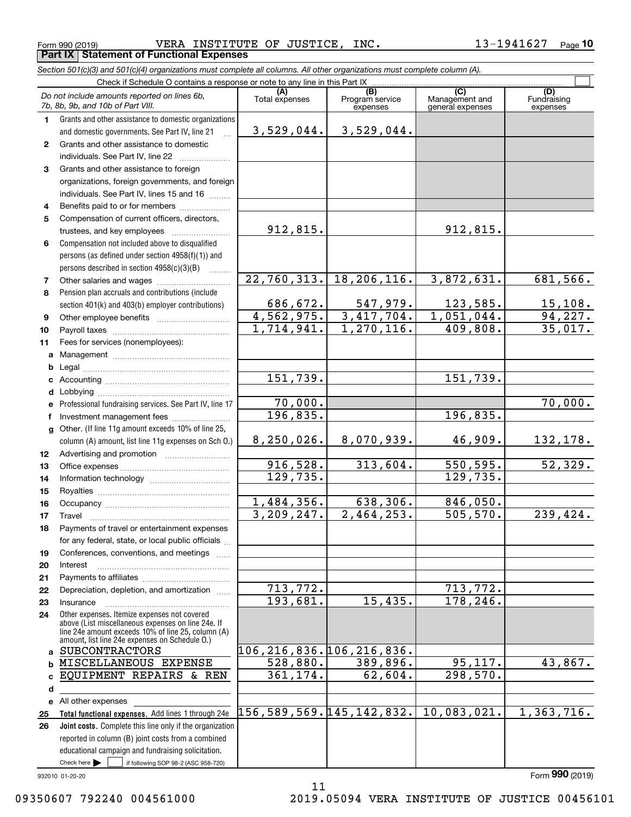$_{\rm Form}$   $_{990}$   $_{(2019)}$   $_{\rm WERA}$  INSTITUTE OF JUSTICE, INC.  $13$ – $1941627$   $_{\rm Page}$ **Part IX Statement of Functional Expenses**

#### **(A)**<br>Total expenses **(C)** (C) (C)<br>
penses Program service Management and Fundrai<br>
expenses general expenses expen **123** Grants and other assistance to foreign **4567891011abcdefg12131415161718192021222324abc**EQUIPMENT REPAIRS & REN **de** All other expenses *Section 501(c)(3) and 501(c)(4) organizations must complete all columns. All other organizations must complete column (A).* Grants and other assistance to domestic organizations and domestic governments. See Part IV, line 21 Compensation not included above to disqualified persons (as defined under section 4958(f)(1)) and persons described in section 4958(c)(3)(B)  $\quad \ldots \ldots \ldots$ Pension plan accruals and contributions (include section 401(k) and 403(b) employer contributions) Professional fundraising services. See Part IV, line 17 Other. (If line 11g amount exceeds 10% of line 25, column (A) amount, list line 11g expenses on Sch O.) Other expenses. Itemize expenses not covered above (List miscellaneous expenses on line 24e. If line 24e amount exceeds 10% of line 25, column (A) amount, list line 24e expenses on Schedule O.) Check if Schedule O contains a response or note to any line in this Part IX (C) (C) (C) (C) (C) (C) Program service expensesFundraising expensesGrants and other assistance to domestic individuals. See Part IV, line 22 organizations, foreign governments, and foreign individuals. See Part IV, lines 15 and 16  $\ldots$ Benefits paid to or for members ..................... Compensation of current officers, directors, trustees, and key employees  $\ldots$   $\ldots$   $\ldots$   $\ldots$   $\ldots$   $\ldots$ Other salaries and wages ~~~~~~~~~~ Other employee benefits ~~~~~~~~~~ Payroll taxes ~~~~~~~~~~~~~~~~ Fees for services (nonemployees): Management ~~~~~~~~~~~~~~~~ Legal ~~~~~~~~~~~~~~~~~~~~Accounting ~~~~~~~~~~~~~~~~~ Lobbying ~~~~~~~~~~~~~~~~~~lnvestment management fees ....................... Advertising and promotion www.communication Office expenses ~~~~~~~~~~~~~~~Information technology ~~~~~~~~~~~ Royalties ~~~~~~~~~~~~~~~~~~ Occupancy ~~~~~~~~~~~~~~~~~ Travel ……………………………………………… Payments of travel or entertainment expenses for any federal, state, or local public officials ... Conferences, conventions, and meetings Interest Payments to affiliates ~~~~~~~~~~~~ Depreciation, depletion, and amortization  $\,\,\ldots\,\,$ Insurance~~~~~~~~~~~~~~~~~*Do not include amounts reported on lines 6b, 7b, 8b, 9b, and 10b of Part VIII.*  $\mathcal{L}^{\text{max}}$ 3,529,044. 912,815. 22,760,313. 686,672. 4,562,975. 1,714,941. 151,739. 70,000. 8,250,026. 916,528. 129,735. 1,484,356. 3,209,247. 713,772. 193,681. 106,216,836. 106,216,836. 528,880. 361,174. 156,589,569. 145,142,832. 10,083,021. 1,363,716. 196,835. 3,529,044. 912,815. 18,206,116. 3,872,631. 681,566.  $547,979.$  123,585. 15,108. 3,417,704. 1,051,044. 94,227. 1,270,116. 409,808. 35,017. 151,739. 70,000. 196,835. 8,070,939. 46,909. 132,178.  $313,604.$  550,595. 52,329. 129,735. 638,306. 846,050.  $2,464,253.$  505,570. 239,424. 713,772. 15,435. 178,246. 389,896. 95,117. 43,867. 62,604. 298,570. SUBCONTRACTORS MISCELLANEOUS EXPENSE

11

**Total functional expenses.**  Add lines 1 through 24e **Joint costs.** Complete this line only if the organization **2526**reported in column (B) joint costs from a combined educational campaign and fundraising solicitation.

Check here  $\bullet$  if following SOP 98-2 (ASC 958-720)

932010 01-20-20

Check here  $\blacktriangleright$ 

Form (2019) **990**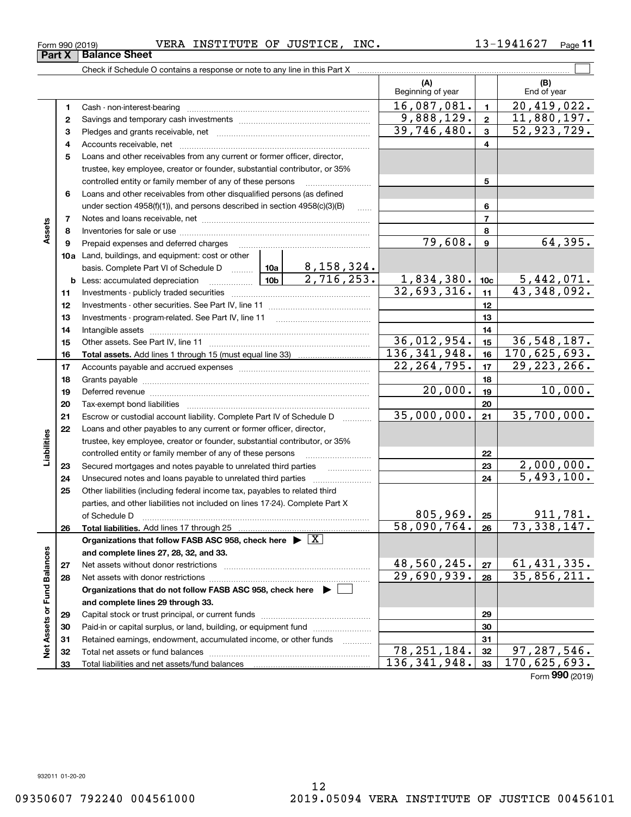$\frac{1}{2}$ 

78,251,184. 97,287,546. 136,341,948. 170,625,693.

Form (2019) **990**

**Part X** B  $\mathcal{L}^{\text{max}}$ Check if Schedule O contains a response or note to any line in this Part X **(A) (B)** Beginning of year | | End of year 16,087,081. 20,419,022. **11**Cash - non-interest-bearing ~~~~~~~~~~~~~~~~~~~~~~~~~  $9,888,129. | 2 | 11,880,197.$ **22**Savings and temporary cash investments ~~~~~~~~~~~~~~~~~~39,746,480. 52,923,729. **33** Pledges and grants receivable, net  $\ldots$  **multimes contained and grants receivable**, net **multimes contained and grants receivable**, net **multimes contained and grants receivable** Accounts receivable, net ~~~~~~~~~~~~~~~~~~~~~~~~~~ **44**Loans and other receivables from any current or former officer, director, **5**trustee, key employee, creator or founder, substantial contributor, or 35% controlled entity or family member of any of these persons ............................ **5**Loans and other receivables from other disqualified persons (as defined **6**under section  $4958(f)(1)$ , and persons described in section  $4958(c)(3)(B)$ **677**Notes and loans receivable, net ~~~~~~~~~~~~~~~~~~~~~~~**Assets 88**Inventories for sale or use ~~~~~~~~~~~~~~~~~~~~~~~~~~  $79,608$ .  $9$  64,395. **99**Prepaid expenses and deferred charges ~~~~~~~~~~~~~~~~~~ **10a**Land, buildings, and equipment: cost or other 8,158,324. basis. Complete Part VI of Schedule D will aller  $2,716,253. \qquad 1,834,380.$   $\vert \cdot \vert$  10c  $\vert$  5,442,071. **10cb** Less: accumulated depreciation  $\ldots$  **10b**  $32,693,316.$   $\mid$  11  $\mid$  43,348,092. **1111**Investments - publicly traded securities ~~~~~~~~~~~~~~~~~~~ **1212**Investments - other securities. See Part IV, line 11 ~~~~~~~~~~~~~~ **1313**Investments - program-related. See Part IV, line 11 ~~~~~~~~~~~~~**1414**Intangible assets ~~~~~~~~~~~~~~~~~~~~~~~~~~~~~~ Other assets. See Part IV, line 11 ~~~~~~~~~~~~~~~~~~~~~~  $36,012,954.$   $15$  36,548,187. **1515**136,341,948. 170,625,693. **1616Total assets.**  Add lines 1 through 15 (must equal line 33)  $22,264,795.$   $\boxed{17}$   $\boxed{29,223,266}$ . **1717**Accounts payable and accrued expenses ~~~~~~~~~~~~~~~~~~ **1818**Grants payable ~~~~~~~~~~~~~~~~~~~~~~~~~~~~~~~ 20,000. 10,000. **1919**Deferred revenue ~~~~~~~~~~~~~~~~~~~~~~~~~~~~~~ **2020**Tax-exempt bond liabilities …………………………………………………………… 35,000,000. 35,700,000. Escrow or custodial account liability. Complete Part IV of Schedule D **212122**Loans and other payables to any current or former officer, director, **Liabilities** iabilities trustee, key employee, creator or founder, substantial contributor, or 35% **22**controlled entity or family member of any of these persons ~~~~~~~~~2,000,000. **23**Secured mortgages and notes payable to unrelated third parties **23**5,493,100. Unsecured notes and loans payable to unrelated third parties **242425**Other liabilities (including federal income tax, payables to related third parties, and other liabilities not included on lines 17-24). Complete Part X of Schedule D ~~~~~~~~~~~~~~~~~~~~~~~~~~~~~~~  $805,969.$  25 | 911,781. **25**58,090,764. 73,338,147. **2626Total liabilities.**  Add lines 17 through 25 **Organizations that follow FASB ASC 958, check here** | X Assets or Fund Balances **Net Assets or Fund Balances and complete lines 27, 28, 32, and 33.** 48,560,245. 61,431,335. **2727**Net assets without donor restrictions <sub>…………………………………………………</sub>……  $29,690,939. |28 | 35,856,211.$ **2828**Net assets with donor restrictions ~~~~~~~~~~~~~~~~~~~~~~ **Organizations that do not follow FASB ASC 958, check here** | **and complete lines 29 through 33. 2929**Capital stock or trust principal, or current funds ~~~~~~~~~~~~~~~

Paid-in or capital surplus, or land, building, or equipment fund www.commun.com Retained earnings, endowment, accumulated income, or other funds www.com Total net assets or fund balances ~~~~~~~~~~~~~~~~~~~~~~

Total liabilities and net assets/fund balances

| . |                      |
|---|----------------------|
|   | <b>Balance Sheet</b> |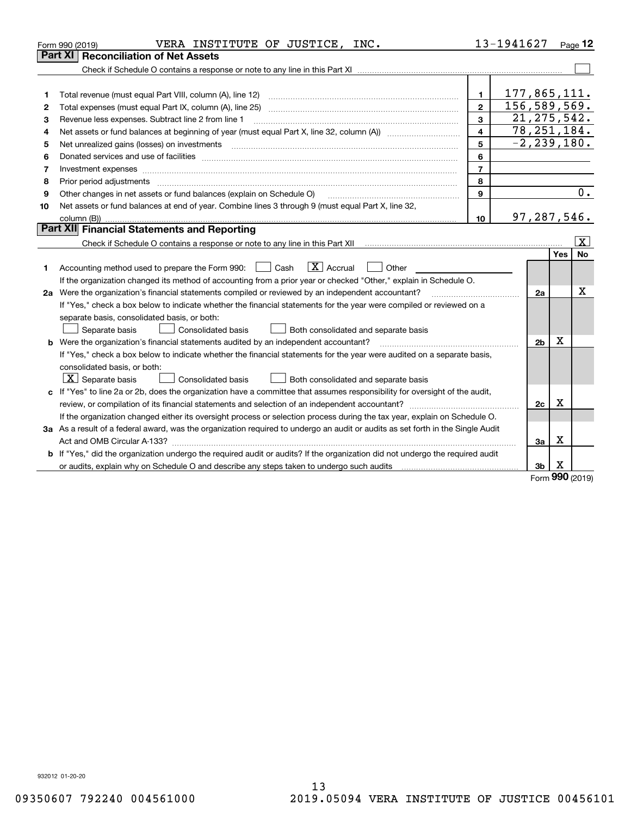|    | VERA INSTITUTE OF JUSTICE, INC.<br>Form 990 (2019)                                                                                                                                      |                | 13-1941627      |                |          | $_{\text{Page}}$ 12     |
|----|-----------------------------------------------------------------------------------------------------------------------------------------------------------------------------------------|----------------|-----------------|----------------|----------|-------------------------|
|    | <b>Reconciliation of Net Assets</b><br>Part XI                                                                                                                                          |                |                 |                |          |                         |
|    |                                                                                                                                                                                         |                |                 |                |          |                         |
|    |                                                                                                                                                                                         |                |                 |                |          |                         |
| 1  | Total revenue (must equal Part VIII, column (A), line 12)                                                                                                                               | $\mathbf{1}$   | 177,865,111.    |                |          |                         |
| 2  |                                                                                                                                                                                         | $\overline{2}$ | 156,589,569.    |                |          |                         |
| з  | Revenue less expenses. Subtract line 2 from line 1                                                                                                                                      | 3              | 21, 275, 542.   |                |          |                         |
| 4  | Net assets or fund balances at beginning of year (must equal Part X, line 32, column (A)) <i>massets</i> or fund balances at beginning of year (must equal Part X, line 32, column (A)) | 4              | 78, 251, 184.   |                |          |                         |
| 5  | Net unrealized gains (losses) on investments                                                                                                                                            | 5              | $-2, 239, 180.$ |                |          |                         |
| 6  |                                                                                                                                                                                         | 6              |                 |                |          |                         |
| 7  |                                                                                                                                                                                         | $\overline{7}$ |                 |                |          |                         |
| 8  | Prior period adjustments                                                                                                                                                                | 8              |                 |                |          |                         |
| 9  | Other changes in net assets or fund balances (explain on Schedule O)                                                                                                                    | 9              |                 |                |          | 0.                      |
| 10 | Net assets or fund balances at end of year. Combine lines 3 through 9 (must equal Part X, line 32,                                                                                      |                |                 |                |          |                         |
|    |                                                                                                                                                                                         | 10             | 97,287,546.     |                |          |                         |
|    | Part XII Financial Statements and Reporting                                                                                                                                             |                |                 |                |          |                         |
|    |                                                                                                                                                                                         |                |                 |                |          | $\overline{\mathbf{x}}$ |
|    |                                                                                                                                                                                         |                |                 |                | Yes      | No                      |
| 1  | $\boxed{\mathbf{X}}$ Accrual<br>Accounting method used to prepare the Form 990: <u>I</u> Cash<br>Other                                                                                  |                |                 |                |          |                         |
|    | If the organization changed its method of accounting from a prior year or checked "Other," explain in Schedule O.                                                                       |                |                 |                |          |                         |
|    | 2a Were the organization's financial statements compiled or reviewed by an independent accountant?                                                                                      |                |                 | 2a             |          | x                       |
|    | If "Yes," check a box below to indicate whether the financial statements for the year were compiled or reviewed on a                                                                    |                |                 |                |          |                         |
|    | separate basis, consolidated basis, or both:                                                                                                                                            |                |                 |                |          |                         |
|    | Separate basis<br>Both consolidated and separate basis<br><b>Consolidated basis</b>                                                                                                     |                |                 |                |          |                         |
|    | <b>b</b> Were the organization's financial statements audited by an independent accountant?                                                                                             |                |                 | 2 <sub>b</sub> | X        |                         |
|    | If "Yes," check a box below to indicate whether the financial statements for the year were audited on a separate basis,                                                                 |                |                 |                |          |                         |
|    | consolidated basis, or both:                                                                                                                                                            |                |                 |                |          |                         |
|    | $X$ Separate basis<br><b>Consolidated basis</b><br>Both consolidated and separate basis                                                                                                 |                |                 |                |          |                         |
|    | c If "Yes" to line 2a or 2b, does the organization have a committee that assumes responsibility for oversight of the audit,                                                             |                |                 |                |          |                         |
|    | review, or compilation of its financial statements and selection of an independent accountant?                                                                                          |                |                 | 2c             | x        |                         |
|    | If the organization changed either its oversight process or selection process during the tax year, explain on Schedule O.                                                               |                |                 |                |          |                         |
|    | 3a As a result of a federal award, was the organization required to undergo an audit or audits as set forth in the Single Audit                                                         |                |                 |                |          |                         |
|    |                                                                                                                                                                                         |                |                 | 3a             | X        |                         |
|    | b If "Yes," did the organization undergo the required audit or audits? If the organization did not undergo the required audit                                                           |                |                 |                |          |                         |
|    |                                                                                                                                                                                         |                |                 | 3b             | х<br>nnn |                         |

Form (2019) **990**

932012 01-20-20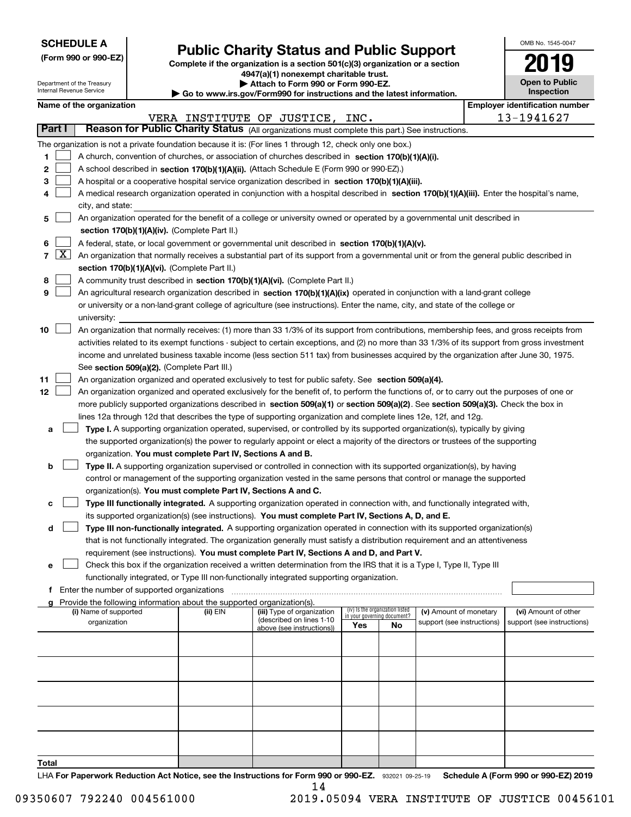| <b>SCHEDULE A</b> |
|-------------------|
|-------------------|

|  |  |  | (Form 990 or 990-EZ) |  |
|--|--|--|----------------------|--|
|--|--|--|----------------------|--|

## **Public Charity Status and Public Support**

**Complete if the organization is a section 501(c)(3) organization or a section 4947(a)(1) nonexempt charitable trust.**

| OMB No. 1545-0047                   |
|-------------------------------------|
| 019                                 |
| <b>Open to Public</b><br>Inspection |

| Internal Revenue Service | Department of the Treasury                                                                                                                                                 |                                             |                                                                                    | Attach to Form 990 or Form 990-EZ.<br>▶ Go to www.irs.gov/Form990 for instructions and the latest information.                                |     |                                   |                            |  | <b>Open to Public</b><br>Inspection   |
|--------------------------|----------------------------------------------------------------------------------------------------------------------------------------------------------------------------|---------------------------------------------|------------------------------------------------------------------------------------|-----------------------------------------------------------------------------------------------------------------------------------------------|-----|-----------------------------------|----------------------------|--|---------------------------------------|
|                          | Name of the organization                                                                                                                                                   |                                             |                                                                                    |                                                                                                                                               |     |                                   |                            |  | <b>Employer identification number</b> |
|                          |                                                                                                                                                                            |                                             |                                                                                    | VERA INSTITUTE OF JUSTICE, INC.                                                                                                               |     |                                   |                            |  | 13-1941627                            |
| Part I                   |                                                                                                                                                                            |                                             |                                                                                    | Reason for Public Charity Status (All organizations must complete this part.) See instructions.                                               |     |                                   |                            |  |                                       |
|                          |                                                                                                                                                                            |                                             |                                                                                    | The organization is not a private foundation because it is: (For lines 1 through 12, check only one box.)                                     |     |                                   |                            |  |                                       |
| 1                        |                                                                                                                                                                            |                                             |                                                                                    | A church, convention of churches, or association of churches described in section 170(b)(1)(A)(i).                                            |     |                                   |                            |  |                                       |
| 2                        |                                                                                                                                                                            |                                             |                                                                                    | A school described in section 170(b)(1)(A)(ii). (Attach Schedule E (Form 990 or 990-EZ).)                                                     |     |                                   |                            |  |                                       |
| 3                        |                                                                                                                                                                            |                                             |                                                                                    | A hospital or a cooperative hospital service organization described in section 170(b)(1)(A)(iii).                                             |     |                                   |                            |  |                                       |
| 4                        |                                                                                                                                                                            |                                             |                                                                                    | A medical research organization operated in conjunction with a hospital described in section 170(b)(1)(A)(iii). Enter the hospital's name,    |     |                                   |                            |  |                                       |
|                          | city, and state:                                                                                                                                                           |                                             |                                                                                    |                                                                                                                                               |     |                                   |                            |  |                                       |
| 5                        |                                                                                                                                                                            |                                             |                                                                                    |                                                                                                                                               |     |                                   |                            |  |                                       |
|                          | An organization operated for the benefit of a college or university owned or operated by a governmental unit described in<br>section 170(b)(1)(A)(iv). (Complete Part II.) |                                             |                                                                                    |                                                                                                                                               |     |                                   |                            |  |                                       |
| 6                        |                                                                                                                                                                            |                                             |                                                                                    | A federal, state, or local government or governmental unit described in section 170(b)(1)(A)(v).                                              |     |                                   |                            |  |                                       |
| $7 \mid X \mid$          |                                                                                                                                                                            |                                             |                                                                                    | An organization that normally receives a substantial part of its support from a governmental unit or from the general public described in     |     |                                   |                            |  |                                       |
|                          |                                                                                                                                                                            |                                             | section 170(b)(1)(A)(vi). (Complete Part II.)                                      |                                                                                                                                               |     |                                   |                            |  |                                       |
| 8                        |                                                                                                                                                                            |                                             |                                                                                    | A community trust described in section 170(b)(1)(A)(vi). (Complete Part II.)                                                                  |     |                                   |                            |  |                                       |
| 9                        |                                                                                                                                                                            |                                             |                                                                                    | An agricultural research organization described in section 170(b)(1)(A)(ix) operated in conjunction with a land-grant college                 |     |                                   |                            |  |                                       |
|                          |                                                                                                                                                                            |                                             |                                                                                    | or university or a non-land-grant college of agriculture (see instructions). Enter the name, city, and state of the college or                |     |                                   |                            |  |                                       |
|                          | university:                                                                                                                                                                |                                             |                                                                                    |                                                                                                                                               |     |                                   |                            |  |                                       |
| 10                       |                                                                                                                                                                            |                                             |                                                                                    | An organization that normally receives: (1) more than 33 1/3% of its support from contributions, membership fees, and gross receipts from     |     |                                   |                            |  |                                       |
|                          |                                                                                                                                                                            |                                             |                                                                                    | activities related to its exempt functions - subject to certain exceptions, and (2) no more than 33 1/3% of its support from gross investment |     |                                   |                            |  |                                       |
|                          |                                                                                                                                                                            |                                             |                                                                                    | income and unrelated business taxable income (less section 511 tax) from businesses acquired by the organization after June 30, 1975.         |     |                                   |                            |  |                                       |
|                          |                                                                                                                                                                            |                                             | See section 509(a)(2). (Complete Part III.)                                        |                                                                                                                                               |     |                                   |                            |  |                                       |
| 11                       |                                                                                                                                                                            |                                             |                                                                                    | An organization organized and operated exclusively to test for public safety. See section 509(a)(4).                                          |     |                                   |                            |  |                                       |
| 12                       |                                                                                                                                                                            |                                             |                                                                                    | An organization organized and operated exclusively for the benefit of, to perform the functions of, or to carry out the purposes of one or    |     |                                   |                            |  |                                       |
|                          |                                                                                                                                                                            |                                             |                                                                                    | more publicly supported organizations described in section 509(a)(1) or section 509(a)(2). See section 509(a)(3). Check the box in            |     |                                   |                            |  |                                       |
|                          |                                                                                                                                                                            |                                             |                                                                                    | lines 12a through 12d that describes the type of supporting organization and complete lines 12e, 12f, and 12g.                                |     |                                   |                            |  |                                       |
| a                        |                                                                                                                                                                            |                                             |                                                                                    | Type I. A supporting organization operated, supervised, or controlled by its supported organization(s), typically by giving                   |     |                                   |                            |  |                                       |
|                          |                                                                                                                                                                            |                                             |                                                                                    | the supported organization(s) the power to regularly appoint or elect a majority of the directors or trustees of the supporting               |     |                                   |                            |  |                                       |
|                          |                                                                                                                                                                            |                                             | organization. You must complete Part IV, Sections A and B.                         |                                                                                                                                               |     |                                   |                            |  |                                       |
| b                        |                                                                                                                                                                            |                                             |                                                                                    | Type II. A supporting organization supervised or controlled in connection with its supported organization(s), by having                       |     |                                   |                            |  |                                       |
|                          |                                                                                                                                                                            |                                             |                                                                                    | control or management of the supporting organization vested in the same persons that control or manage the supported                          |     |                                   |                            |  |                                       |
|                          |                                                                                                                                                                            |                                             | organization(s). You must complete Part IV, Sections A and C.                      |                                                                                                                                               |     |                                   |                            |  |                                       |
| с                        |                                                                                                                                                                            |                                             |                                                                                    | Type III functionally integrated. A supporting organization operated in connection with, and functionally integrated with,                    |     |                                   |                            |  |                                       |
|                          |                                                                                                                                                                            |                                             |                                                                                    | its supported organization(s) (see instructions). You must complete Part IV, Sections A, D, and E.                                            |     |                                   |                            |  |                                       |
| d                        |                                                                                                                                                                            |                                             |                                                                                    | Type III non-functionally integrated. A supporting organization operated in connection with its supported organization(s)                     |     |                                   |                            |  |                                       |
|                          |                                                                                                                                                                            |                                             |                                                                                    | that is not functionally integrated. The organization generally must satisfy a distribution requirement and an attentiveness                  |     |                                   |                            |  |                                       |
|                          |                                                                                                                                                                            |                                             |                                                                                    | requirement (see instructions). You must complete Part IV, Sections A and D, and Part V.                                                      |     |                                   |                            |  |                                       |
| е                        |                                                                                                                                                                            |                                             |                                                                                    | Check this box if the organization received a written determination from the IRS that it is a Type I, Type II, Type III                       |     |                                   |                            |  |                                       |
|                          |                                                                                                                                                                            |                                             |                                                                                    | functionally integrated, or Type III non-functionally integrated supporting organization.                                                     |     |                                   |                            |  |                                       |
| f                        |                                                                                                                                                                            | Enter the number of supported organizations |                                                                                    |                                                                                                                                               |     |                                   |                            |  |                                       |
|                          | (i) Name of supported                                                                                                                                                      |                                             | Provide the following information about the supported organization(s).<br>(ii) EIN | (iii) Type of organization                                                                                                                    |     | (iv) Is the organization listed   | (v) Amount of monetary     |  | (vi) Amount of other                  |
|                          | organization                                                                                                                                                               |                                             |                                                                                    | (described on lines 1-10                                                                                                                      | Yes | in your governing document?<br>No | support (see instructions) |  | support (see instructions)            |
|                          |                                                                                                                                                                            |                                             |                                                                                    | above (see instructions))                                                                                                                     |     |                                   |                            |  |                                       |
|                          |                                                                                                                                                                            |                                             |                                                                                    |                                                                                                                                               |     |                                   |                            |  |                                       |
|                          |                                                                                                                                                                            |                                             |                                                                                    |                                                                                                                                               |     |                                   |                            |  |                                       |
|                          |                                                                                                                                                                            |                                             |                                                                                    |                                                                                                                                               |     |                                   |                            |  |                                       |
|                          |                                                                                                                                                                            |                                             |                                                                                    |                                                                                                                                               |     |                                   |                            |  |                                       |
|                          |                                                                                                                                                                            |                                             |                                                                                    |                                                                                                                                               |     |                                   |                            |  |                                       |
|                          |                                                                                                                                                                            |                                             |                                                                                    |                                                                                                                                               |     |                                   |                            |  |                                       |
|                          |                                                                                                                                                                            |                                             |                                                                                    |                                                                                                                                               |     |                                   |                            |  |                                       |
|                          |                                                                                                                                                                            |                                             |                                                                                    |                                                                                                                                               |     |                                   |                            |  |                                       |
|                          |                                                                                                                                                                            |                                             |                                                                                    |                                                                                                                                               |     |                                   |                            |  |                                       |

**Total**

LHA For Paperwork Reduction Act Notice, see the Instructions for Form 990 or 990-EZ. 932021 09-25-19 Schedule A (Form 990 or 990-EZ) 2019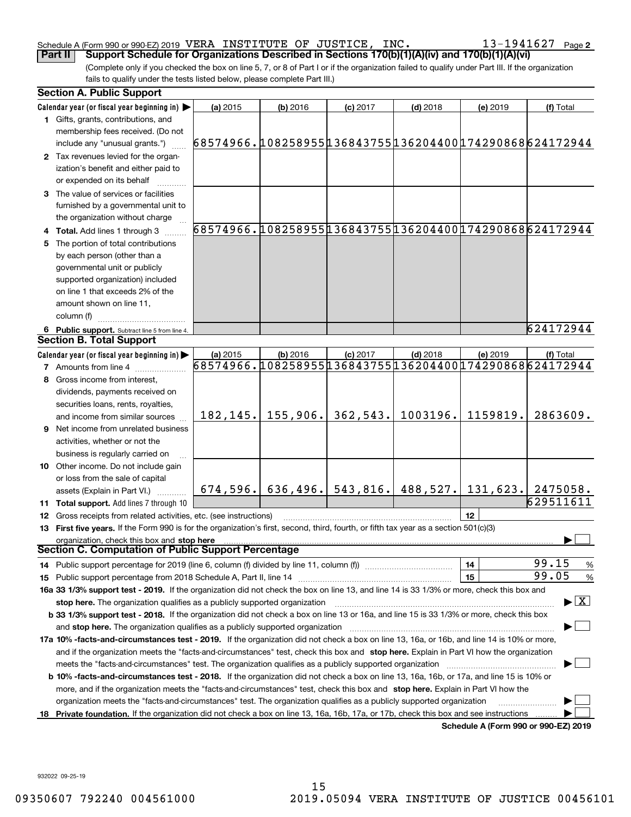#### Schedule A (Form 990 or 990-EZ) 2019 Page VERA INSTITUTE OF JUSTICE, INC. 13-1941627

**2**

(Complete only if you checked the box on line 5, 7, or 8 of Part I or if the organization failed to qualify under Part III. If the organization fails to qualify under the tests listed below, please complete Part III.) **Part II Support Schedule for Organizations Described in Sections 170(b)(1)(A)(iv) and 170(b)(1)(A)(vi)**

|    | <b>Section A. Public Support</b>                                                                                                               |                                                        |                       |            |                                           |                                      |                                          |
|----|------------------------------------------------------------------------------------------------------------------------------------------------|--------------------------------------------------------|-----------------------|------------|-------------------------------------------|--------------------------------------|------------------------------------------|
|    | Calendar year (or fiscal year beginning in) $\blacktriangleright$                                                                              | (a) 2015                                               | $(b)$ 2016            | $(c)$ 2017 | $(d)$ 2018                                | (e) 2019                             | (f) Total                                |
|    | 1 Gifts, grants, contributions, and<br>membership fees received. (Do not                                                                       |                                                        |                       |            |                                           |                                      |                                          |
|    | include any "unusual grants.")                                                                                                                 | 68574966.108258955136843755136204400174290868624172944 |                       |            |                                           |                                      |                                          |
|    | 2 Tax revenues levied for the organ-<br>ization's benefit and either paid to<br>or expended on its behalf                                      |                                                        |                       |            |                                           |                                      |                                          |
|    | 3 The value of services or facilities<br>furnished by a governmental unit to                                                                   |                                                        |                       |            |                                           |                                      |                                          |
|    | the organization without charge                                                                                                                |                                                        |                       |            |                                           |                                      |                                          |
|    | 4 Total. Add lines 1 through 3                                                                                                                 | 68574966.108258955136843755136204400174290868624172944 |                       |            |                                           |                                      |                                          |
| 5. | The portion of total contributions                                                                                                             |                                                        |                       |            |                                           |                                      |                                          |
|    | by each person (other than a                                                                                                                   |                                                        |                       |            |                                           |                                      |                                          |
|    | governmental unit or publicly                                                                                                                  |                                                        |                       |            |                                           |                                      |                                          |
|    | supported organization) included                                                                                                               |                                                        |                       |            |                                           |                                      |                                          |
|    | on line 1 that exceeds 2% of the                                                                                                               |                                                        |                       |            |                                           |                                      |                                          |
|    | amount shown on line 11,                                                                                                                       |                                                        |                       |            |                                           |                                      |                                          |
|    | column (f)                                                                                                                                     |                                                        |                       |            |                                           |                                      |                                          |
|    | 6 Public support. Subtract line 5 from line 4.                                                                                                 |                                                        |                       |            |                                           |                                      | 624172944                                |
|    | <b>Section B. Total Support</b>                                                                                                                |                                                        |                       |            |                                           |                                      |                                          |
|    | Calendar year (or fiscal year beginning in) $\blacktriangleright$                                                                              | (a) 2015                                               | $(b)$ 2016            | $(c)$ 2017 | $(d)$ 2018                                | (e) 2019                             | (f) Total                                |
|    | <b>7</b> Amounts from line 4                                                                                                                   | 68574966.108258955136843755136204400174290868624172944 |                       |            |                                           |                                      |                                          |
|    | Gross income from interest,                                                                                                                    |                                                        |                       |            |                                           |                                      |                                          |
|    | dividends, payments received on                                                                                                                |                                                        |                       |            |                                           |                                      |                                          |
|    | securities loans, rents, royalties,                                                                                                            |                                                        |                       |            |                                           |                                      |                                          |
|    | and income from similar sources                                                                                                                |                                                        | $182, 145.$ 155, 906. | 362,543.   | 1003196.                                  | 1159819.                             | 2863609.                                 |
|    | <b>9</b> Net income from unrelated business                                                                                                    |                                                        |                       |            |                                           |                                      |                                          |
|    | activities, whether or not the                                                                                                                 |                                                        |                       |            |                                           |                                      |                                          |
|    | business is regularly carried on                                                                                                               |                                                        |                       |            |                                           |                                      |                                          |
|    | 10 Other income. Do not include gain                                                                                                           |                                                        |                       |            |                                           |                                      |                                          |
|    | or loss from the sale of capital                                                                                                               |                                                        |                       |            |                                           |                                      |                                          |
|    | assets (Explain in Part VI.)                                                                                                                   | 674,596.                                               |                       |            | $636, 496.$ 543, 816. 488, 527. 131, 623. |                                      | 2475058.                                 |
|    | 11 Total support. Add lines 7 through 10                                                                                                       |                                                        |                       |            |                                           |                                      | 629511611                                |
|    | 12 Gross receipts from related activities, etc. (see instructions)                                                                             |                                                        |                       |            |                                           | 12                                   |                                          |
|    | 13 First five years. If the Form 990 is for the organization's first, second, third, fourth, or fifth tax year as a section 501(c)(3)          |                                                        |                       |            |                                           |                                      |                                          |
|    | organization, check this box and stop here<br><b>Section C. Computation of Public Support Percentage</b>                                       |                                                        |                       |            |                                           |                                      |                                          |
|    | 14 Public support percentage for 2019 (line 6, column (f) divided by line 11, column (f) <i></i>                                               |                                                        |                       |            |                                           | 14                                   | 99.15<br>%                               |
|    |                                                                                                                                                |                                                        |                       |            |                                           | 15                                   | 99.05<br>$\%$                            |
|    | 16a 33 1/3% support test - 2019. If the organization did not check the box on line 13, and line 14 is 33 1/3% or more, check this box and      |                                                        |                       |            |                                           |                                      |                                          |
|    | stop here. The organization qualifies as a publicly supported organization                                                                     |                                                        |                       |            |                                           |                                      | $\blacktriangleright$ $\boxed{\text{X}}$ |
|    | b 33 1/3% support test - 2018. If the organization did not check a box on line 13 or 16a, and line 15 is 33 1/3% or more, check this box       |                                                        |                       |            |                                           |                                      |                                          |
|    | and stop here. The organization qualifies as a publicly supported organization [11] [11] [12] [12] [12] [12] [                                 |                                                        |                       |            |                                           |                                      |                                          |
|    | 17a 10% -facts-and-circumstances test - 2019. If the organization did not check a box on line 13, 16a, or 16b, and line 14 is 10% or more,     |                                                        |                       |            |                                           |                                      |                                          |
|    | and if the organization meets the "facts-and-circumstances" test, check this box and stop here. Explain in Part VI how the organization        |                                                        |                       |            |                                           |                                      |                                          |
|    |                                                                                                                                                |                                                        |                       |            |                                           |                                      |                                          |
|    | <b>b 10% -facts-and-circumstances test - 2018.</b> If the organization did not check a box on line 13, 16a, 16b, or 17a, and line 15 is 10% or |                                                        |                       |            |                                           |                                      |                                          |
|    | more, and if the organization meets the "facts-and-circumstances" test, check this box and stop here. Explain in Part VI how the               |                                                        |                       |            |                                           |                                      |                                          |
|    | organization meets the "facts-and-circumstances" test. The organization qualifies as a publicly supported organization                         |                                                        |                       |            |                                           |                                      |                                          |
| 18 | Private foundation. If the organization did not check a box on line 13, 16a, 16b, 17a, or 17b, check this box and see instructions             |                                                        |                       |            |                                           |                                      |                                          |
|    |                                                                                                                                                |                                                        |                       |            |                                           | Schedule A (Form 990 or 990-EZ) 2019 |                                          |

932022 09-25-19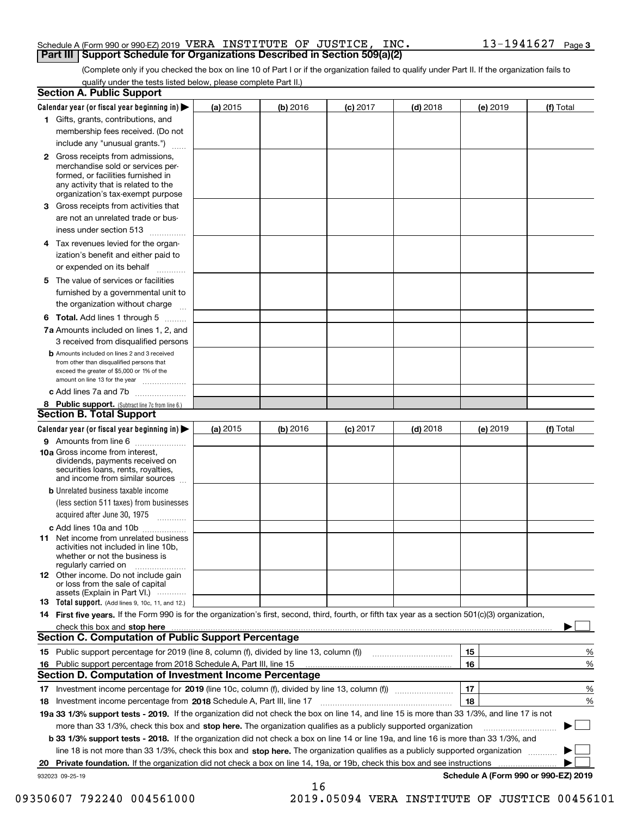#### Schedule A (Form 990 or 990-EZ) 2019 <code>VERA INSTITUTE OF JUSTICE, INC.</code>  $10$   $13-1941627$  <code>Page</code> **Part III Support Schedule for Organizations Described in Section 509(a)(2)**

(Complete only if you checked the box on line 10 of Part I or if the organization failed to qualify under Part II. If the organization fails to qualify under the tests listed below, please complete Part II.)

|    | <b>Section A. Public Support</b>                                                                                                                                                         |          |            |            |            |          |                                      |
|----|------------------------------------------------------------------------------------------------------------------------------------------------------------------------------------------|----------|------------|------------|------------|----------|--------------------------------------|
|    | Calendar year (or fiscal year beginning in) $\blacktriangleright$                                                                                                                        | (a) 2015 | $(b)$ 2016 | $(c)$ 2017 | $(d)$ 2018 | (e) 2019 | (f) Total                            |
|    | 1 Gifts, grants, contributions, and                                                                                                                                                      |          |            |            |            |          |                                      |
|    | membership fees received. (Do not                                                                                                                                                        |          |            |            |            |          |                                      |
|    | include any "unusual grants.")                                                                                                                                                           |          |            |            |            |          |                                      |
|    | 2 Gross receipts from admissions,<br>merchandise sold or services per-<br>formed, or facilities furnished in<br>any activity that is related to the<br>organization's tax-exempt purpose |          |            |            |            |          |                                      |
|    | 3 Gross receipts from activities that<br>are not an unrelated trade or bus-                                                                                                              |          |            |            |            |          |                                      |
|    | iness under section 513                                                                                                                                                                  |          |            |            |            |          |                                      |
|    | 4 Tax revenues levied for the organ-                                                                                                                                                     |          |            |            |            |          |                                      |
|    | ization's benefit and either paid to<br>or expended on its behalf<br>.                                                                                                                   |          |            |            |            |          |                                      |
|    | 5 The value of services or facilities                                                                                                                                                    |          |            |            |            |          |                                      |
|    | furnished by a governmental unit to                                                                                                                                                      |          |            |            |            |          |                                      |
|    | the organization without charge                                                                                                                                                          |          |            |            |            |          |                                      |
|    | <b>6 Total.</b> Add lines 1 through 5                                                                                                                                                    |          |            |            |            |          |                                      |
|    | 7a Amounts included on lines 1, 2, and<br>3 received from disqualified persons                                                                                                           |          |            |            |            |          |                                      |
|    | <b>b</b> Amounts included on lines 2 and 3 received<br>from other than disqualified persons that<br>exceed the greater of \$5,000 or 1% of the<br>amount on line 13 for the year         |          |            |            |            |          |                                      |
|    | c Add lines 7a and 7b                                                                                                                                                                    |          |            |            |            |          |                                      |
|    | 8 Public support. (Subtract line 7c from line 6.)                                                                                                                                        |          |            |            |            |          |                                      |
|    | <b>Section B. Total Support</b>                                                                                                                                                          |          |            |            |            |          |                                      |
|    | Calendar year (or fiscal year beginning in) $\blacktriangleright$                                                                                                                        | (a) 2015 | (b) 2016   | $(c)$ 2017 | $(d)$ 2018 | (e) 2019 | (f) Total                            |
|    | 9 Amounts from line 6                                                                                                                                                                    |          |            |            |            |          |                                      |
|    | 10a Gross income from interest,<br>dividends, payments received on<br>securities loans, rents, royalties,<br>and income from similar sources                                             |          |            |            |            |          |                                      |
|    | <b>b</b> Unrelated business taxable income<br>(less section 511 taxes) from businesses                                                                                                   |          |            |            |            |          |                                      |
|    | acquired after June 30, 1975                                                                                                                                                             |          |            |            |            |          |                                      |
|    | c Add lines 10a and 10b<br>11 Net income from unrelated business<br>activities not included in line 10b,<br>whether or not the business is<br>regularly carried on                       |          |            |            |            |          |                                      |
|    | 12 Other income. Do not include gain<br>or loss from the sale of capital<br>assets (Explain in Part VI.)                                                                                 |          |            |            |            |          |                                      |
|    | <b>13</b> Total support. (Add lines 9, 10c, 11, and 12.)                                                                                                                                 |          |            |            |            |          |                                      |
|    | 14 First five years. If the Form 990 is for the organization's first, second, third, fourth, or fifth tax year as a section 501(c)(3) organization,                                      |          |            |            |            |          |                                      |
|    | check this box and stop here measurements are constructed as the state of the state of the state of the state o                                                                          |          |            |            |            |          |                                      |
|    | Section C. Computation of Public Support Percentage                                                                                                                                      |          |            |            |            |          |                                      |
|    | 15 Public support percentage for 2019 (line 8, column (f), divided by line 13, column (f))                                                                                               |          |            |            |            | 15       | %                                    |
|    | 16 Public support percentage from 2018 Schedule A, Part III, line 15                                                                                                                     |          |            |            |            | 16       | %                                    |
|    | <b>Section D. Computation of Investment Income Percentage</b>                                                                                                                            |          |            |            |            |          |                                      |
|    | 17 Investment income percentage for 2019 (line 10c, column (f), divided by line 13, column (f))                                                                                          |          |            |            |            | 17       | %                                    |
|    | <b>18</b> Investment income percentage from <b>2018</b> Schedule A, Part III, line 17                                                                                                    |          |            |            |            | 18       | %                                    |
|    | 19a 33 1/3% support tests - 2019. If the organization did not check the box on line 14, and line 15 is more than 33 1/3%, and line 17 is not                                             |          |            |            |            |          |                                      |
|    | more than 33 1/3%, check this box and stop here. The organization qualifies as a publicly supported organization                                                                         |          |            |            |            |          | ▶                                    |
|    | b 33 1/3% support tests - 2018. If the organization did not check a box on line 14 or line 19a, and line 16 is more than 33 1/3%, and                                                    |          |            |            |            |          |                                      |
|    | line 18 is not more than 33 1/3%, check this box and stop here. The organization qualifies as a publicly supported organization                                                          |          |            |            |            |          |                                      |
| 20 | <b>Private foundation.</b> If the organization did not check a box on line 14, 19a, or 19b, check this box and see instructions                                                          |          |            |            |            |          |                                      |
|    | 932023 09-25-19                                                                                                                                                                          |          | 16         |            |            |          | Schedule A (Form 990 or 990-EZ) 2019 |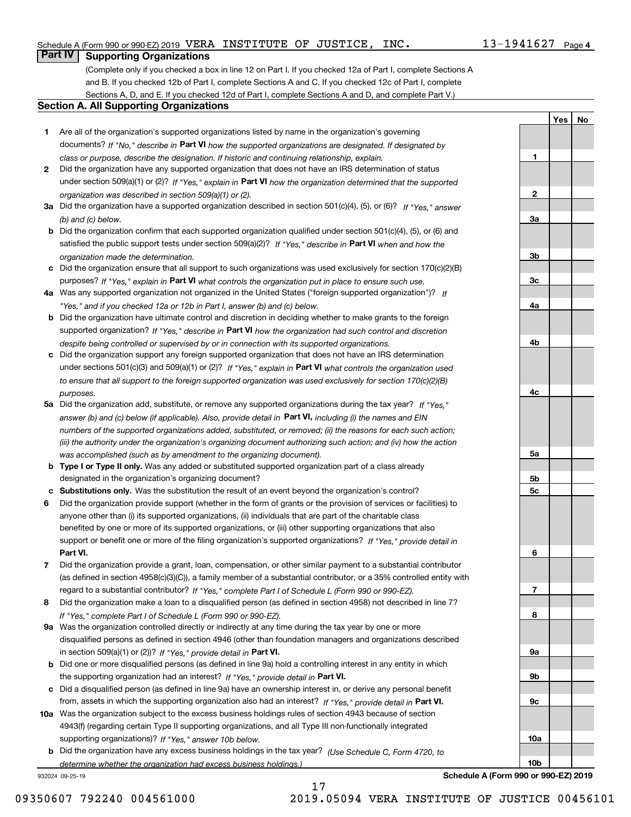**1**

**2**

**3a**

**3b**

**3c**

**4a**

**4b**

**4c**

**5a**

**5b5c**

**6**

**7**

**8**

**9a**

**9b**

**9c**

**10a**

**10b**

**YesNo**

## **Part IV Supporting Organizations**

(Complete only if you checked a box in line 12 on Part I. If you checked 12a of Part I, complete Sections A and B. If you checked 12b of Part I, complete Sections A and C. If you checked 12c of Part I, complete Sections A, D, and E. If you checked 12d of Part I, complete Sections A and D, and complete Part V.)

#### **Section A. All Supporting Organizations**

- **1** Are all of the organization's supported organizations listed by name in the organization's governing documents? If "No," describe in **Part VI** how the supported organizations are designated. If designated by *class or purpose, describe the designation. If historic and continuing relationship, explain.*
- **2** Did the organization have any supported organization that does not have an IRS determination of status under section 509(a)(1) or (2)? If "Yes," explain in Part VI how the organization determined that the supported *organization was described in section 509(a)(1) or (2).*
- **3a** Did the organization have a supported organization described in section 501(c)(4), (5), or (6)? If "Yes," answer *(b) and (c) below.*
- **b** Did the organization confirm that each supported organization qualified under section 501(c)(4), (5), or (6) and satisfied the public support tests under section 509(a)(2)? If "Yes," describe in **Part VI** when and how the *organization made the determination.*
- **c**Did the organization ensure that all support to such organizations was used exclusively for section 170(c)(2)(B) purposes? If "Yes," explain in **Part VI** what controls the organization put in place to ensure such use.
- **4a***If* Was any supported organization not organized in the United States ("foreign supported organization")? *"Yes," and if you checked 12a or 12b in Part I, answer (b) and (c) below.*
- **b** Did the organization have ultimate control and discretion in deciding whether to make grants to the foreign supported organization? If "Yes," describe in **Part VI** how the organization had such control and discretion *despite being controlled or supervised by or in connection with its supported organizations.*
- **c** Did the organization support any foreign supported organization that does not have an IRS determination under sections 501(c)(3) and 509(a)(1) or (2)? If "Yes," explain in **Part VI** what controls the organization used *to ensure that all support to the foreign supported organization was used exclusively for section 170(c)(2)(B) purposes.*
- **5a** Did the organization add, substitute, or remove any supported organizations during the tax year? If "Yes," answer (b) and (c) below (if applicable). Also, provide detail in **Part VI,** including (i) the names and EIN *numbers of the supported organizations added, substituted, or removed; (ii) the reasons for each such action; (iii) the authority under the organization's organizing document authorizing such action; and (iv) how the action was accomplished (such as by amendment to the organizing document).*
- **b** Type I or Type II only. Was any added or substituted supported organization part of a class already designated in the organization's organizing document?
- **cSubstitutions only.**  Was the substitution the result of an event beyond the organization's control?
- **6** Did the organization provide support (whether in the form of grants or the provision of services or facilities) to **Part VI.** *If "Yes," provide detail in* support or benefit one or more of the filing organization's supported organizations? anyone other than (i) its supported organizations, (ii) individuals that are part of the charitable class benefited by one or more of its supported organizations, or (iii) other supporting organizations that also
- **7**Did the organization provide a grant, loan, compensation, or other similar payment to a substantial contributor *If "Yes," complete Part I of Schedule L (Form 990 or 990-EZ).* regard to a substantial contributor? (as defined in section 4958(c)(3)(C)), a family member of a substantial contributor, or a 35% controlled entity with
- **8** Did the organization make a loan to a disqualified person (as defined in section 4958) not described in line 7? *If "Yes," complete Part I of Schedule L (Form 990 or 990-EZ).*
- **9a** Was the organization controlled directly or indirectly at any time during the tax year by one or more in section 509(a)(1) or (2))? If "Yes," *provide detail in* <code>Part VI.</code> disqualified persons as defined in section 4946 (other than foundation managers and organizations described
- **b** Did one or more disqualified persons (as defined in line 9a) hold a controlling interest in any entity in which the supporting organization had an interest? If "Yes," provide detail in P**art VI**.
- **c**Did a disqualified person (as defined in line 9a) have an ownership interest in, or derive any personal benefit from, assets in which the supporting organization also had an interest? If "Yes," provide detail in P**art VI.**
- **10a** Was the organization subject to the excess business holdings rules of section 4943 because of section supporting organizations)? If "Yes," answer 10b below. 4943(f) (regarding certain Type II supporting organizations, and all Type III non-functionally integrated
- **b** Did the organization have any excess business holdings in the tax year? (Use Schedule C, Form 4720, to *determine whether the organization had excess business holdings.)*

17

932024 09-25-19

**Schedule A (Form 990 or 990-EZ) 2019**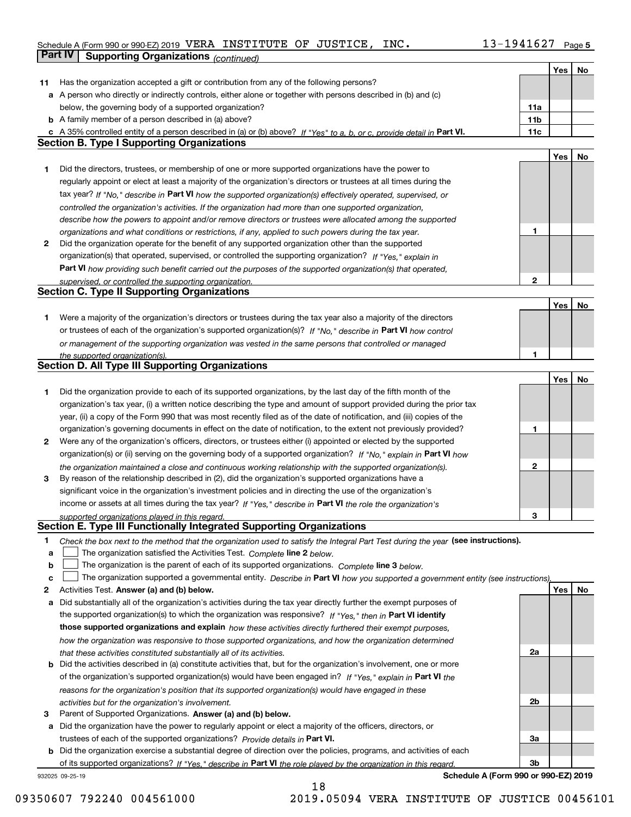## Schedule A (Form 990 or 990-EZ) 2019 <code>VERA INSTITUTE OF JUSTICE, INC.  $13\text{--}1941627$  Page 5</code>

|    | <b>Part IV</b><br><b>Supporting Organizations (continued)</b>                                                                     |                 |     |    |
|----|-----------------------------------------------------------------------------------------------------------------------------------|-----------------|-----|----|
|    |                                                                                                                                   |                 | Yes | No |
| 11 | Has the organization accepted a gift or contribution from any of the following persons?                                           |                 |     |    |
|    | a A person who directly or indirectly controls, either alone or together with persons described in (b) and (c)                    |                 |     |    |
|    | below, the governing body of a supported organization?                                                                            | 11a             |     |    |
|    | <b>b</b> A family member of a person described in (a) above?                                                                      | 11 <sub>b</sub> |     |    |
|    | c A 35% controlled entity of a person described in (a) or (b) above? If "Yes" to a, b, or c, provide detail in Part VI.           | 11c             |     |    |
|    | <b>Section B. Type I Supporting Organizations</b>                                                                                 |                 |     |    |
|    |                                                                                                                                   |                 | Yes | No |
| 1  | Did the directors, trustees, or membership of one or more supported organizations have the power to                               |                 |     |    |
|    | regularly appoint or elect at least a majority of the organization's directors or trustees at all times during the                |                 |     |    |
|    | tax year? If "No," describe in Part VI how the supported organization(s) effectively operated, supervised, or                     |                 |     |    |
|    | controlled the organization's activities. If the organization had more than one supported organization,                           |                 |     |    |
|    | describe how the powers to appoint and/or remove directors or trustees were allocated among the supported                         |                 |     |    |
|    | organizations and what conditions or restrictions, if any, applied to such powers during the tax year.                            | 1               |     |    |
| 2  | Did the organization operate for the benefit of any supported organization other than the supported                               |                 |     |    |
|    | organization(s) that operated, supervised, or controlled the supporting organization? If "Yes." explain in                        |                 |     |    |
|    | Part VI how providing such benefit carried out the purposes of the supported organization(s) that operated,                       |                 |     |    |
|    | supervised, or controlled the supporting organization.                                                                            | $\mathbf{2}$    |     |    |
|    | <b>Section C. Type II Supporting Organizations</b>                                                                                |                 |     |    |
|    |                                                                                                                                   |                 | Yes | No |
| 1  | Were a majority of the organization's directors or trustees during the tax year also a majority of the directors                  |                 |     |    |
|    | or trustees of each of the organization's supported organization(s)? If "No," describe in Part VI how control                     |                 |     |    |
|    | or management of the supporting organization was vested in the same persons that controlled or managed                            |                 |     |    |
|    | the supported organization(s).                                                                                                    | 1               |     |    |
|    | <b>Section D. All Type III Supporting Organizations</b>                                                                           |                 |     |    |
|    |                                                                                                                                   |                 | Yes | No |
| 1  | Did the organization provide to each of its supported organizations, by the last day of the fifth month of the                    |                 |     |    |
|    | organization's tax year, (i) a written notice describing the type and amount of support provided during the prior tax             |                 |     |    |
|    | year, (ii) a copy of the Form 990 that was most recently filed as of the date of notification, and (iii) copies of the            |                 |     |    |
|    | organization's governing documents in effect on the date of notification, to the extent not previously provided?                  | 1               |     |    |
| 2  | Were any of the organization's officers, directors, or trustees either (i) appointed or elected by the supported                  |                 |     |    |
|    | organization(s) or (ii) serving on the governing body of a supported organization? If "No," explain in Part VI how                |                 |     |    |
|    | the organization maintained a close and continuous working relationship with the supported organization(s).                       | 2               |     |    |
| 3  | By reason of the relationship described in (2), did the organization's supported organizations have a                             |                 |     |    |
|    | significant voice in the organization's investment policies and in directing the use of the organization's                        |                 |     |    |
|    | income or assets at all times during the tax year? If "Yes," describe in Part VI the role the organization's                      |                 |     |    |
|    | supported organizations played in this regard.                                                                                    | 3               |     |    |
|    | Section E. Type III Functionally Integrated Supporting Organizations                                                              |                 |     |    |
| 1  | Check the box next to the method that the organization used to satisfy the Integral Part Test during the year (see instructions). |                 |     |    |
| a  | The organization satisfied the Activities Test. Complete line 2 below.                                                            |                 |     |    |
| b  | The organization is the parent of each of its supported organizations. Complete line 3 below.                                     |                 |     |    |
| c  | The organization supported a governmental entity. Describe in Part VI how you supported a government entity (see instructions),   |                 |     |    |
| 2  | Activities Test. Answer (a) and (b) below.                                                                                        |                 | Yes | No |
| a  | Did substantially all of the organization's activities during the tax year directly further the exempt purposes of                |                 |     |    |
|    | the supported organization(s) to which the organization was responsive? If "Yes," then in Part VI identify                        |                 |     |    |
|    | those supported organizations and explain how these activities directly furthered their exempt purposes,                          |                 |     |    |
|    | how the organization was responsive to those supported organizations, and how the organization determined                         |                 |     |    |
|    | that these activities constituted substantially all of its activities.                                                            | 2a              |     |    |
|    | <b>b</b> Did the activities described in (a) constitute activities that, but for the organization's involvement, one or more      |                 |     |    |
|    | of the organization's supported organization(s) would have been engaged in? If "Yes," explain in Part VI the                      |                 |     |    |
|    | reasons for the organization's position that its supported organization(s) would have engaged in these                            |                 |     |    |
|    | activities but for the organization's involvement.                                                                                | 2b              |     |    |
| з  | Parent of Supported Organizations. Answer (a) and (b) below.                                                                      |                 |     |    |
|    | a Did the organization have the power to regularly appoint or elect a majority of the officers, directors, or                     |                 |     |    |
|    | trustees of each of the supported organizations? Provide details in Part VI.                                                      | За              |     |    |
|    | <b>b</b> Did the organization exercise a substantial degree of direction over the policies, programs, and activities of each      |                 |     |    |
|    | of its supported organizations? If "Yes." describe in Part VI the role played by the organization in this regard.                 | 3b              |     |    |
|    | Schedule A (Form 990 or 990-EZ) 2019<br>932025 09-25-19                                                                           |                 |     |    |

18

**Schedule A (Form 990 or 990-EZ) 2019**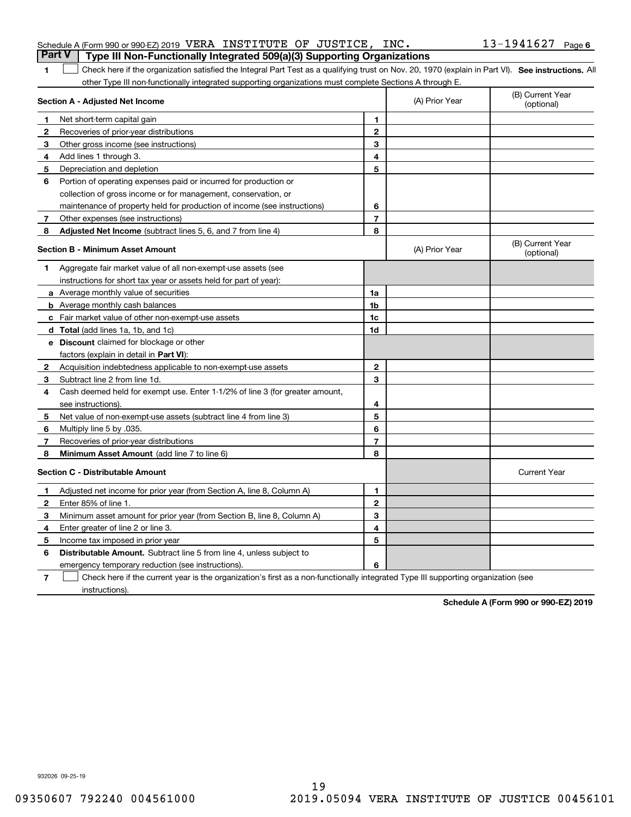| <b>Part V</b> Type III Non-Functionally Integrated 509(a)(3) Supporting Organizations |  |  |                       |  |
|---------------------------------------------------------------------------------------|--|--|-----------------------|--|
| Schedule A (Form 990 or 990-EZ) 2019 VERA INSTITUTE OF JUSTICE, INC.                  |  |  | $13 - 1941627$ Page 6 |  |

1 Check here if the organization satisfied the Integral Part Test as a qualifying trust on Nov. 20, 1970 (explain in Part VI). See instructions. All other Type III non-functionally integrated supporting organizations must complete Sections A through E.

|              | Section A - Adjusted Net Income                                                                                                   |                | (A) Prior Year | (B) Current Year<br>(optional) |
|--------------|-----------------------------------------------------------------------------------------------------------------------------------|----------------|----------------|--------------------------------|
| 1.           | Net short-term capital gain                                                                                                       | 1              |                |                                |
| $\mathbf{2}$ | Recoveries of prior-year distributions                                                                                            | $\overline{2}$ |                |                                |
| 3            | Other gross income (see instructions)                                                                                             | 3              |                |                                |
| 4            | Add lines 1 through 3.                                                                                                            | 4              |                |                                |
| 5            | Depreciation and depletion                                                                                                        | 5              |                |                                |
| 6            | Portion of operating expenses paid or incurred for production or                                                                  |                |                |                                |
|              | collection of gross income or for management, conservation, or                                                                    |                |                |                                |
|              | maintenance of property held for production of income (see instructions)                                                          | 6              |                |                                |
| 7            | Other expenses (see instructions)                                                                                                 | 7              |                |                                |
| 8            | <b>Adjusted Net Income</b> (subtract lines 5, 6, and 7 from line 4)                                                               | 8              |                |                                |
|              | <b>Section B - Minimum Asset Amount</b>                                                                                           |                | (A) Prior Year | (B) Current Year<br>(optional) |
| 1            | Aggregate fair market value of all non-exempt-use assets (see                                                                     |                |                |                                |
|              | instructions for short tax year or assets held for part of year):                                                                 |                |                |                                |
|              | a Average monthly value of securities                                                                                             | 1a             |                |                                |
|              | <b>b</b> Average monthly cash balances                                                                                            | 1b             |                |                                |
|              | c Fair market value of other non-exempt-use assets                                                                                | 1c             |                |                                |
|              | d Total (add lines 1a, 1b, and 1c)                                                                                                | 1d             |                |                                |
|              | <b>e</b> Discount claimed for blockage or other                                                                                   |                |                |                                |
|              | factors (explain in detail in Part VI):                                                                                           |                |                |                                |
| 2            | Acquisition indebtedness applicable to non-exempt-use assets                                                                      | $\mathbf 2$    |                |                                |
| 3            | Subtract line 2 from line 1d.                                                                                                     | 3              |                |                                |
| 4            | Cash deemed held for exempt use. Enter 1-1/2% of line 3 (for greater amount,                                                      |                |                |                                |
|              | see instructions)                                                                                                                 | 4              |                |                                |
| 5            | Net value of non-exempt-use assets (subtract line 4 from line 3)                                                                  | 5              |                |                                |
| 6            | Multiply line 5 by .035.                                                                                                          | 6              |                |                                |
| 7            | Recoveries of prior-year distributions                                                                                            | $\overline{7}$ |                |                                |
| 8            | Minimum Asset Amount (add line 7 to line 6)                                                                                       | 8              |                |                                |
|              | <b>Section C - Distributable Amount</b>                                                                                           |                |                | <b>Current Year</b>            |
| 1            | Adjusted net income for prior year (from Section A, line 8, Column A)                                                             | $\mathbf{1}$   |                |                                |
| 2            | Enter 85% of line 1.                                                                                                              | $\overline{2}$ |                |                                |
| 3            | Minimum asset amount for prior year (from Section B, line 8, Column A)                                                            | 3              |                |                                |
| 4            | Enter greater of line 2 or line 3.                                                                                                | 4              |                |                                |
| 5            | Income tax imposed in prior year                                                                                                  | 5              |                |                                |
| 6            | <b>Distributable Amount.</b> Subtract line 5 from line 4, unless subject to                                                       |                |                |                                |
|              | emergency temporary reduction (see instructions).                                                                                 | 6              |                |                                |
| 7            | Check here if the current year is the organization's first as a non-functionally integrated Type III supporting organization (see |                |                |                                |

instructions).

**1**

**Schedule A (Form 990 or 990-EZ) 2019**

932026 09-25-19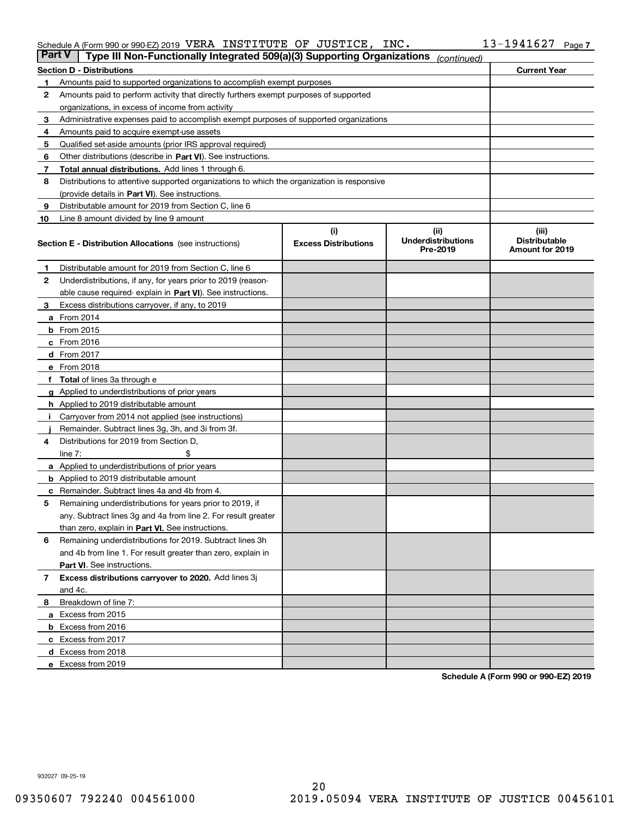#### Schedule A (Form 990 or 990-EZ) 2019 <code>VERA INSTITUTE OF JUSTICE, INC.</code>  $10$   $13-1941627$  <code>Page</code>

| <b>Part V</b> | Type III Non-Functionally Integrated 509(a)(3) Supporting Organizations                    |                                    | (continued)                                   |                                                  |  |  |  |
|---------------|--------------------------------------------------------------------------------------------|------------------------------------|-----------------------------------------------|--------------------------------------------------|--|--|--|
|               | <b>Section D - Distributions</b>                                                           |                                    |                                               | <b>Current Year</b>                              |  |  |  |
| 1             | Amounts paid to supported organizations to accomplish exempt purposes                      |                                    |                                               |                                                  |  |  |  |
| 2             | Amounts paid to perform activity that directly furthers exempt purposes of supported       |                                    |                                               |                                                  |  |  |  |
|               | organizations, in excess of income from activity                                           |                                    |                                               |                                                  |  |  |  |
| 3             | Administrative expenses paid to accomplish exempt purposes of supported organizations      |                                    |                                               |                                                  |  |  |  |
| 4             | Amounts paid to acquire exempt-use assets                                                  |                                    |                                               |                                                  |  |  |  |
| 5             | Qualified set-aside amounts (prior IRS approval required)                                  |                                    |                                               |                                                  |  |  |  |
| 6             | Other distributions (describe in Part VI). See instructions.                               |                                    |                                               |                                                  |  |  |  |
| 7             | <b>Total annual distributions.</b> Add lines 1 through 6.                                  |                                    |                                               |                                                  |  |  |  |
| 8             | Distributions to attentive supported organizations to which the organization is responsive |                                    |                                               |                                                  |  |  |  |
|               | (provide details in Part VI). See instructions.                                            |                                    |                                               |                                                  |  |  |  |
| 9             | Distributable amount for 2019 from Section C, line 6                                       |                                    |                                               |                                                  |  |  |  |
| 10            | Line 8 amount divided by line 9 amount                                                     |                                    |                                               |                                                  |  |  |  |
|               | <b>Section E - Distribution Allocations</b> (see instructions)                             | (i)<br><b>Excess Distributions</b> | (ii)<br><b>Underdistributions</b><br>Pre-2019 | (iii)<br><b>Distributable</b><br>Amount for 2019 |  |  |  |
| 1             | Distributable amount for 2019 from Section C, line 6                                       |                                    |                                               |                                                  |  |  |  |
| 2             | Underdistributions, if any, for years prior to 2019 (reason-                               |                                    |                                               |                                                  |  |  |  |
|               | able cause required- explain in Part VI). See instructions.                                |                                    |                                               |                                                  |  |  |  |
| З             | Excess distributions carryover, if any, to 2019                                            |                                    |                                               |                                                  |  |  |  |
|               | <b>a</b> From 2014                                                                         |                                    |                                               |                                                  |  |  |  |
|               | <b>b</b> From 2015                                                                         |                                    |                                               |                                                  |  |  |  |
|               | $c$ From 2016                                                                              |                                    |                                               |                                                  |  |  |  |
|               | d From 2017                                                                                |                                    |                                               |                                                  |  |  |  |
|               | e From 2018                                                                                |                                    |                                               |                                                  |  |  |  |
|               | <b>Total</b> of lines 3a through e                                                         |                                    |                                               |                                                  |  |  |  |
| g             | Applied to underdistributions of prior years                                               |                                    |                                               |                                                  |  |  |  |
|               | <b>h</b> Applied to 2019 distributable amount                                              |                                    |                                               |                                                  |  |  |  |
|               | Carryover from 2014 not applied (see instructions)                                         |                                    |                                               |                                                  |  |  |  |
|               | Remainder. Subtract lines 3g, 3h, and 3i from 3f.                                          |                                    |                                               |                                                  |  |  |  |
| 4             | Distributions for 2019 from Section D,                                                     |                                    |                                               |                                                  |  |  |  |
|               | line $7:$                                                                                  |                                    |                                               |                                                  |  |  |  |
|               | <b>a</b> Applied to underdistributions of prior years                                      |                                    |                                               |                                                  |  |  |  |
|               | <b>b</b> Applied to 2019 distributable amount                                              |                                    |                                               |                                                  |  |  |  |
|               | c Remainder. Subtract lines 4a and 4b from 4.                                              |                                    |                                               |                                                  |  |  |  |
| 5             | Remaining underdistributions for years prior to 2019, if                                   |                                    |                                               |                                                  |  |  |  |
|               | any. Subtract lines 3g and 4a from line 2. For result greater                              |                                    |                                               |                                                  |  |  |  |
|               | than zero, explain in Part VI. See instructions.                                           |                                    |                                               |                                                  |  |  |  |
| 6             | Remaining underdistributions for 2019. Subtract lines 3h                                   |                                    |                                               |                                                  |  |  |  |
|               | and 4b from line 1. For result greater than zero, explain in                               |                                    |                                               |                                                  |  |  |  |
|               | Part VI. See instructions.                                                                 |                                    |                                               |                                                  |  |  |  |
| 7             | Excess distributions carryover to 2020. Add lines 3j                                       |                                    |                                               |                                                  |  |  |  |
|               | and 4c.                                                                                    |                                    |                                               |                                                  |  |  |  |
| 8             | Breakdown of line 7:                                                                       |                                    |                                               |                                                  |  |  |  |
|               | a Excess from 2015                                                                         |                                    |                                               |                                                  |  |  |  |
|               | <b>b</b> Excess from 2016                                                                  |                                    |                                               |                                                  |  |  |  |
|               | c Excess from 2017                                                                         |                                    |                                               |                                                  |  |  |  |
|               | d Excess from 2018                                                                         |                                    |                                               |                                                  |  |  |  |
|               | e Excess from 2019                                                                         |                                    |                                               |                                                  |  |  |  |

**Schedule A (Form 990 or 990-EZ) 2019**

932027 09-25-19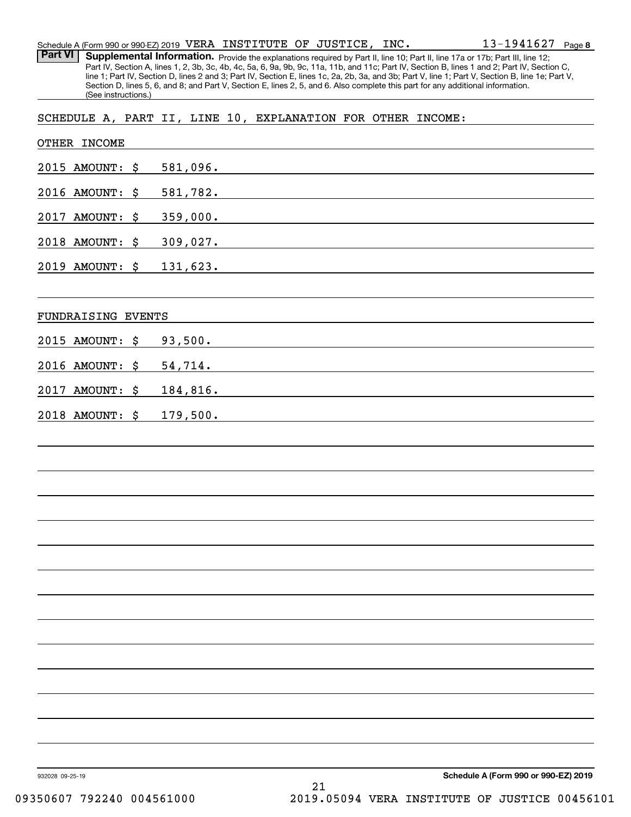| Schedule A (Form 990 or 990-EZ) 2019 $\,$ VERA $\,$ INSTITUTE $\,$ OF $\,$ JUSTICE $_{r}$ $\,$ INC $_{\bullet}$ |  |  | $13 - 1941627$ Page 8 |  |
|-----------------------------------------------------------------------------------------------------------------|--|--|-----------------------|--|
|                                                                                                                 |  |  |                       |  |

Part VI | Supplemental Information. Provide the explanations required by Part II, line 10; Part II, line 17a or 17b; Part III, line 12; Part IV, Section A, lines 1, 2, 3b, 3c, 4b, 4c, 5a, 6, 9a, 9b, 9c, 11a, 11b, and 11c; Part IV, Section B, lines 1 and 2; Part IV, Section C, line 1; Part IV, Section D, lines 2 and 3; Part IV, Section E, lines 1c, 2a, 2b, 3a, and 3b; Part V, line 1; Part V, Section B, line 1e; Part V, Section D, lines 5, 6, and 8; and Part V, Section E, lines 2, 5, and 6. Also complete this part for any additional information. (See instructions.)

SCHEDULE A, PART II, LINE 10, EXPLANATION FOR OTHER INCOME:

| OTHER INCOME       |                                                                                                                                                                                                                                           |
|--------------------|-------------------------------------------------------------------------------------------------------------------------------------------------------------------------------------------------------------------------------------------|
| 2015 AMOUNT: \$    | 581,096.                                                                                                                                                                                                                                  |
| 2016 AMOUNT: \$    | <u>581,782.</u>                                                                                                                                                                                                                           |
| 2017 AMOUNT: \$    | 359,000.<br>the control of the control of the control of the control of the control of the control of the control of the control of the control of the control of the control of the control of the control of the control of the control |
| 2018 AMOUNT: \$    | 309,027.                                                                                                                                                                                                                                  |
| 2019 AMOUNT: \$    | 131,623.                                                                                                                                                                                                                                  |
| FUNDRAISING EVENTS |                                                                                                                                                                                                                                           |
| 2015 AMOUNT: \$    | 93,500.                                                                                                                                                                                                                                   |
| 2016 AMOUNT: \$    | 54,714.                                                                                                                                                                                                                                   |
| AMOUNT: \$<br>2017 | 184,816.                                                                                                                                                                                                                                  |
| 2018 AMOUNT: \$    | 179,500.                                                                                                                                                                                                                                  |
|                    |                                                                                                                                                                                                                                           |
|                    |                                                                                                                                                                                                                                           |
|                    |                                                                                                                                                                                                                                           |
|                    |                                                                                                                                                                                                                                           |
|                    |                                                                                                                                                                                                                                           |
|                    |                                                                                                                                                                                                                                           |
|                    |                                                                                                                                                                                                                                           |
|                    |                                                                                                                                                                                                                                           |
|                    |                                                                                                                                                                                                                                           |
|                    |                                                                                                                                                                                                                                           |
|                    |                                                                                                                                                                                                                                           |
|                    |                                                                                                                                                                                                                                           |
|                    |                                                                                                                                                                                                                                           |
|                    |                                                                                                                                                                                                                                           |
| 932028 09-25-19    | Schedule A (Form 990 or 990-EZ) 2019                                                                                                                                                                                                      |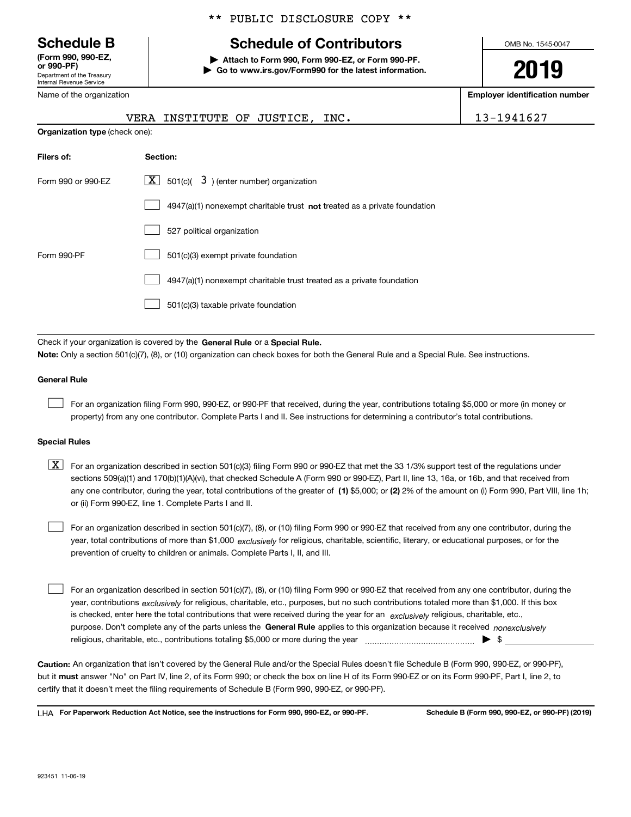Department of the Treasury Internal Revenue Service **(Form 990, 990-EZ, or 990-PF)**

#### \*\* PUBLIC DISCLOSURE COPY \*\*

## **Schedule B Schedule of Contributors**

**| Attach to Form 990, Form 990-EZ, or Form 990-PF. | Go to www.irs.gov/Form990 for the latest information.** OMB No. 1545-0047

# **2019**

**Employer identification number**

13-1941627

| Name of the organization              |                                                                           |
|---------------------------------------|---------------------------------------------------------------------------|
|                                       | VERA INSTITUTE OF JUSTICE, INC.                                           |
| <b>Organization type (check one):</b> |                                                                           |
| Filers of:                            | Section:                                                                  |
| Form 990 or 990-EZ                    | $\boxed{\mathbf{X}}$ 501(c)( 3) (enter number) organization               |
|                                       | 4947(a)(1) nonexempt charitable trust not treated as a private foundation |
|                                       |                                                                           |

|             | 527 political organization                                            |
|-------------|-----------------------------------------------------------------------|
| Form 990-PF | 501(c)(3) exempt private foundation                                   |
|             | 4947(a)(1) nonexempt charitable trust treated as a private foundation |
|             | 501(c)(3) taxable private foundation                                  |

Check if your organization is covered by the **General Rule** or a **Special Rule. Note:**  Only a section 501(c)(7), (8), or (10) organization can check boxes for both the General Rule and a Special Rule. See instructions.

#### **General Rule**

For an organization filing Form 990, 990-EZ, or 990-PF that received, during the year, contributions totaling \$5,000 or more (in money or property) from any one contributor. Complete Parts I and II. See instructions for determining a contributor's total contributions.

#### **Special Rules**

any one contributor, during the year, total contributions of the greater of  $\,$  (1) \$5,000; or **(2)** 2% of the amount on (i) Form 990, Part VIII, line 1h;  $\boxed{\textbf{X}}$  For an organization described in section 501(c)(3) filing Form 990 or 990-EZ that met the 33 1/3% support test of the regulations under sections 509(a)(1) and 170(b)(1)(A)(vi), that checked Schedule A (Form 990 or 990-EZ), Part II, line 13, 16a, or 16b, and that received from or (ii) Form 990-EZ, line 1. Complete Parts I and II.

year, total contributions of more than \$1,000 *exclusively* for religious, charitable, scientific, literary, or educational purposes, or for the For an organization described in section 501(c)(7), (8), or (10) filing Form 990 or 990-EZ that received from any one contributor, during the prevention of cruelty to children or animals. Complete Parts I, II, and III.

purpose. Don't complete any of the parts unless the **General Rule** applies to this organization because it received *nonexclusively* year, contributions <sub>exclusively</sub> for religious, charitable, etc., purposes, but no such contributions totaled more than \$1,000. If this box is checked, enter here the total contributions that were received during the year for an  $\;$ exclusively religious, charitable, etc., For an organization described in section 501(c)(7), (8), or (10) filing Form 990 or 990-EZ that received from any one contributor, during the religious, charitable, etc., contributions totaling \$5,000 or more during the year  $\Box$ — $\Box$  =  $\Box$  $\mathcal{L}^{\text{max}}$ 

**Caution:**  An organization that isn't covered by the General Rule and/or the Special Rules doesn't file Schedule B (Form 990, 990-EZ, or 990-PF),  **must** but it answer "No" on Part IV, line 2, of its Form 990; or check the box on line H of its Form 990-EZ or on its Form 990-PF, Part I, line 2, to certify that it doesn't meet the filing requirements of Schedule B (Form 990, 990-EZ, or 990-PF).

**For Paperwork Reduction Act Notice, see the instructions for Form 990, 990-EZ, or 990-PF. Schedule B (Form 990, 990-EZ, or 990-PF) (2019)** LHA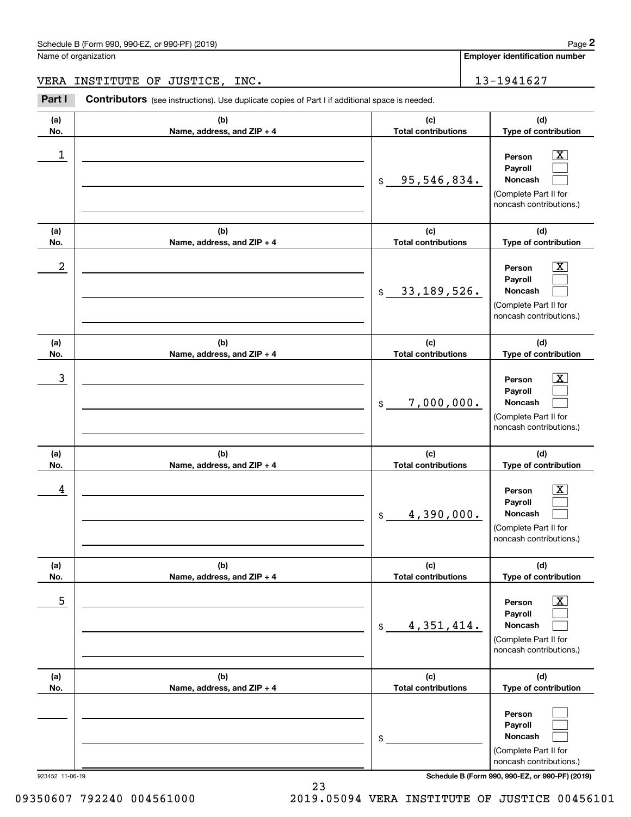**Employer identification number**

### VERA INSTITUTE OF JUSTICE, INC. 13-1941627

(see instructions). Use duplicate copies of Part I if additional space is needed.<br> **2Part I Contributors** (see instructions). Use duplicate copies of Part I if additional space is needed.<br> **2Part I Contributors** (see i

| (a)<br>No.      | (b)<br>Name, address, and ZIP + 4 | (c)<br><b>Total contributions</b> | (d)<br>Type of contribution                                                                                        |
|-----------------|-----------------------------------|-----------------------------------|--------------------------------------------------------------------------------------------------------------------|
| 1               |                                   | 95,546,834.<br>\$                 | $\overline{\mathbf{x}}$<br>Person<br>Payroll<br><b>Noncash</b><br>(Complete Part II for<br>noncash contributions.) |
| (a)<br>No.      | (b)<br>Name, address, and ZIP + 4 | (c)<br><b>Total contributions</b> | (d)<br>Type of contribution                                                                                        |
| 2               |                                   | 33, 189, 526.<br>\$               | $\boxed{\text{X}}$<br>Person<br>Payroll<br>Noncash<br>(Complete Part II for<br>noncash contributions.)             |
| (a)<br>No.      | (b)<br>Name, address, and ZIP + 4 | (c)<br><b>Total contributions</b> | (d)<br>Type of contribution                                                                                        |
| 3               |                                   | 7,000,000.<br>$\mathfrak{S}$      | $\overline{\mathbf{x}}$<br>Person<br>Payroll<br>Noncash<br>(Complete Part II for<br>noncash contributions.)        |
| (a)<br>No.      | (b)<br>Name, address, and ZIP + 4 | (c)<br><b>Total contributions</b> | (d)<br>Type of contribution                                                                                        |
| 4               |                                   | 4,390,000.<br>\$                  | $\overline{\text{X}}$<br>Person<br>Payroll<br>Noncash<br>(Complete Part II for<br>noncash contributions.)          |
| (a)<br>No.      | (b)<br>Name, address, and ZIP + 4 | (c)<br><b>Total contributions</b> | (d)<br>Type of contribution                                                                                        |
| 5               |                                   | 4,351,414.<br>\$                  | $\boxed{\text{X}}$<br>Person<br>Payroll<br>Noncash<br>(Complete Part II for<br>noncash contributions.)             |
| (a)<br>No.      | (b)<br>Name, address, and ZIP + 4 | (c)<br><b>Total contributions</b> | (d)<br>Type of contribution                                                                                        |
|                 |                                   | \$                                | Person<br>Payroll<br>Noncash<br>(Complete Part II for<br>noncash contributions.)                                   |
| 923452 11-06-19 |                                   |                                   | Schedule B (Form 990, 990-EZ, or 990-PF) (2019)                                                                    |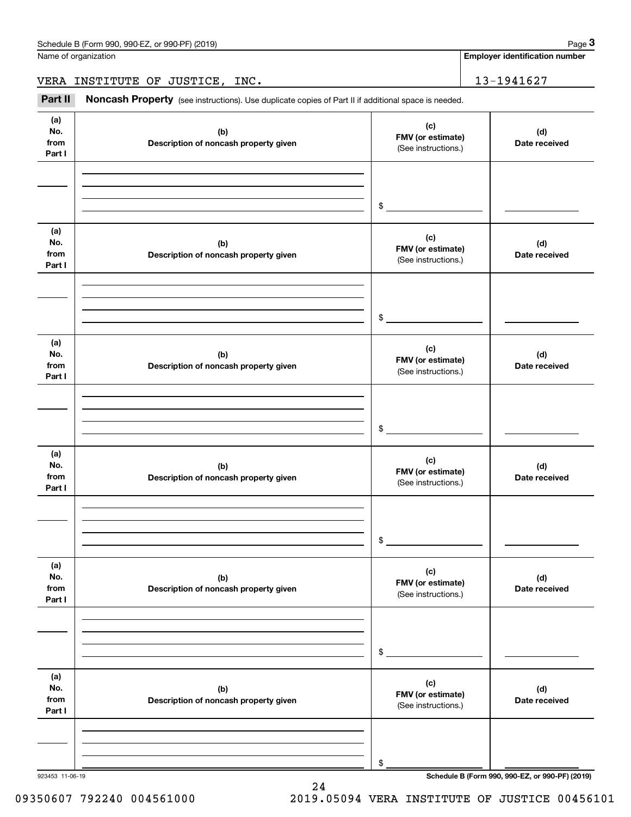Name of organization

**Employer identification number**

VERA INSTITUTE OF JUSTICE, INC. 13-1941627

(see instructions). Use duplicate copies of Part II if additional space is needed.<br> **2Part II Noncash Property** (see instructions). Use duplicate copies of Part II if additional space is needed.

| (a)<br>No.<br>from<br>Part I | (b)<br>Description of noncash property given | (c)<br>FMV (or estimate)<br>(See instructions.) | (d)<br>Date received                            |
|------------------------------|----------------------------------------------|-------------------------------------------------|-------------------------------------------------|
|                              |                                              | $$\circ$$                                       |                                                 |
|                              |                                              |                                                 |                                                 |
| (a)<br>No.<br>from<br>Part I | (b)<br>Description of noncash property given | (c)<br>FMV (or estimate)<br>(See instructions.) | (d)<br>Date received                            |
|                              |                                              | $\frac{1}{2}$                                   |                                                 |
| (a)<br>No.<br>from<br>Part I | (b)<br>Description of noncash property given | (c)<br>FMV (or estimate)<br>(See instructions.) | (d)<br>Date received                            |
|                              |                                              | \$                                              |                                                 |
|                              |                                              |                                                 |                                                 |
| (a)<br>No.<br>from<br>Part I | (b)<br>Description of noncash property given | (c)<br>FMV (or estimate)<br>(See instructions.) | (d)<br>Date received                            |
|                              |                                              | \$                                              |                                                 |
|                              |                                              |                                                 |                                                 |
| (a)<br>No.<br>from<br>Part I | (b)<br>Description of noncash property given | (c)<br>FMV (or estimate)<br>(See instructions.) | (d)<br>Date received                            |
|                              |                                              |                                                 |                                                 |
|                              |                                              |                                                 |                                                 |
|                              |                                              |                                                 |                                                 |
|                              |                                              | \$                                              |                                                 |
| (a)                          |                                              |                                                 |                                                 |
| No.                          | (b)                                          | (c)                                             | (d)                                             |
| from<br>Part I               | Description of noncash property given        | FMV (or estimate)<br>(See instructions.)        | Date received                                   |
|                              |                                              |                                                 |                                                 |
|                              |                                              |                                                 |                                                 |
|                              |                                              |                                                 |                                                 |
|                              |                                              | \$                                              |                                                 |
| 923453 11-06-19              |                                              |                                                 | Schedule B (Form 990, 990-EZ, or 990-PF) (2019) |

24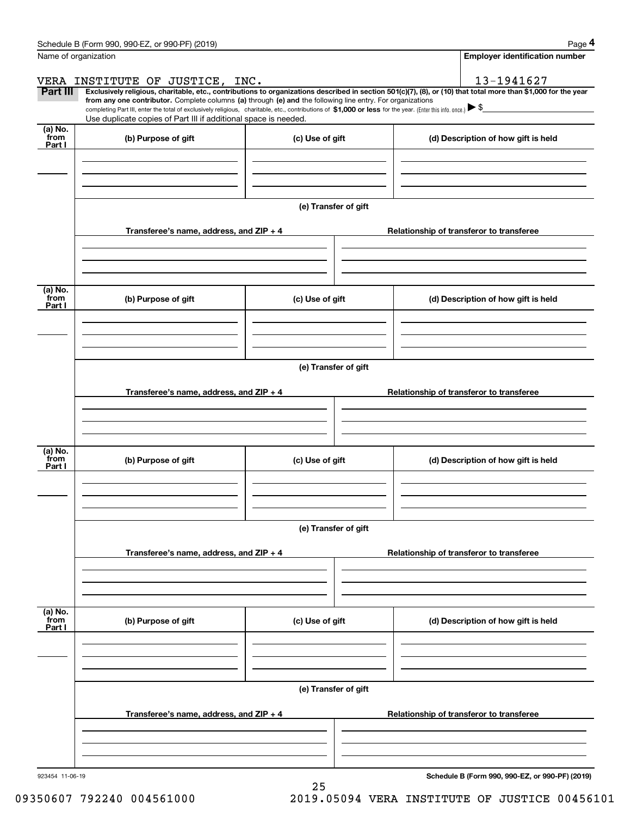|                           | Schedule B (Form 990, 990-EZ, or 990-PF) (2019)                                                                                                                                                                                                                                                 |                      |                                          | Page 4                                                                                                                                                         |  |  |  |  |  |
|---------------------------|-------------------------------------------------------------------------------------------------------------------------------------------------------------------------------------------------------------------------------------------------------------------------------------------------|----------------------|------------------------------------------|----------------------------------------------------------------------------------------------------------------------------------------------------------------|--|--|--|--|--|
|                           | Name of organization                                                                                                                                                                                                                                                                            |                      |                                          | <b>Employer identification number</b>                                                                                                                          |  |  |  |  |  |
|                           | VERA INSTITUTE OF JUSTICE, INC.                                                                                                                                                                                                                                                                 |                      |                                          | 13-1941627                                                                                                                                                     |  |  |  |  |  |
| Part III                  | from any one contributor. Complete columns (a) through (e) and the following line entry. For organizations<br>completing Part III, enter the total of exclusively religious, charitable, etc., contributions of \$1,000 or less for the year. (Enter this info. once.) $\blacktriangleright$ \$ |                      |                                          | Exclusively religious, charitable, etc., contributions to organizations described in section 501(c)(7), (8), or (10) that total more than \$1,000 for the year |  |  |  |  |  |
|                           | Use duplicate copies of Part III if additional space is needed.                                                                                                                                                                                                                                 |                      |                                          |                                                                                                                                                                |  |  |  |  |  |
| (a) No.<br>from<br>Part I | (b) Purpose of gift                                                                                                                                                                                                                                                                             | (c) Use of gift      |                                          | (d) Description of how gift is held                                                                                                                            |  |  |  |  |  |
|                           |                                                                                                                                                                                                                                                                                                 |                      |                                          |                                                                                                                                                                |  |  |  |  |  |
|                           |                                                                                                                                                                                                                                                                                                 |                      |                                          |                                                                                                                                                                |  |  |  |  |  |
|                           |                                                                                                                                                                                                                                                                                                 | (e) Transfer of gift |                                          |                                                                                                                                                                |  |  |  |  |  |
|                           | Transferee's name, address, and ZIP + 4                                                                                                                                                                                                                                                         |                      |                                          | Relationship of transferor to transferee                                                                                                                       |  |  |  |  |  |
|                           |                                                                                                                                                                                                                                                                                                 |                      |                                          |                                                                                                                                                                |  |  |  |  |  |
| (a) No.<br>from           | (b) Purpose of gift                                                                                                                                                                                                                                                                             | (c) Use of gift      |                                          | (d) Description of how gift is held                                                                                                                            |  |  |  |  |  |
| Part I                    |                                                                                                                                                                                                                                                                                                 |                      |                                          |                                                                                                                                                                |  |  |  |  |  |
|                           |                                                                                                                                                                                                                                                                                                 |                      |                                          |                                                                                                                                                                |  |  |  |  |  |
|                           | (e) Transfer of gift                                                                                                                                                                                                                                                                            |                      |                                          |                                                                                                                                                                |  |  |  |  |  |
|                           | Transferee's name, address, and ZIP + 4                                                                                                                                                                                                                                                         |                      | Relationship of transferor to transferee |                                                                                                                                                                |  |  |  |  |  |
|                           |                                                                                                                                                                                                                                                                                                 |                      |                                          |                                                                                                                                                                |  |  |  |  |  |
|                           |                                                                                                                                                                                                                                                                                                 |                      |                                          |                                                                                                                                                                |  |  |  |  |  |
| (a) No.<br>from<br>Part I | (b) Purpose of gift                                                                                                                                                                                                                                                                             | (c) Use of gift      |                                          | (d) Description of how gift is held                                                                                                                            |  |  |  |  |  |
|                           |                                                                                                                                                                                                                                                                                                 |                      |                                          |                                                                                                                                                                |  |  |  |  |  |
|                           |                                                                                                                                                                                                                                                                                                 |                      |                                          |                                                                                                                                                                |  |  |  |  |  |
|                           |                                                                                                                                                                                                                                                                                                 | (e) Transfer of gift |                                          |                                                                                                                                                                |  |  |  |  |  |
|                           | Transferee's name, address, and $ZIP + 4$                                                                                                                                                                                                                                                       |                      |                                          | Relationship of transferor to transferee                                                                                                                       |  |  |  |  |  |
|                           |                                                                                                                                                                                                                                                                                                 |                      |                                          |                                                                                                                                                                |  |  |  |  |  |
| (a) No.                   |                                                                                                                                                                                                                                                                                                 |                      |                                          |                                                                                                                                                                |  |  |  |  |  |
| `from<br>Part I           | (b) Purpose of gift                                                                                                                                                                                                                                                                             | (c) Use of gift      |                                          | (d) Description of how gift is held                                                                                                                            |  |  |  |  |  |
|                           |                                                                                                                                                                                                                                                                                                 |                      |                                          |                                                                                                                                                                |  |  |  |  |  |
|                           |                                                                                                                                                                                                                                                                                                 |                      |                                          |                                                                                                                                                                |  |  |  |  |  |
|                           |                                                                                                                                                                                                                                                                                                 | (e) Transfer of gift |                                          |                                                                                                                                                                |  |  |  |  |  |
|                           | Transferee's name, address, and $ZIP + 4$                                                                                                                                                                                                                                                       |                      |                                          | Relationship of transferor to transferee                                                                                                                       |  |  |  |  |  |
|                           |                                                                                                                                                                                                                                                                                                 |                      |                                          |                                                                                                                                                                |  |  |  |  |  |
|                           |                                                                                                                                                                                                                                                                                                 |                      |                                          |                                                                                                                                                                |  |  |  |  |  |

25

**Schedule B (Form 990, 990-EZ, or 990-PF) (2019)**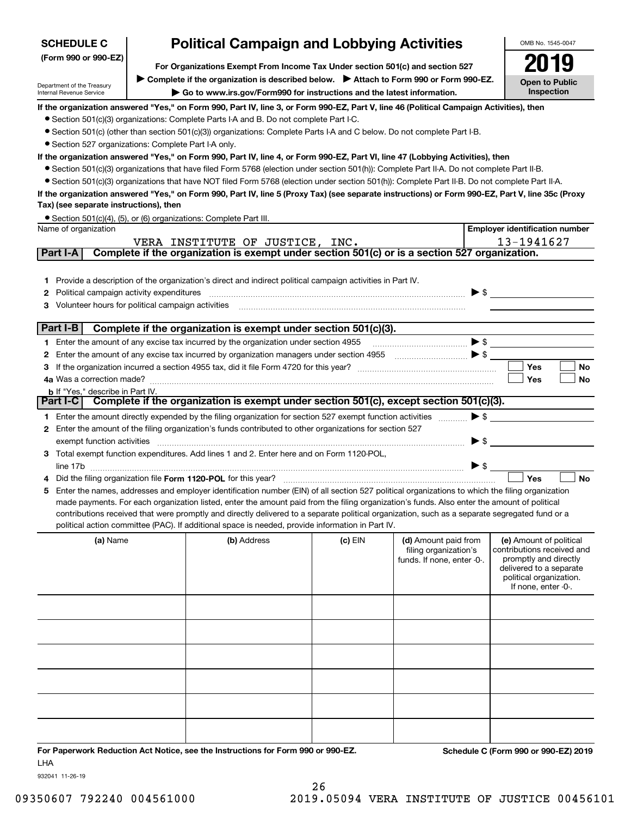| <b>SCHEDULE C</b>                                      | <b>Political Campaign and Lobbying Activities</b>                                                                                                                        |                                                                                                                                                   |           |                                                     |                                                     |  |
|--------------------------------------------------------|--------------------------------------------------------------------------------------------------------------------------------------------------------------------------|---------------------------------------------------------------------------------------------------------------------------------------------------|-----------|-----------------------------------------------------|-----------------------------------------------------|--|
| (Form 990 or 990-EZ)                                   |                                                                                                                                                                          |                                                                                                                                                   |           |                                                     |                                                     |  |
|                                                        | For Organizations Exempt From Income Tax Under section 501(c) and section 527<br>▶ Complete if the organization is described below. ▶ Attach to Form 990 or Form 990-EZ. |                                                                                                                                                   |           |                                                     |                                                     |  |
| Department of the Treasury<br>Internal Revenue Service |                                                                                                                                                                          | Go to www.irs.gov/Form990 for instructions and the latest information.                                                                            |           |                                                     | <b>Open to Public</b><br>Inspection                 |  |
|                                                        |                                                                                                                                                                          | If the organization answered "Yes," on Form 990, Part IV, line 3, or Form 990-EZ, Part V, line 46 (Political Campaign Activities), then           |           |                                                     |                                                     |  |
|                                                        |                                                                                                                                                                          | • Section 501(c)(3) organizations: Complete Parts I-A and B. Do not complete Part I-C.                                                            |           |                                                     |                                                     |  |
|                                                        |                                                                                                                                                                          | • Section 501(c) (other than section 501(c)(3)) organizations: Complete Parts I-A and C below. Do not complete Part I-B.                          |           |                                                     |                                                     |  |
| • Section 527 organizations: Complete Part I-A only.   |                                                                                                                                                                          |                                                                                                                                                   |           |                                                     |                                                     |  |
|                                                        |                                                                                                                                                                          | If the organization answered "Yes," on Form 990, Part IV, line 4, or Form 990-EZ, Part VI, line 47 (Lobbying Activities), then                    |           |                                                     |                                                     |  |
|                                                        |                                                                                                                                                                          | • Section 501(c)(3) organizations that have filed Form 5768 (election under section 501(h)): Complete Part II-A. Do not complete Part II-B.       |           |                                                     |                                                     |  |
|                                                        |                                                                                                                                                                          | • Section 501(c)(3) organizations that have NOT filed Form 5768 (election under section 501(h)): Complete Part II-B. Do not complete Part II-A.   |           |                                                     |                                                     |  |
|                                                        |                                                                                                                                                                          | If the organization answered "Yes," on Form 990, Part IV, line 5 (Proxy Tax) (see separate instructions) or Form 990-EZ, Part V, line 35c (Proxy  |           |                                                     |                                                     |  |
| Tax) (see separate instructions), then                 |                                                                                                                                                                          |                                                                                                                                                   |           |                                                     |                                                     |  |
| Name of organization                                   |                                                                                                                                                                          | • Section 501(c)(4), (5), or (6) organizations: Complete Part III.                                                                                |           |                                                     | <b>Employer identification number</b>               |  |
|                                                        |                                                                                                                                                                          | VERA INSTITUTE OF JUSTICE, INC.                                                                                                                   |           |                                                     | 13-1941627                                          |  |
| Part I-A                                               |                                                                                                                                                                          | Complete if the organization is exempt under section 501(c) or is a section 527 organization.                                                     |           |                                                     |                                                     |  |
|                                                        |                                                                                                                                                                          |                                                                                                                                                   |           |                                                     |                                                     |  |
|                                                        |                                                                                                                                                                          | 1 Provide a description of the organization's direct and indirect political campaign activities in Part IV.                                       |           |                                                     |                                                     |  |
| Political campaign activity expenditures<br>2          |                                                                                                                                                                          |                                                                                                                                                   |           | $\triangleright$ \$                                 |                                                     |  |
| Volunteer hours for political campaign activities<br>з |                                                                                                                                                                          |                                                                                                                                                   |           |                                                     |                                                     |  |
|                                                        |                                                                                                                                                                          |                                                                                                                                                   |           |                                                     |                                                     |  |
| Part I-B                                               |                                                                                                                                                                          | Complete if the organization is exempt under section 501(c)(3).                                                                                   |           |                                                     |                                                     |  |
|                                                        |                                                                                                                                                                          | 1 Enter the amount of any excise tax incurred by the organization under section 4955                                                              |           |                                                     | $\triangleright$ \$                                 |  |
| 2                                                      |                                                                                                                                                                          | Enter the amount of any excise tax incurred by organization managers under section 4955                                                           |           |                                                     |                                                     |  |
| з                                                      |                                                                                                                                                                          |                                                                                                                                                   |           |                                                     | <b>Yes</b><br><b>No</b>                             |  |
| 4a Was a correction made?                              |                                                                                                                                                                          |                                                                                                                                                   |           |                                                     | Yes<br>No                                           |  |
| <b>b</b> If "Yes," describe in Part IV.                |                                                                                                                                                                          | Part I-C   Complete if the organization is exempt under section 501(c), except section 501(c)(3).                                                 |           |                                                     |                                                     |  |
|                                                        |                                                                                                                                                                          |                                                                                                                                                   |           |                                                     |                                                     |  |
|                                                        |                                                                                                                                                                          | 1 Enter the amount directly expended by the filing organization for section 527 exempt function activities                                        |           | $\blacktriangleright$ \$                            |                                                     |  |
|                                                        |                                                                                                                                                                          | 2 Enter the amount of the filing organization's funds contributed to other organizations for section 527                                          |           | $\blacktriangleright$ \$                            |                                                     |  |
| exempt function activities                             |                                                                                                                                                                          | 3 Total exempt function expenditures. Add lines 1 and 2. Enter here and on Form 1120-POL,                                                         |           |                                                     |                                                     |  |
|                                                        |                                                                                                                                                                          |                                                                                                                                                   |           | $\triangleright$ \$                                 |                                                     |  |
|                                                        |                                                                                                                                                                          | Did the filing organization file Form 1120-POL for this year?                                                                                     |           |                                                     | Yes<br><b>No</b>                                    |  |
|                                                        |                                                                                                                                                                          | 5 Enter the names, addresses and employer identification number (EIN) of all section 527 political organizations to which the filing organization |           |                                                     |                                                     |  |
|                                                        |                                                                                                                                                                          | made payments. For each organization listed, enter the amount paid from the filing organization's funds. Also enter the amount of political       |           |                                                     |                                                     |  |
|                                                        |                                                                                                                                                                          | contributions received that were promptly and directly delivered to a separate political organization, such as a separate segregated fund or a    |           |                                                     |                                                     |  |
|                                                        |                                                                                                                                                                          | political action committee (PAC). If additional space is needed, provide information in Part IV.                                                  |           |                                                     |                                                     |  |
| (a) Name                                               |                                                                                                                                                                          | (b) Address                                                                                                                                       | $(c)$ EIN | (d) Amount paid from                                | (e) Amount of political                             |  |
|                                                        |                                                                                                                                                                          |                                                                                                                                                   |           | filing organization's<br>funds. If none, enter -0-. | contributions received and<br>promptly and directly |  |
|                                                        |                                                                                                                                                                          |                                                                                                                                                   |           |                                                     | delivered to a separate                             |  |
|                                                        |                                                                                                                                                                          |                                                                                                                                                   |           |                                                     | political organization.                             |  |
|                                                        |                                                                                                                                                                          |                                                                                                                                                   |           |                                                     | If none, enter -0-.                                 |  |
|                                                        |                                                                                                                                                                          |                                                                                                                                                   |           |                                                     |                                                     |  |
|                                                        |                                                                                                                                                                          |                                                                                                                                                   |           |                                                     |                                                     |  |
|                                                        |                                                                                                                                                                          |                                                                                                                                                   |           |                                                     |                                                     |  |
|                                                        |                                                                                                                                                                          |                                                                                                                                                   |           |                                                     |                                                     |  |
|                                                        |                                                                                                                                                                          |                                                                                                                                                   |           |                                                     |                                                     |  |
|                                                        |                                                                                                                                                                          |                                                                                                                                                   |           |                                                     |                                                     |  |
|                                                        |                                                                                                                                                                          |                                                                                                                                                   |           |                                                     |                                                     |  |
|                                                        |                                                                                                                                                                          |                                                                                                                                                   |           |                                                     |                                                     |  |
|                                                        |                                                                                                                                                                          |                                                                                                                                                   |           |                                                     |                                                     |  |
|                                                        |                                                                                                                                                                          |                                                                                                                                                   |           |                                                     |                                                     |  |

**For Paperwork Reduction Act Notice, see the Instructions for Form 990 or 990-EZ. Schedule C (Form 990 or 990-EZ) 2019** LHA

932041 11-26-19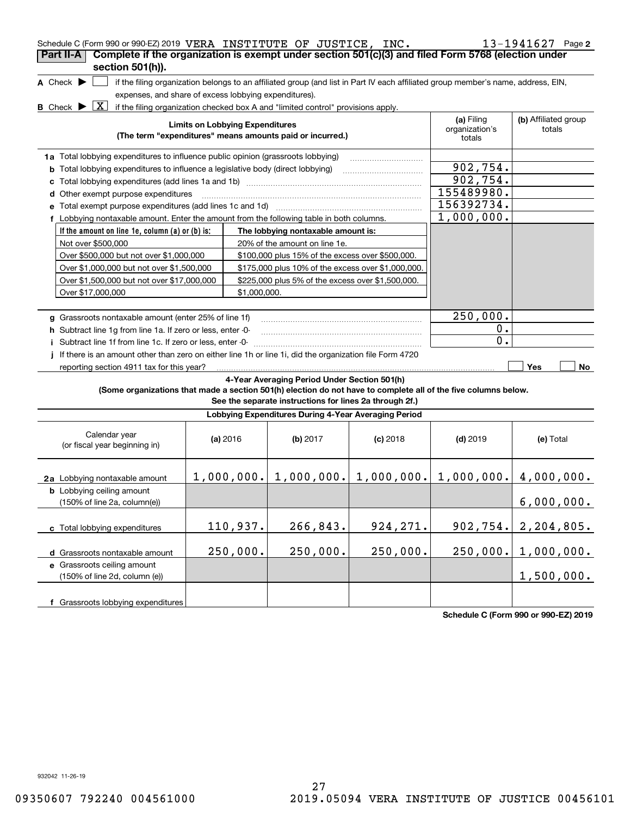| Schedule C (Form 990 or 990-EZ) 2019 VERA INSTITUTE OF JUSTICE, INC.<br>$13 - 1941627$ Page 2<br>Complete if the organization is exempt under section 501(c)(3) and filed Form 5768 (election under<br>Part II-A                                                                                                                                                                                                                                                                           |                                                                                                                                                                                                                                                                                     |          |                                                                     |            |                                        |              |  |  |
|--------------------------------------------------------------------------------------------------------------------------------------------------------------------------------------------------------------------------------------------------------------------------------------------------------------------------------------------------------------------------------------------------------------------------------------------------------------------------------------------|-------------------------------------------------------------------------------------------------------------------------------------------------------------------------------------------------------------------------------------------------------------------------------------|----------|---------------------------------------------------------------------|------------|----------------------------------------|--------------|--|--|
| A Check $\blacktriangleright$                                                                                                                                                                                                                                                                                                                                                                                                                                                              | section 501(h)).<br>if the filing organization belongs to an affiliated group (and list in Part IV each affiliated group member's name, address, EIN,<br>expenses, and share of excess lobbying expenditures).                                                                      |          |                                                                     |            |                                        |              |  |  |
|                                                                                                                                                                                                                                                                                                                                                                                                                                                                                            | X<br><b>B</b> Check $\blacktriangleright$<br>if the filing organization checked box A and "limited control" provisions apply.<br><b>Limits on Lobbying Expenditures</b><br>(The term "expenditures" means amounts paid or incurred.)                                                |          |                                                                     |            |                                        |              |  |  |
| 1a Total lobbying expenditures to influence public opinion (grassroots lobbying)<br><b>b</b> Total lobbying expenditures to influence a legislative body (direct lobbying)                                                                                                                                                                                                                                                                                                                 | 902, 754.<br>902,754.                                                                                                                                                                                                                                                               |          |                                                                     |            |                                        |              |  |  |
| d Other exempt purpose expenditures<br>e Total exempt purpose expenditures (add lines 1c and 1d)<br>f Lobbying nontaxable amount. Enter the amount from the following table in both columns.                                                                                                                                                                                                                                                                                               |                                                                                                                                                                                                                                                                                     |          |                                                                     |            | 155489980.<br>156392734.<br>1,000,000. |              |  |  |
| If the amount on line 1e, column $(a)$ or $(b)$ is:<br>The lobbying nontaxable amount is:<br>Not over \$500,000<br>20% of the amount on line 1e.<br>Over \$500,000 but not over \$1,000,000<br>\$100,000 plus 15% of the excess over \$500,000.<br>Over \$1,000,000 but not over \$1,500,000<br>\$175,000 plus 10% of the excess over \$1,000,000.<br>Over \$1,500,000 but not over \$17,000,000<br>\$225,000 plus 5% of the excess over \$1,500,000.<br>Over \$17,000,000<br>\$1,000,000. |                                                                                                                                                                                                                                                                                     |          |                                                                     |            |                                        |              |  |  |
| g Grassroots nontaxable amount (enter 25% of line 1f)<br>h Subtract line 1g from line 1a. If zero or less, enter -0-<br>Subtract line 1f from line 1c. If zero or less, enter -0-<br>j.<br>If there is an amount other than zero on either line 1h or line 1i, did the organization file Form 4720<br>Ť.                                                                                                                                                                                   |                                                                                                                                                                                                                                                                                     |          |                                                                     |            | 250,000.<br>$0$ .<br>0.                |              |  |  |
|                                                                                                                                                                                                                                                                                                                                                                                                                                                                                            | reporting section 4911 tax for this year?<br>Yes<br>No<br>4-Year Averaging Period Under Section 501(h)<br>(Some organizations that made a section 501(h) election do not have to complete all of the five columns below.<br>See the separate instructions for lines 2a through 2f.) |          |                                                                     |            |                                        |              |  |  |
|                                                                                                                                                                                                                                                                                                                                                                                                                                                                                            |                                                                                                                                                                                                                                                                                     |          | Lobbying Expenditures During 4-Year Averaging Period                |            |                                        |              |  |  |
| Calendar year<br>(or fiscal year beginning in)                                                                                                                                                                                                                                                                                                                                                                                                                                             | (a) 2016                                                                                                                                                                                                                                                                            |          | (b) 2017                                                            | $(c)$ 2018 | $(d)$ 2019                             | (e) Total    |  |  |
| 2a Lobbying nontaxable amount<br><b>b</b> Lobbying ceiling amount                                                                                                                                                                                                                                                                                                                                                                                                                          |                                                                                                                                                                                                                                                                                     |          | $1,000,000$ , $1,000,000$ , $1,000,000$ , $1,000,000$ , $4,000,000$ |            |                                        |              |  |  |
| (150% of line 2a, column(e))                                                                                                                                                                                                                                                                                                                                                                                                                                                               |                                                                                                                                                                                                                                                                                     |          |                                                                     |            |                                        | 6,000,000.   |  |  |
| c Total lobbying expenditures                                                                                                                                                                                                                                                                                                                                                                                                                                                              |                                                                                                                                                                                                                                                                                     | 110,937. | 266,843.                                                            | 924, 271.  | 902, 754.                              | 2, 204, 805. |  |  |
| d Grassroots nontaxable amount<br>e Grassroots ceiling amount                                                                                                                                                                                                                                                                                                                                                                                                                              |                                                                                                                                                                                                                                                                                     | 250,000. | 250,000.                                                            | 250,000.   | 250,000.                               | 1,000,000.   |  |  |
| (150% of line 2d, column (e))<br>f Grassroots lobbying expenditures                                                                                                                                                                                                                                                                                                                                                                                                                        |                                                                                                                                                                                                                                                                                     |          |                                                                     |            |                                        | 1,500,000.   |  |  |

**Schedule C (Form 990 or 990-EZ) 2019**

932042 11-26-19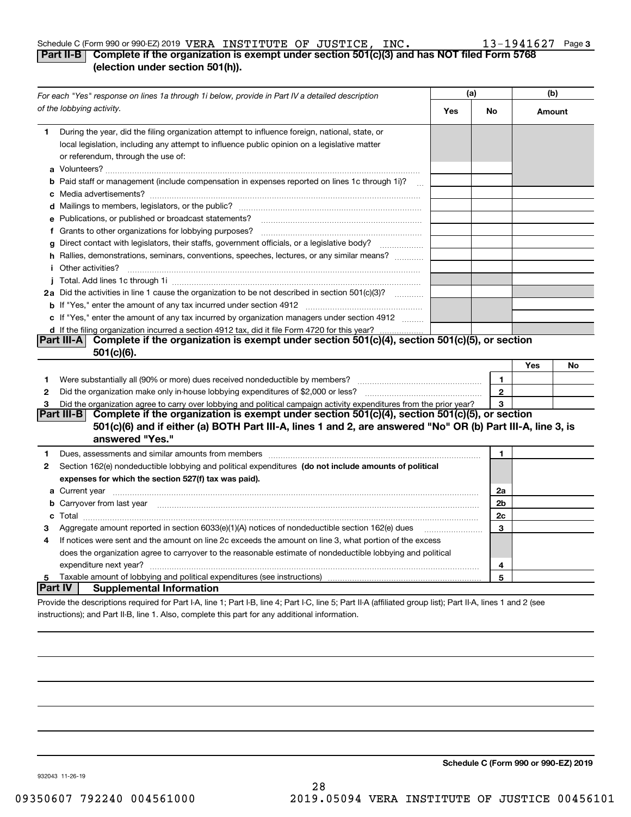#### Schedule C (Form 990 or 990-EZ) 2019 <code>VERA INSTITUTE OF JUSTICE</code> , <code>INC.</code>  $13-1941627$  <code>Page</code> VERA INSTITUTE OF JUSTICE, INC. 13-1941627

## **3**

## **Part II-B Complete if the organization is exempt under section 501(c)(3) and has NOT filed Form 5768 (election under section 501(h)).**

| For each "Yes" response on lines 1a through 1i below, provide in Part IV a detailed description |                                                                                                                                                                                                                                           | (a) |                |        | (b) |  |
|-------------------------------------------------------------------------------------------------|-------------------------------------------------------------------------------------------------------------------------------------------------------------------------------------------------------------------------------------------|-----|----------------|--------|-----|--|
|                                                                                                 | of the lobbying activity.                                                                                                                                                                                                                 | Yes | No             | Amount |     |  |
| 1.                                                                                              | During the year, did the filing organization attempt to influence foreign, national, state, or                                                                                                                                            |     |                |        |     |  |
|                                                                                                 | local legislation, including any attempt to influence public opinion on a legislative matter                                                                                                                                              |     |                |        |     |  |
|                                                                                                 | or referendum, through the use of:                                                                                                                                                                                                        |     |                |        |     |  |
|                                                                                                 |                                                                                                                                                                                                                                           |     |                |        |     |  |
|                                                                                                 | b Paid staff or management (include compensation in expenses reported on lines 1c through 1i)?                                                                                                                                            |     |                |        |     |  |
|                                                                                                 |                                                                                                                                                                                                                                           |     |                |        |     |  |
|                                                                                                 |                                                                                                                                                                                                                                           |     |                |        |     |  |
|                                                                                                 | e Publications, or published or broadcast statements?                                                                                                                                                                                     |     |                |        |     |  |
|                                                                                                 |                                                                                                                                                                                                                                           |     |                |        |     |  |
|                                                                                                 | g Direct contact with legislators, their staffs, government officials, or a legislative body?                                                                                                                                             |     |                |        |     |  |
|                                                                                                 | h Rallies, demonstrations, seminars, conventions, speeches, lectures, or any similar means?                                                                                                                                               |     |                |        |     |  |
|                                                                                                 | <i>i</i> Other activities?                                                                                                                                                                                                                |     |                |        |     |  |
|                                                                                                 |                                                                                                                                                                                                                                           |     |                |        |     |  |
|                                                                                                 | 2a Did the activities in line 1 cause the organization to be not described in section 501(c)(3)?                                                                                                                                          |     |                |        |     |  |
|                                                                                                 |                                                                                                                                                                                                                                           |     |                |        |     |  |
|                                                                                                 | c If "Yes," enter the amount of any tax incurred by organization managers under section 4912                                                                                                                                              |     |                |        |     |  |
|                                                                                                 | d If the filing organization incurred a section 4912 tax, did it file Form 4720 for this year?                                                                                                                                            |     |                |        |     |  |
|                                                                                                 | Complete if the organization is exempt under section 501(c)(4), section 501(c)(5), or section<br>Part III-A<br>501(c)(6).                                                                                                                 |     |                |        |     |  |
|                                                                                                 |                                                                                                                                                                                                                                           |     |                | Yes    | No  |  |
| 1                                                                                               |                                                                                                                                                                                                                                           |     | $\mathbf{1}$   |        |     |  |
| 2                                                                                               |                                                                                                                                                                                                                                           |     | $\bf 2$        |        |     |  |
| 3                                                                                               | Did the organization agree to carry over lobbying and political campaign activity expenditures from the prior year?<br>Complete if the organization is exempt under section 501(c)(4), section 501(c)(5), or section<br><b>Part III-B</b> |     | 3              |        |     |  |
|                                                                                                 | 501(c)(6) and if either (a) BOTH Part III-A, lines 1 and 2, are answered "No" OR (b) Part III-A, line 3, is<br>answered "Yes."                                                                                                            |     |                |        |     |  |
| 1                                                                                               | Dues, assessments and similar amounts from members [11] matter continuum matter and similar amounts and similar                                                                                                                           |     | 1.             |        |     |  |
| 2                                                                                               | Section 162(e) nondeductible lobbying and political expenditures (do not include amounts of political                                                                                                                                     |     |                |        |     |  |
|                                                                                                 | expenses for which the section 527(f) tax was paid).                                                                                                                                                                                      |     |                |        |     |  |
|                                                                                                 |                                                                                                                                                                                                                                           |     | 2a             |        |     |  |
|                                                                                                 | <b>b</b> Carryover from last year manufactured contains and contained a contained and contained a contained and contained a contained a contained and contained a contained a contained and contained a contained a contained and c       |     | 2 <sub>b</sub> |        |     |  |
|                                                                                                 |                                                                                                                                                                                                                                           |     | 2c             |        |     |  |
| 3                                                                                               | Aggregate amount reported in section $6033(e)(1)(A)$ notices of nondeductible section $162(e)$ dues                                                                                                                                       |     | 3              |        |     |  |
| 4                                                                                               | If notices were sent and the amount on line 2c exceeds the amount on line 3, what portion of the excess                                                                                                                                   |     |                |        |     |  |
|                                                                                                 | does the organization agree to carryover to the reasonable estimate of nondeductible lobbying and political                                                                                                                               |     |                |        |     |  |
|                                                                                                 | expenditure next year?                                                                                                                                                                                                                    |     | 4              |        |     |  |
| 5                                                                                               |                                                                                                                                                                                                                                           |     | 5              |        |     |  |
| <b>Part IV</b>                                                                                  | <b>Supplemental Information</b>                                                                                                                                                                                                           |     |                |        |     |  |
|                                                                                                 | Provide the descriptions required for Part I-A, line 1; Part I-B, line 4; Part I-C, line 5; Part II-A (affiliated group list); Part II-A, lines 1 and 2 (see                                                                              |     |                |        |     |  |
|                                                                                                 | instructions); and Part II-B, line 1. Also, complete this part for any additional information.                                                                                                                                            |     |                |        |     |  |

**Schedule C (Form 990 or 990-EZ) 2019**

932043 11-26-19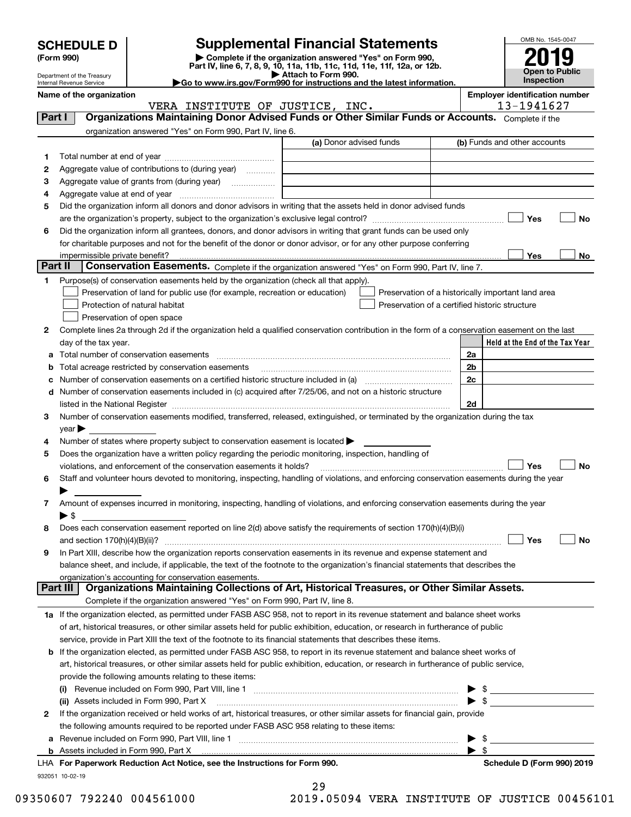| <b>SCHEDULE D</b> |  |
|-------------------|--|
|-------------------|--|

| (Form 990) |  |
|------------|--|
|------------|--|

## **Supplemental Financial Statements**

(Form 990)<br>
Pepartment of the Treasury<br>
Department of the Treasury<br>
Department of the Treasury<br>
Department of the Treasury<br> **Co to www.irs.gov/Form990 for instructions and the latest information.**<br> **Co to www.irs.gov/Form9** 



Department of the Treasury Internal Revenue Service

|         | Name of the organization<br>VERA INSTITUTE OF JUSTICE, INC.                                                                                    |                         |                | <b>Employer identification number</b><br>13-1941627 |
|---------|------------------------------------------------------------------------------------------------------------------------------------------------|-------------------------|----------------|-----------------------------------------------------|
| Part I  | Organizations Maintaining Donor Advised Funds or Other Similar Funds or Accounts. Complete if the                                              |                         |                |                                                     |
|         | organization answered "Yes" on Form 990, Part IV, line 6.                                                                                      |                         |                |                                                     |
|         |                                                                                                                                                | (a) Donor advised funds |                | (b) Funds and other accounts                        |
|         |                                                                                                                                                |                         |                |                                                     |
| 1.      |                                                                                                                                                |                         |                |                                                     |
| 2       | Aggregate value of contributions to (during year)                                                                                              |                         |                |                                                     |
| з       | Aggregate value of grants from (during year)                                                                                                   |                         |                |                                                     |
| 4       |                                                                                                                                                |                         |                |                                                     |
| 5       | Did the organization inform all donors and donor advisors in writing that the assets held in donor advised funds                               |                         |                |                                                     |
|         |                                                                                                                                                |                         |                | Yes<br>No                                           |
| 6       | Did the organization inform all grantees, donors, and donor advisors in writing that grant funds can be used only                              |                         |                |                                                     |
|         | for charitable purposes and not for the benefit of the donor or donor advisor, or for any other purpose conferring                             |                         |                |                                                     |
|         |                                                                                                                                                |                         |                | Yes<br>No                                           |
| Part II | Conservation Easements. Complete if the organization answered "Yes" on Form 990, Part IV, line 7.                                              |                         |                |                                                     |
| 1       | Purpose(s) of conservation easements held by the organization (check all that apply).                                                          |                         |                |                                                     |
|         | Preservation of land for public use (for example, recreation or education)                                                                     |                         |                | Preservation of a historically important land area  |
|         | Protection of natural habitat                                                                                                                  |                         |                | Preservation of a certified historic structure      |
|         | Preservation of open space                                                                                                                     |                         |                |                                                     |
| 2       | Complete lines 2a through 2d if the organization held a qualified conservation contribution in the form of a conservation easement on the last |                         |                |                                                     |
|         | day of the tax year.                                                                                                                           |                         |                | Held at the End of the Tax Year                     |
| а       | Total number of conservation easements                                                                                                         |                         | 2a             |                                                     |
| b       | Total acreage restricted by conservation easements                                                                                             |                         | 2 <sub>b</sub> |                                                     |
|         |                                                                                                                                                |                         | 2c             |                                                     |
| с       | Number of conservation easements included in (c) acquired after 7/25/06, and not on a historic structure                                       |                         |                |                                                     |
| d       |                                                                                                                                                |                         | 2d             |                                                     |
|         |                                                                                                                                                |                         |                |                                                     |
| 3       | Number of conservation easements modified, transferred, released, extinguished, or terminated by the organization during the tax               |                         |                |                                                     |
|         | year                                                                                                                                           |                         |                |                                                     |
| 4       | Number of states where property subject to conservation easement is located >                                                                  |                         |                |                                                     |
| 5       | Does the organization have a written policy regarding the periodic monitoring, inspection, handling of                                         |                         |                |                                                     |
|         | violations, and enforcement of the conservation easements it holds?                                                                            |                         |                | Yes<br><b>No</b>                                    |
| 6       | Staff and volunteer hours devoted to monitoring, inspecting, handling of violations, and enforcing conservation easements during the year      |                         |                |                                                     |
|         |                                                                                                                                                |                         |                |                                                     |
| 7       | Amount of expenses incurred in monitoring, inspecting, handling of violations, and enforcing conservation easements during the year            |                         |                |                                                     |
|         | $\blacktriangleright$ \$                                                                                                                       |                         |                |                                                     |
| 8       | Does each conservation easement reported on line 2(d) above satisfy the requirements of section 170(h)(4)(B)(i)                                |                         |                |                                                     |
|         |                                                                                                                                                |                         |                | Yes<br>No                                           |
|         | In Part XIII, describe how the organization reports conservation easements in its revenue and expense statement and                            |                         |                |                                                     |
|         | balance sheet, and include, if applicable, the text of the footnote to the organization's financial statements that describes the              |                         |                |                                                     |
|         | organization's accounting for conservation easements.                                                                                          |                         |                |                                                     |
|         | Organizations Maintaining Collections of Art, Historical Treasures, or Other Similar Assets.<br>Part III                                       |                         |                |                                                     |
|         | Complete if the organization answered "Yes" on Form 990, Part IV, line 8.                                                                      |                         |                |                                                     |
|         | 1a If the organization elected, as permitted under FASB ASC 958, not to report in its revenue statement and balance sheet works                |                         |                |                                                     |
|         | of art, historical treasures, or other similar assets held for public exhibition, education, or research in furtherance of public              |                         |                |                                                     |
|         | service, provide in Part XIII the text of the footnote to its financial statements that describes these items.                                 |                         |                |                                                     |
| b       | If the organization elected, as permitted under FASB ASC 958, to report in its revenue statement and balance sheet works of                    |                         |                |                                                     |
|         | art, historical treasures, or other similar assets held for public exhibition, education, or research in furtherance of public service,        |                         |                |                                                     |
|         | provide the following amounts relating to these items:                                                                                         |                         |                |                                                     |
|         |                                                                                                                                                |                         |                | $\triangleright$ \$                                 |
|         | (ii) Assets included in Form 990, Part X                                                                                                       |                         |                | $\blacktriangleright$ \$                            |
| 2       | If the organization received or held works of art, historical treasures, or other similar assets for financial gain, provide                   |                         |                |                                                     |
|         | the following amounts required to be reported under FASB ASC 958 relating to these items:                                                      |                         |                |                                                     |
|         |                                                                                                                                                |                         |                |                                                     |
| а       |                                                                                                                                                |                         |                | \$<br>$\blacktriangleright$ \$                      |
|         | <b>b</b> Assets included in Form 990, Part X                                                                                                   |                         |                |                                                     |
|         | LHA For Paperwork Reduction Act Notice, see the Instructions for Form 990.                                                                     |                         |                | Schedule D (Form 990) 2019                          |
|         | 932051 10-02-19                                                                                                                                |                         |                |                                                     |

| 29     |  |        |  |
|--------|--|--------|--|
| $\sim$ |  | 0.0001 |  |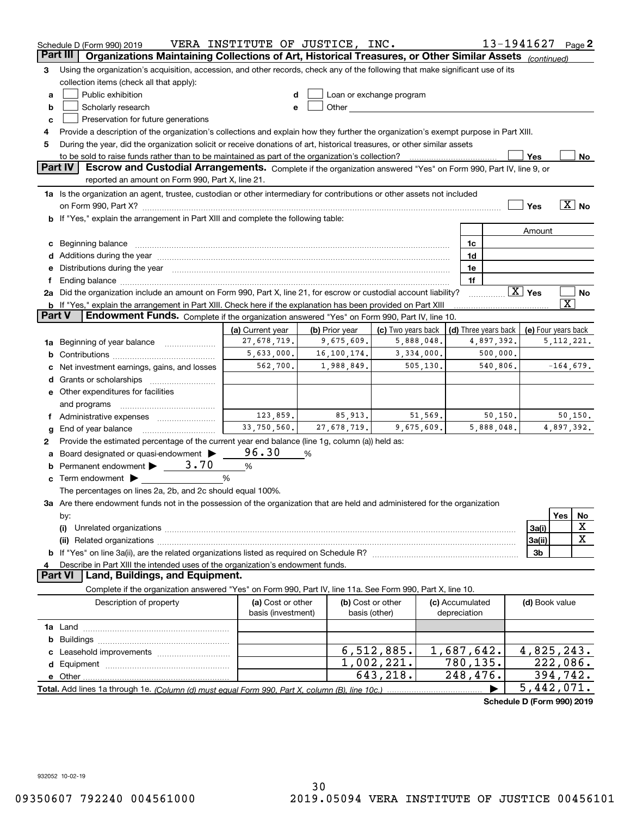|        | Schedule D (Form 990) 2019                                                                                                                                                                                                     | VERA INSTITUTE OF JUSTICE, INC.         |                |                                                                                                                                                                                                                                |                                 |                         |                      | 13-1941627             |                             | Page 2            |
|--------|--------------------------------------------------------------------------------------------------------------------------------------------------------------------------------------------------------------------------------|-----------------------------------------|----------------|--------------------------------------------------------------------------------------------------------------------------------------------------------------------------------------------------------------------------------|---------------------------------|-------------------------|----------------------|------------------------|-----------------------------|-------------------|
|        | Organizations Maintaining Collections of Art, Historical Treasures, or Other Similar Assets (continued)<br>Part III                                                                                                            |                                         |                |                                                                                                                                                                                                                                |                                 |                         |                      |                        |                             |                   |
| з      | Using the organization's acquisition, accession, and other records, check any of the following that make significant use of its                                                                                                |                                         |                |                                                                                                                                                                                                                                |                                 |                         |                      |                        |                             |                   |
|        | collection items (check all that apply):                                                                                                                                                                                       |                                         |                |                                                                                                                                                                                                                                |                                 |                         |                      |                        |                             |                   |
| a      | Public exhibition                                                                                                                                                                                                              | d                                       |                | Loan or exchange program                                                                                                                                                                                                       |                                 |                         |                      |                        |                             |                   |
| b      | Scholarly research                                                                                                                                                                                                             | е                                       |                | Other the contract of the contract of the contract of the contract of the contract of the contract of the contract of the contract of the contract of the contract of the contract of the contract of the contract of the cont |                                 |                         |                      |                        |                             |                   |
| c      | Preservation for future generations                                                                                                                                                                                            |                                         |                |                                                                                                                                                                                                                                |                                 |                         |                      |                        |                             |                   |
| 4      | Provide a description of the organization's collections and explain how they further the organization's exempt purpose in Part XIII.                                                                                           |                                         |                |                                                                                                                                                                                                                                |                                 |                         |                      |                        |                             |                   |
| 5      | During the year, did the organization solicit or receive donations of art, historical treasures, or other similar assets                                                                                                       |                                         |                |                                                                                                                                                                                                                                |                                 |                         |                      |                        |                             |                   |
|        | to be sold to raise funds rather than to be maintained as part of the organization's collection?                                                                                                                               |                                         |                |                                                                                                                                                                                                                                |                                 |                         |                      | Yes                    |                             | No                |
|        | <b>Part IV</b><br>Escrow and Custodial Arrangements. Complete if the organization answered "Yes" on Form 990, Part IV, line 9, or                                                                                              |                                         |                |                                                                                                                                                                                                                                |                                 |                         |                      |                        |                             |                   |
|        | reported an amount on Form 990, Part X, line 21.                                                                                                                                                                               |                                         |                |                                                                                                                                                                                                                                |                                 |                         |                      |                        |                             |                   |
|        | 1a Is the organization an agent, trustee, custodian or other intermediary for contributions or other assets not included                                                                                                       |                                         |                |                                                                                                                                                                                                                                |                                 |                         |                      |                        |                             |                   |
|        | on Form 990, Part X? [11] matter continuum matter contract to the contract of the contract of the contract of t                                                                                                                |                                         |                |                                                                                                                                                                                                                                |                                 |                         |                      | Yes                    |                             | $\overline{X}$ No |
|        | b If "Yes," explain the arrangement in Part XIII and complete the following table:                                                                                                                                             |                                         |                |                                                                                                                                                                                                                                |                                 |                         |                      |                        |                             |                   |
|        |                                                                                                                                                                                                                                |                                         |                |                                                                                                                                                                                                                                |                                 |                         |                      | Amount                 |                             |                   |
| c      | Beginning balance material content contracts and all the content of the content of the content of the content of the content of the content of the content of the content of the content of the content of the content of the  |                                         |                |                                                                                                                                                                                                                                |                                 | 1c                      |                      |                        |                             |                   |
|        | Additions during the year manufactured and an annual contract of the state of the state of the state of the state of the state of the state of the state of the state of the state of the state of the state of the state of t |                                         |                |                                                                                                                                                                                                                                |                                 | 1d                      |                      |                        |                             |                   |
| е      | Distributions during the year manufactured and an account of the state of the state of the state of the state o                                                                                                                |                                         |                |                                                                                                                                                                                                                                |                                 | 1e<br>1f                |                      |                        |                             |                   |
| Ť.     | 2a Did the organization include an amount on Form 990, Part X, line 21, for escrow or custodial account liability?                                                                                                             |                                         |                |                                                                                                                                                                                                                                |                                 |                         |                      | $\boxed{\text{X}}$ Yes |                             | No                |
|        | <b>b</b> If "Yes," explain the arrangement in Part XIII. Check here if the explanation has been provided on Part XIII                                                                                                          |                                         |                |                                                                                                                                                                                                                                |                                 |                         |                      |                        | $\overline{\textnormal{x}}$ |                   |
| Part V | Endowment Funds. Complete if the organization answered "Yes" on Form 990, Part IV, line 10.                                                                                                                                    |                                         |                |                                                                                                                                                                                                                                |                                 |                         |                      |                        |                             |                   |
|        |                                                                                                                                                                                                                                | (a) Current year                        | (b) Prior year | (c) Two years back                                                                                                                                                                                                             |                                 |                         | (d) Three years back | (e) Four years back    |                             |                   |
| 1a     | Beginning of year balance                                                                                                                                                                                                      | 27,678,719.                             | 9,675,609.     | 5,888,048.                                                                                                                                                                                                                     |                                 |                         | 4,897,392.           |                        | 5, 112, 221.                |                   |
| b      |                                                                                                                                                                                                                                | 5,633,000.                              | 16,100,174.    | 3,334,000.                                                                                                                                                                                                                     |                                 |                         | 500,000.             |                        |                             |                   |
|        | Net investment earnings, gains, and losses                                                                                                                                                                                     | 562,700.                                | 1,988,849.     | 505,130.                                                                                                                                                                                                                       |                                 |                         | 540,806.             |                        | $-164,679.$                 |                   |
| d      |                                                                                                                                                                                                                                |                                         |                |                                                                                                                                                                                                                                |                                 |                         |                      |                        |                             |                   |
|        | e Other expenditures for facilities                                                                                                                                                                                            |                                         |                |                                                                                                                                                                                                                                |                                 |                         |                      |                        |                             |                   |
|        | and programs                                                                                                                                                                                                                   |                                         |                |                                                                                                                                                                                                                                |                                 |                         |                      |                        |                             |                   |
|        | f Administrative expenses                                                                                                                                                                                                      | 123,859.                                | 85,913.        | 51,569.                                                                                                                                                                                                                        |                                 |                         | 50, 150.             |                        |                             | 50, 150.          |
| g      | End of year balance                                                                                                                                                                                                            | 33,750,560.                             | 27,678,719.    | 9,675,609.                                                                                                                                                                                                                     |                                 |                         | 5,888,048.           |                        | 4,897,392.                  |                   |
| 2      | Provide the estimated percentage of the current year end balance (line 1g, column (a)) held as:                                                                                                                                |                                         |                |                                                                                                                                                                                                                                |                                 |                         |                      |                        |                             |                   |
| а      | Board designated or quasi-endowment                                                                                                                                                                                            | 96.30                                   | %              |                                                                                                                                                                                                                                |                                 |                         |                      |                        |                             |                   |
|        | Permanent endowment $\blacktriangleright$ _ 3.70                                                                                                                                                                               | %                                       |                |                                                                                                                                                                                                                                |                                 |                         |                      |                        |                             |                   |
|        | Term endowment $\blacktriangleright$                                                                                                                                                                                           | %                                       |                |                                                                                                                                                                                                                                |                                 |                         |                      |                        |                             |                   |
|        | The percentages on lines 2a, 2b, and 2c should equal 100%.                                                                                                                                                                     |                                         |                |                                                                                                                                                                                                                                |                                 |                         |                      |                        |                             |                   |
|        | 3a Are there endowment funds not in the possession of the organization that are held and administered for the organization                                                                                                     |                                         |                |                                                                                                                                                                                                                                |                                 |                         |                      |                        |                             |                   |
|        | by:                                                                                                                                                                                                                            |                                         |                |                                                                                                                                                                                                                                |                                 |                         |                      |                        | Yes                         | No                |
|        | (i)                                                                                                                                                                                                                            |                                         |                |                                                                                                                                                                                                                                |                                 |                         |                      | 3a(i)                  |                             | X                 |
|        |                                                                                                                                                                                                                                |                                         |                |                                                                                                                                                                                                                                |                                 |                         |                      | 3a(ii)                 |                             | $\mathbf X$       |
|        |                                                                                                                                                                                                                                |                                         |                |                                                                                                                                                                                                                                |                                 |                         |                      | 3b                     |                             |                   |
| 4      | Describe in Part XIII the intended uses of the organization's endowment funds.                                                                                                                                                 |                                         |                |                                                                                                                                                                                                                                |                                 |                         |                      |                        |                             |                   |
|        | Land, Buildings, and Equipment.<br>Part VI                                                                                                                                                                                     |                                         |                |                                                                                                                                                                                                                                |                                 |                         |                      |                        |                             |                   |
|        | Complete if the organization answered "Yes" on Form 990, Part IV, line 11a. See Form 990, Part X, line 10.                                                                                                                     |                                         |                |                                                                                                                                                                                                                                |                                 |                         |                      |                        |                             |                   |
|        | Description of property                                                                                                                                                                                                        | (a) Cost or other<br>basis (investment) |                | (b) Cost or other<br>basis (other)                                                                                                                                                                                             | (c) Accumulated<br>depreciation |                         |                      | (d) Book value         |                             |                   |
|        |                                                                                                                                                                                                                                |                                         |                |                                                                                                                                                                                                                                |                                 |                         |                      |                        |                             |                   |
| b      |                                                                                                                                                                                                                                |                                         |                |                                                                                                                                                                                                                                |                                 |                         |                      |                        |                             |                   |
|        |                                                                                                                                                                                                                                |                                         |                | 6,512,885.                                                                                                                                                                                                                     | 1,687,642.                      |                         |                      | 4,825,243.             |                             |                   |
| d      |                                                                                                                                                                                                                                |                                         |                | 1,002,221.                                                                                                                                                                                                                     |                                 | $\overline{780}$ , 135. |                      | 222,086.               |                             |                   |
|        |                                                                                                                                                                                                                                |                                         |                | 643,218.                                                                                                                                                                                                                       |                                 | 248,476.                |                      | 394,742.               |                             |                   |
|        |                                                                                                                                                                                                                                |                                         |                |                                                                                                                                                                                                                                |                                 |                         |                      | 5,442,071.             |                             |                   |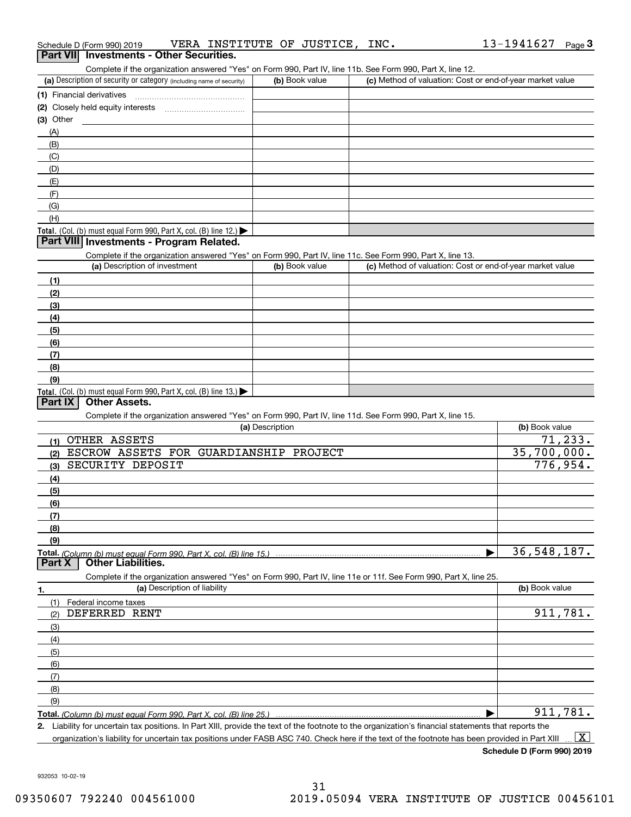| $(3)$ Other                                                                                                                                          |                 |                                                           |                        |
|------------------------------------------------------------------------------------------------------------------------------------------------------|-----------------|-----------------------------------------------------------|------------------------|
| (A)                                                                                                                                                  |                 |                                                           |                        |
| (B)                                                                                                                                                  |                 |                                                           |                        |
| (C)                                                                                                                                                  |                 |                                                           |                        |
| (D)                                                                                                                                                  |                 |                                                           |                        |
| (E)                                                                                                                                                  |                 |                                                           |                        |
| (F)                                                                                                                                                  |                 |                                                           |                        |
| (G)                                                                                                                                                  |                 |                                                           |                        |
| (H)                                                                                                                                                  |                 |                                                           |                        |
| Total. (Col. (b) must equal Form 990, Part X, col. (B) line 12.)                                                                                     |                 |                                                           |                        |
| Part VIII Investments - Program Related.                                                                                                             |                 |                                                           |                        |
| Complete if the organization answered "Yes" on Form 990, Part IV, line 11c. See Form 990, Part X, line 13.                                           |                 |                                                           |                        |
| (a) Description of investment                                                                                                                        | (b) Book value  | (c) Method of valuation: Cost or end-of-year market value |                        |
| (1)                                                                                                                                                  |                 |                                                           |                        |
| (2)                                                                                                                                                  |                 |                                                           |                        |
| (3)                                                                                                                                                  |                 |                                                           |                        |
| (4)                                                                                                                                                  |                 |                                                           |                        |
| (5)                                                                                                                                                  |                 |                                                           |                        |
| (6)                                                                                                                                                  |                 |                                                           |                        |
| (7)                                                                                                                                                  |                 |                                                           |                        |
| (8)                                                                                                                                                  |                 |                                                           |                        |
| (9)                                                                                                                                                  |                 |                                                           |                        |
| Total. (Col. (b) must equal Form 990, Part X, col. (B) line 13.)                                                                                     |                 |                                                           |                        |
| <b>Other Assets.</b><br>Part IX                                                                                                                      |                 |                                                           |                        |
| Complete if the organization answered "Yes" on Form 990, Part IV, line 11d. See Form 990, Part X, line 15.                                           |                 |                                                           |                        |
|                                                                                                                                                      | (a) Description |                                                           | (b) Book value         |
| (1) OTHER ASSETS                                                                                                                                     |                 |                                                           | $\overline{71}$ , 233. |
| ESCROW ASSETS FOR GUARDIANSHIP PROJECT<br>(2)                                                                                                        |                 |                                                           | 35,700,000.            |
| SECURITY DEPOSIT<br>(3)                                                                                                                              |                 |                                                           | 776,954.               |
| (4)                                                                                                                                                  |                 |                                                           |                        |
| (5)                                                                                                                                                  |                 |                                                           |                        |
| (6)                                                                                                                                                  |                 |                                                           |                        |
| (7)                                                                                                                                                  |                 |                                                           |                        |
| (8)                                                                                                                                                  |                 |                                                           |                        |
| (9)                                                                                                                                                  |                 |                                                           |                        |
|                                                                                                                                                      |                 | ▶                                                         | 36,548,187.            |
| <b>Other Liabilities.</b><br>Part X                                                                                                                  |                 |                                                           |                        |
| Complete if the organization answered "Yes" on Form 990, Part IV, line 11e or 11f. See Form 990, Part X, line 25.                                    |                 |                                                           |                        |
| (a) Description of liability<br>1.                                                                                                                   |                 |                                                           | (b) Book value         |
| (1) Federal income taxes                                                                                                                             |                 |                                                           |                        |
| DEFERRED RENT<br>(2)                                                                                                                                 |                 |                                                           | 911,781.               |
| (3)                                                                                                                                                  |                 |                                                           |                        |
|                                                                                                                                                      |                 |                                                           |                        |
| (4)                                                                                                                                                  |                 |                                                           |                        |
| (5)                                                                                                                                                  |                 |                                                           |                        |
| (6)                                                                                                                                                  |                 |                                                           |                        |
| (7)                                                                                                                                                  |                 |                                                           |                        |
| (8)                                                                                                                                                  |                 |                                                           |                        |
| (9)                                                                                                                                                  |                 |                                                           | 911,781.               |
|                                                                                                                                                      |                 |                                                           |                        |
| 2. Liability for uncertain tax positions. In Part XIII, provide the text of the footnote to the organization's financial statements that reports the |                 |                                                           |                        |

## Schedule D (Form 990) 2019 Page VERA INSTITUTE OF JUSTICE, INC. Schedule D (Form 990) 2019 **VERA INSTITUTE OF JUSTICE, INC.**<br>**Part VII Investments - Other Securities.**

(b) Book value (c) Method of valuation: Cost or end-of-year market value

Complete if the organization answered "Yes" on Form 990, Part IV, line 11b. See Form 990, Part X, line 12.

organization's liability for uncertain tax positions under FASB ASC 740. Check here if the text of the footnote has been provided in Part XIII  $\boxed{\text{X}}$ 

**Schedule D (Form 990) 2019**

932053 10-02-19

#### (a) Description of security or category (including name of security)  $\vert$  (b) Book value  $\vert$  (c) **(1)** Financial derivatives ~~~~~~~~~~~~~~~

| (2) Closely held equity interests                                                                         |  |
|-----------------------------------------------------------------------------------------------------------|--|
| $(3)$ Other                                                                                               |  |
| (A)                                                                                                       |  |
| (B)                                                                                                       |  |
| (C)                                                                                                       |  |
| (D)                                                                                                       |  |
| (E)                                                                                                       |  |
| (F)                                                                                                       |  |
| (G)                                                                                                       |  |
| (H)                                                                                                       |  |
| <b>Total.</b> (Col. (b) must equal Form 990, Part X, col. (B) line $12$ .)                                |  |
| <b>Part VIII Investments - Program Related.</b>                                                           |  |
| Complete if the organization answered "Ves" on Form 000, Part IV, line 11c, See Form 000, Part Y, line 13 |  |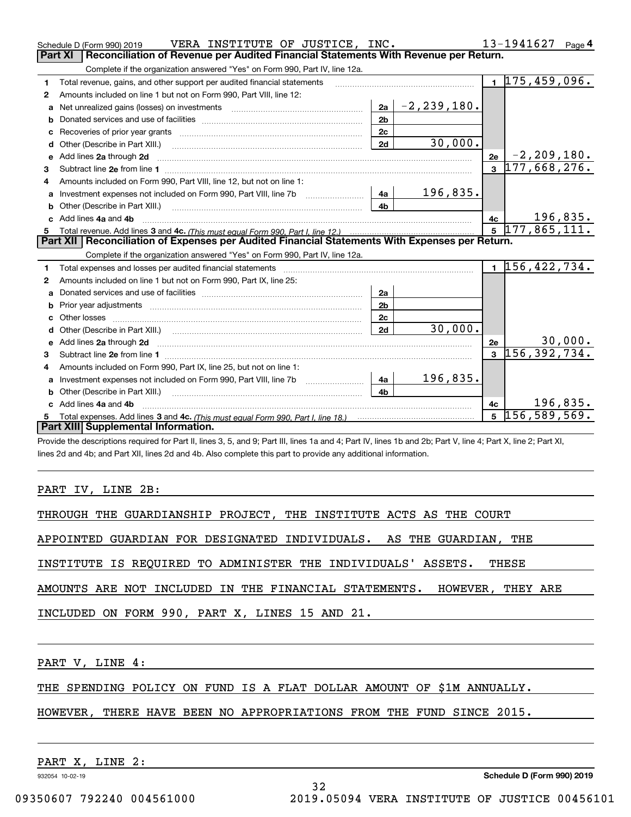|    | VERA INSTITUTE OF JUSTICE, INC.<br>Schedule D (Form 990) 2019                                                                                                                                                                       |                |                       |              | 13-1941627 Page 4           |          |
|----|-------------------------------------------------------------------------------------------------------------------------------------------------------------------------------------------------------------------------------------|----------------|-----------------------|--------------|-----------------------------|----------|
|    | Reconciliation of Revenue per Audited Financial Statements With Revenue per Return.<br><b>Part XI</b>                                                                                                                               |                |                       |              |                             |          |
|    | Complete if the organization answered "Yes" on Form 990, Part IV, line 12a.                                                                                                                                                         |                |                       |              |                             |          |
| 1  | Total revenue, gains, and other support per audited financial statements                                                                                                                                                            |                |                       |              | $\overline{1}$ 175,459,096. |          |
| 2  | Amounts included on line 1 but not on Form 990, Part VIII, line 12:                                                                                                                                                                 |                |                       |              |                             |          |
| a  | Net unrealized gains (losses) on investments [11] matter contracts and the unrealized gains (losses) on investments                                                                                                                 |                | $ 2a $ - 2, 239, 180. |              |                             |          |
| b  |                                                                                                                                                                                                                                     | 2 <sub>b</sub> |                       |              |                             |          |
| c  |                                                                                                                                                                                                                                     | 2 <sub>c</sub> |                       |              |                             |          |
| d  | Other (Describe in Part XIII.) <b>Construction Contract Construction</b> Chern Construction Construction Construction                                                                                                               | 2d             | 30,000.               |              |                             |          |
| е  | Add lines 2a through 2d <b>must be a constructed as the constant of the constant of the constant of the construction</b>                                                                                                            |                |                       | 2e           | $-2, 209, 180.$             |          |
| 3  |                                                                                                                                                                                                                                     |                |                       | $\mathbf{3}$ | 177,668,276.                |          |
| 4  | Amounts included on Form 990, Part VIII, line 12, but not on line 1:                                                                                                                                                                |                |                       |              |                             |          |
|    |                                                                                                                                                                                                                                     |                | 196,835.              |              |                             |          |
| b  | Other (Describe in Part XIII.) <b>Construction Contract Construction</b> Chemistry Chemistry Chemistry Chemistry Chemistry                                                                                                          | 4 <sub>b</sub> |                       |              |                             |          |
| c. | Add lines 4a and 4b                                                                                                                                                                                                                 |                |                       | 4c           |                             | 196,835. |
|    |                                                                                                                                                                                                                                     |                |                       |              | $5\overline{177,865,111.}$  |          |
|    |                                                                                                                                                                                                                                     |                |                       |              |                             |          |
|    | Part XII   Reconciliation of Expenses per Audited Financial Statements With Expenses per Return.                                                                                                                                    |                |                       |              |                             |          |
|    | Complete if the organization answered "Yes" on Form 990, Part IV, line 12a.                                                                                                                                                         |                |                       |              |                             |          |
| 1  | Total expenses and losses per audited financial statements [11] [12] contraction and statements [13] [13] Total expenses and losses per audited financial statements [13] [13] [13] $\alpha$                                        |                |                       |              | $1\vert 156, 422, 734.$     |          |
| 2  | Amounts included on line 1 but not on Form 990, Part IX, line 25:                                                                                                                                                                   |                |                       |              |                             |          |
| a  |                                                                                                                                                                                                                                     | 2a             |                       |              |                             |          |
| b  |                                                                                                                                                                                                                                     | 2 <sub>b</sub> |                       |              |                             |          |
| c  |                                                                                                                                                                                                                                     | 2 <sub>c</sub> |                       |              |                             |          |
| d  |                                                                                                                                                                                                                                     | 2d             | 30,000.               |              |                             |          |
| e  | Add lines 2a through 2d <b>contained a contained a contained a contained a</b> contained a contact the state of the state of the state of the state of the state of the state of the state of the state of the state of the state o |                |                       | 2e           |                             | 30,000.  |
| 3  |                                                                                                                                                                                                                                     |                |                       | $\mathbf{3}$ | 156, 392, 734.              |          |
| 4  | Amounts included on Form 990, Part IX, line 25, but not on line 1:                                                                                                                                                                  |                |                       |              |                             |          |
| a  |                                                                                                                                                                                                                                     | 4a             | 196,835.              |              |                             |          |
|    | Other (Describe in Part XIII.)                                                                                                                                                                                                      | 4 <sub>b</sub> |                       |              |                             |          |
|    | c Add lines 4a and 4b                                                                                                                                                                                                               |                |                       | 4c           |                             | 196,835. |
|    | Part XIII Supplemental Information.                                                                                                                                                                                                 |                |                       | 5            | 156, 589, 569.              |          |

Provide the descriptions required for Part II, lines 3, 5, and 9; Part III, lines 1a and 4; Part IV, lines 1b and 2b; Part V, line 4; Part X, line 2; Part XI, lines 2d and 4b; and Part XII, lines 2d and 4b. Also complete this part to provide any additional information.

#### PART IV, LINE 2B:

THROUGH THE GUARDIANSHIP PROJECT, THE INSTITUTE ACTS AS THE COURT

APPOINTED GUARDIAN FOR DESIGNATED INDIVIDUALS. AS THE GUARDIAN, THE

INSTITUTE IS REQUIRED TO ADMINISTER THE INDIVIDUALS' ASSETS. THESE

AMOUNTS ARE NOT INCLUDED IN THE FINANCIAL STATEMENTS. HOWEVER, THEY ARE

INCLUDED ON FORM 990, PART X, LINES 15 AND 21.

PART V, LINE 4:

THE SPENDING POLICY ON FUND IS A FLAT DOLLAR AMOUNT OF \$1M ANNUALLY.

## HOWEVER, THERE HAVE BEEN NO APPROPRIATIONS FROM THE FUND SINCE 2015.

32

PART X, LINE 2:

932054 10-02-19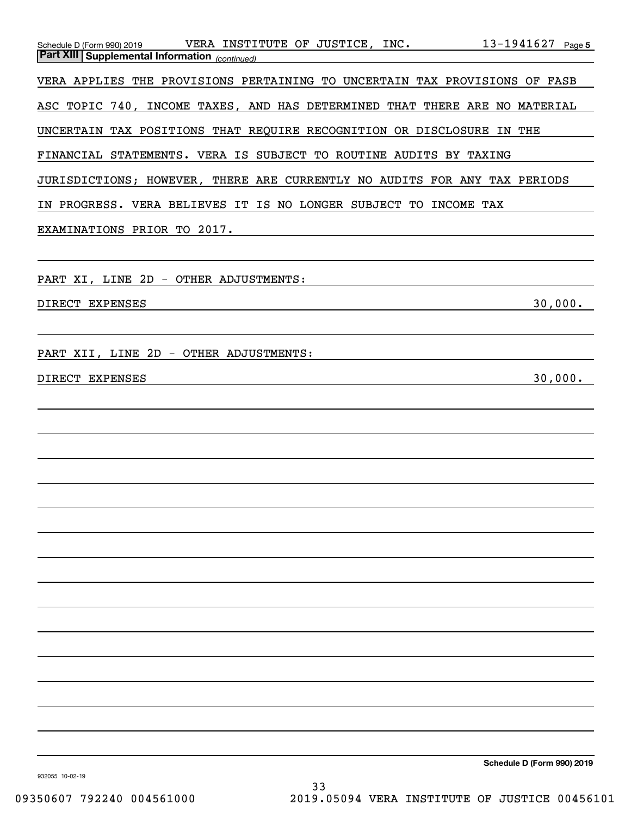| $13 - 1941627$ Page 5<br><b>Part XIII Supplemental Information</b> (continued) |
|--------------------------------------------------------------------------------|
| VERA APPLIES THE PROVISIONS PERTAINING TO UNCERTAIN TAX PROVISIONS OF FASB     |
| ASC TOPIC 740, INCOME TAXES, AND HAS DETERMINED THAT THERE ARE NO MATERIAL     |
| UNCERTAIN TAX POSITIONS THAT REQUIRE RECOGNITION OR DISCLOSURE IN THE          |
| FINANCIAL STATEMENTS. VERA IS SUBJECT TO ROUTINE AUDITS BY TAXING              |
| JURISDICTIONS; HOWEVER, THERE ARE CURRENTLY NO AUDITS FOR ANY TAX PERIODS      |
| IN PROGRESS. VERA BELIEVES IT IS NO LONGER SUBJECT TO INCOME TAX               |
| EXAMINATIONS PRIOR TO 2017.                                                    |
|                                                                                |
| PART XI, LINE 2D - OTHER ADJUSTMENTS:                                          |
| 30,000.<br>DIRECT EXPENSES                                                     |
|                                                                                |
| PART XII, LINE 2D - OTHER ADJUSTMENTS:                                         |
| 30,000.<br>DIRECT EXPENSES                                                     |
|                                                                                |
|                                                                                |
|                                                                                |
|                                                                                |
|                                                                                |
|                                                                                |
|                                                                                |
|                                                                                |
|                                                                                |
|                                                                                |
|                                                                                |
|                                                                                |
|                                                                                |
|                                                                                |
| Schedule D (Form 990) 2019                                                     |

**Schedule D (Form 990)**  $2$ 

932055 10-02-19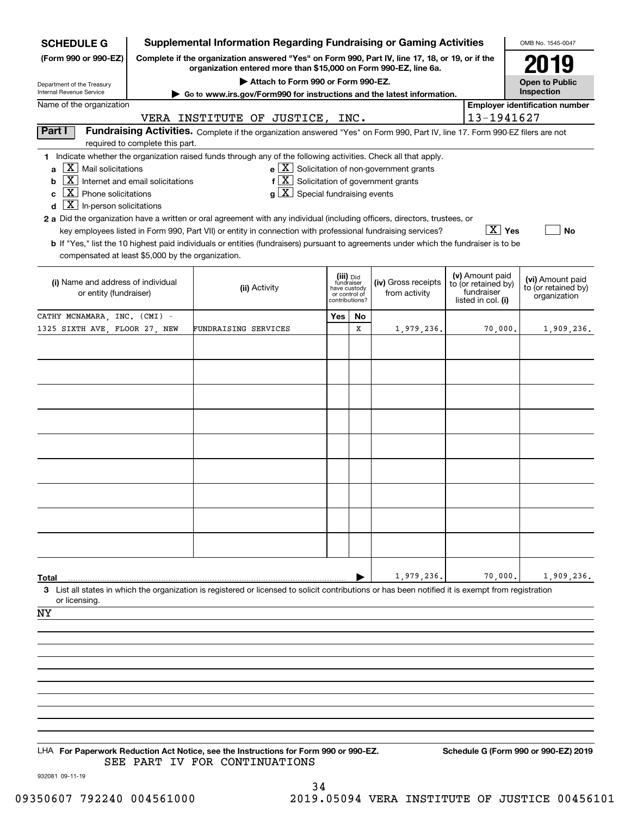| <b>SCHEDULE G</b>                                                         |                                                                                                        | <b>Supplemental Information Regarding Fundraising or Gaming Activities</b>                                                                         |                                         |    |                                                       |  |                                   | OMB No. 1545-0047                       |  |
|---------------------------------------------------------------------------|--------------------------------------------------------------------------------------------------------|----------------------------------------------------------------------------------------------------------------------------------------------------|-----------------------------------------|----|-------------------------------------------------------|--|-----------------------------------|-----------------------------------------|--|
| (Form 990 or 990-EZ)                                                      | Complete if the organization answered "Yes" on Form 990, Part IV, line 17, 18, or 19, or if the        | 079                                                                                                                                                |                                         |    |                                                       |  |                                   |                                         |  |
| Department of the Treasury                                                | organization entered more than \$15,000 on Form 990-EZ, line 6a.<br>Attach to Form 990 or Form 990-EZ. |                                                                                                                                                    |                                         |    |                                                       |  |                                   |                                         |  |
| Internal Revenue Service                                                  | ► Go to www.irs.gov/Form990 for instructions and the latest information.                               |                                                                                                                                                    |                                         |    |                                                       |  |                                   |                                         |  |
| Name of the organization<br>13-1941627<br>VERA INSTITUTE OF JUSTICE, INC. |                                                                                                        |                                                                                                                                                    |                                         |    |                                                       |  |                                   | <b>Employer identification number</b>   |  |
| Part I                                                                    |                                                                                                        | Fundraising Activities. Complete if the organization answered "Yes" on Form 990, Part IV, line 17. Form 990-EZ filers are not                      |                                         |    |                                                       |  |                                   |                                         |  |
|                                                                           | required to complete this part.                                                                        | 1 Indicate whether the organization raised funds through any of the following activities. Check all that apply.                                    |                                         |    |                                                       |  |                                   |                                         |  |
| X <br>Mail solicitations<br>a                                             |                                                                                                        |                                                                                                                                                    |                                         |    | $e$ $\boxed{X}$ Solicitation of non-government grants |  |                                   |                                         |  |
| $\vert$ X<br>b                                                            | Internet and email solicitations                                                                       | $f[X]$ Solicitation of government grants                                                                                                           |                                         |    |                                                       |  |                                   |                                         |  |
| $X$ Phone solicitations<br>c                                              |                                                                                                        | $g\mid X$ Special fundraising events                                                                                                               |                                         |    |                                                       |  |                                   |                                         |  |
| $\boxed{\mathbf{X}}$ In-person solicitations<br>d                         |                                                                                                        | 2 a Did the organization have a written or oral agreement with any individual (including officers, directors, trustees, or                         |                                         |    |                                                       |  |                                   |                                         |  |
|                                                                           |                                                                                                        | key employees listed in Form 990, Part VII) or entity in connection with professional fundraising services?                                        |                                         |    |                                                       |  | $\boxed{\text{X}}$ Yes            | No                                      |  |
|                                                                           |                                                                                                        | <b>b</b> If "Yes," list the 10 highest paid individuals or entities (fundraisers) pursuant to agreements under which the fundraiser is to be       |                                         |    |                                                       |  |                                   |                                         |  |
| compensated at least \$5,000 by the organization.                         |                                                                                                        |                                                                                                                                                    |                                         |    |                                                       |  |                                   |                                         |  |
|                                                                           |                                                                                                        |                                                                                                                                                    |                                         |    |                                                       |  | (v) Amount paid                   |                                         |  |
| (i) Name and address of individual<br>or entity (fundraiser)              |                                                                                                        | (ii) Activity                                                                                                                                      | (iii) Did<br>fundraiser<br>have custody |    | (iv) Gross receipts<br>from activity                  |  | to (or retained by)<br>fundraiser | (vi) Amount paid<br>to (or retained by) |  |
|                                                                           |                                                                                                        |                                                                                                                                                    | or control of<br>contributions?         |    |                                                       |  | listed in col. (i)                | organization                            |  |
| CATHY MCNAMARA, INC. (CMI) -                                              |                                                                                                        |                                                                                                                                                    | Yes                                     | No |                                                       |  |                                   |                                         |  |
| 1325 SIXTH AVE, FLOOR 27, NEW                                             |                                                                                                        | FUNDRAISING SERVICES                                                                                                                               |                                         | х  | 1,979,236.                                            |  | 70,000.                           | 1,909,236.                              |  |
|                                                                           |                                                                                                        |                                                                                                                                                    |                                         |    |                                                       |  |                                   |                                         |  |
|                                                                           |                                                                                                        |                                                                                                                                                    |                                         |    |                                                       |  |                                   |                                         |  |
|                                                                           |                                                                                                        |                                                                                                                                                    |                                         |    |                                                       |  |                                   |                                         |  |
|                                                                           |                                                                                                        |                                                                                                                                                    |                                         |    |                                                       |  |                                   |                                         |  |
|                                                                           |                                                                                                        |                                                                                                                                                    |                                         |    |                                                       |  |                                   |                                         |  |
|                                                                           |                                                                                                        |                                                                                                                                                    |                                         |    |                                                       |  |                                   |                                         |  |
|                                                                           |                                                                                                        |                                                                                                                                                    |                                         |    |                                                       |  |                                   |                                         |  |
|                                                                           |                                                                                                        |                                                                                                                                                    |                                         |    |                                                       |  |                                   |                                         |  |
|                                                                           |                                                                                                        |                                                                                                                                                    |                                         |    |                                                       |  |                                   |                                         |  |
|                                                                           |                                                                                                        |                                                                                                                                                    |                                         |    |                                                       |  |                                   |                                         |  |
|                                                                           |                                                                                                        |                                                                                                                                                    |                                         |    |                                                       |  |                                   |                                         |  |
|                                                                           |                                                                                                        |                                                                                                                                                    |                                         |    |                                                       |  |                                   |                                         |  |
|                                                                           |                                                                                                        |                                                                                                                                                    |                                         |    |                                                       |  |                                   |                                         |  |
|                                                                           |                                                                                                        |                                                                                                                                                    |                                         |    |                                                       |  |                                   |                                         |  |
|                                                                           |                                                                                                        |                                                                                                                                                    |                                         |    |                                                       |  |                                   |                                         |  |
| <b>Total</b>                                                              |                                                                                                        |                                                                                                                                                    |                                         |    | 1,979,236.                                            |  | 70,000.                           | 1,909,236.                              |  |
|                                                                           |                                                                                                        | 3 List all states in which the organization is registered or licensed to solicit contributions or has been notified it is exempt from registration |                                         |    |                                                       |  |                                   |                                         |  |
| or licensing.                                                             |                                                                                                        |                                                                                                                                                    |                                         |    |                                                       |  |                                   |                                         |  |
| ΝY                                                                        |                                                                                                        |                                                                                                                                                    |                                         |    |                                                       |  |                                   |                                         |  |
|                                                                           |                                                                                                        |                                                                                                                                                    |                                         |    |                                                       |  |                                   |                                         |  |
|                                                                           |                                                                                                        |                                                                                                                                                    |                                         |    |                                                       |  |                                   |                                         |  |
|                                                                           |                                                                                                        |                                                                                                                                                    |                                         |    |                                                       |  |                                   |                                         |  |
|                                                                           |                                                                                                        |                                                                                                                                                    |                                         |    |                                                       |  |                                   |                                         |  |
|                                                                           |                                                                                                        |                                                                                                                                                    |                                         |    |                                                       |  |                                   |                                         |  |
|                                                                           |                                                                                                        |                                                                                                                                                    |                                         |    |                                                       |  |                                   |                                         |  |
|                                                                           |                                                                                                        |                                                                                                                                                    |                                         |    |                                                       |  |                                   |                                         |  |
|                                                                           |                                                                                                        |                                                                                                                                                    |                                         |    |                                                       |  |                                   |                                         |  |
|                                                                           |                                                                                                        | LHA For Paperwork Reduction Act Notice, see the Instructions for Form 990 or 990-EZ.                                                               |                                         |    |                                                       |  |                                   | Schedule G (Form 990 or 990-EZ) 2019    |  |
|                                                                           |                                                                                                        | SEE PART IV FOR CONTINUATIONS                                                                                                                      |                                         |    |                                                       |  |                                   |                                         |  |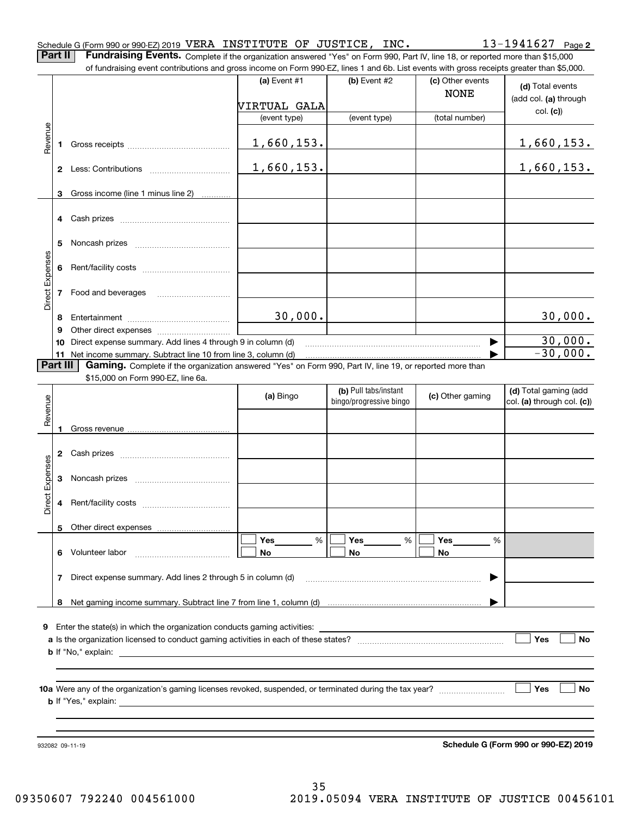| Schedule G (Form 990 or 990-EZ) 2019 VERA INSTITUTE OF JUSTICE, |  |  | INC. | $13 - 1941627$ Page 2 |  |
|-----------------------------------------------------------------|--|--|------|-----------------------|--|
|                                                                 |  |  |      |                       |  |

**Part II** | Fundraising Events. Complete if the organization answered "Yes" on Form 990, Part IV, line 18, or reported more than \$15,000 of fundraising event contributions and gross income on Form 990-EZ, lines 1 and 6b. List events with gross receipts greater than \$5,000.

|                 |                | of fundraising event contributions and gross income on Form 990-EZ, lines T and 6D. List events with gross receipts greater than \$5,000. | (a) Event $#1$ | $(b)$ Event #2                                   | (c) Other events<br><b>NONE</b> | (d) Total events                                    |
|-----------------|----------------|-------------------------------------------------------------------------------------------------------------------------------------------|----------------|--------------------------------------------------|---------------------------------|-----------------------------------------------------|
|                 |                |                                                                                                                                           | VIRTUAL GALA   |                                                  |                                 | (add col. (a) through<br>col. (c)                   |
|                 |                |                                                                                                                                           | (event type)   | (event type)                                     | (total number)                  |                                                     |
| Revenue         | 1              |                                                                                                                                           | 1,660,153.     |                                                  |                                 | 1,660,153.                                          |
|                 |                |                                                                                                                                           | 1,660,153.     |                                                  |                                 | 1,660,153.                                          |
|                 | 3              | Gross income (line 1 minus line 2)                                                                                                        |                |                                                  |                                 |                                                     |
|                 |                |                                                                                                                                           |                |                                                  |                                 |                                                     |
|                 | 4              |                                                                                                                                           |                |                                                  |                                 |                                                     |
|                 | 5              |                                                                                                                                           |                |                                                  |                                 |                                                     |
| Direct Expenses | 6              |                                                                                                                                           |                |                                                  |                                 |                                                     |
|                 | $\overline{7}$ | Food and beverages                                                                                                                        |                |                                                  |                                 |                                                     |
|                 | 8              |                                                                                                                                           | 30,000.        |                                                  |                                 | 30,000.                                             |
|                 | 9<br>10        | Direct expense summary. Add lines 4 through 9 in column (d)                                                                               |                |                                                  | ▶                               | 30,000.                                             |
|                 |                | 11 Net income summary. Subtract line 10 from line 3, column (d)                                                                           |                |                                                  |                                 | $-30,000.$                                          |
|                 | Part III       | Gaming. Complete if the organization answered "Yes" on Form 990, Part IV, line 19, or reported more than                                  |                |                                                  |                                 |                                                     |
|                 |                | \$15,000 on Form 990-EZ, line 6a.                                                                                                         |                |                                                  |                                 |                                                     |
| Revenue         |                |                                                                                                                                           | (a) Bingo      | (b) Pull tabs/instant<br>bingo/progressive bingo | (c) Other gaming                | (d) Total gaming (add<br>col. (a) through col. (c)) |
|                 | 1              |                                                                                                                                           |                |                                                  |                                 |                                                     |
|                 | 2              |                                                                                                                                           |                |                                                  |                                 |                                                     |
|                 | 3              |                                                                                                                                           |                |                                                  |                                 |                                                     |
| Direct Expenses | 4              |                                                                                                                                           |                |                                                  |                                 |                                                     |
|                 | 5              | Other direct expenses                                                                                                                     |                |                                                  |                                 |                                                     |
|                 |                |                                                                                                                                           | Yes<br>%       | Yes                                              | %<br>Yes<br>%                   |                                                     |
|                 | 6.             | Volunteer labor                                                                                                                           | No             | No                                               | No                              |                                                     |
|                 | 7              | Direct expense summary. Add lines 2 through 5 in column (d)                                                                               |                |                                                  |                                 |                                                     |
|                 | 8              |                                                                                                                                           |                |                                                  |                                 |                                                     |
|                 |                |                                                                                                                                           |                |                                                  |                                 |                                                     |
|                 |                | 9 Enter the state(s) in which the organization conducts gaming activities:                                                                |                |                                                  |                                 |                                                     |
|                 |                |                                                                                                                                           |                |                                                  |                                 | Yes<br><b>No</b>                                    |
|                 |                | <b>b</b> If "No," explain:                                                                                                                |                |                                                  |                                 |                                                     |
|                 |                |                                                                                                                                           |                |                                                  |                                 |                                                     |
|                 |                | <b>b</b> If "Yes," explain:                                                                                                               |                |                                                  |                                 | │ ∣Yes<br>No                                        |
|                 |                |                                                                                                                                           |                |                                                  |                                 |                                                     |
|                 |                |                                                                                                                                           |                |                                                  |                                 |                                                     |
|                 |                | 932082 09-11-19                                                                                                                           |                |                                                  |                                 | Schedule G (Form 990 or 990-EZ) 2019                |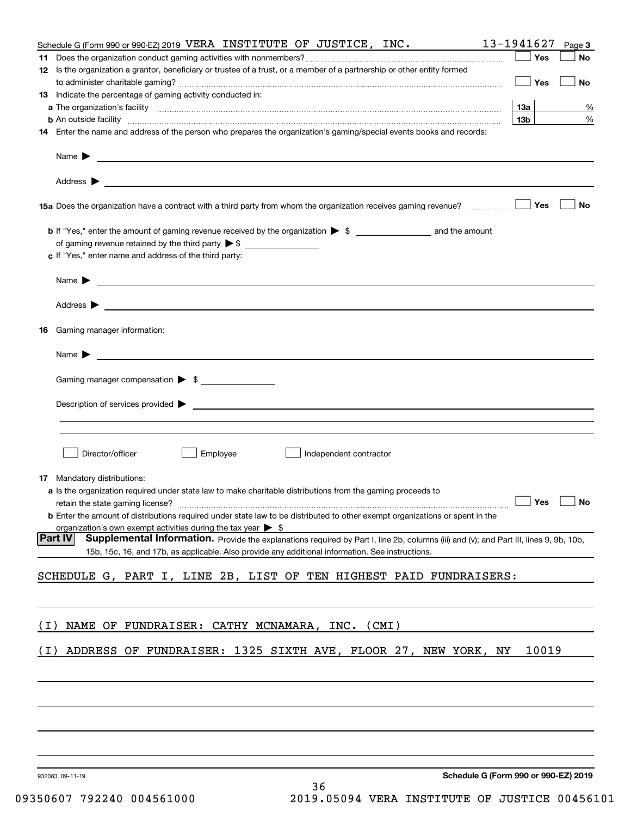|       | Schedule G (Form 990 or 990-EZ) 2019 VERA INSTITUTE OF JUSTICE, INC.                                                                                                                                                                                         | 13-1941627      | Page 3    |
|-------|--------------------------------------------------------------------------------------------------------------------------------------------------------------------------------------------------------------------------------------------------------------|-----------------|-----------|
|       |                                                                                                                                                                                                                                                              | Yes             | No        |
|       | 12 Is the organization a grantor, beneficiary or trustee of a trust, or a member of a partnership or other entity formed                                                                                                                                     |                 |           |
|       | 13 Indicate the percentage of gaming activity conducted in:                                                                                                                                                                                                  | Yes             | No        |
|       |                                                                                                                                                                                                                                                              | 13а             | %         |
|       | <b>b</b> An outside facility <i>www.communicality www.communicality.communicality www.communicality www.communicality.com</i>                                                                                                                                | 13 <sub>b</sub> | $\%$      |
|       | 14 Enter the name and address of the person who prepares the organization's gaming/special events books and records:                                                                                                                                         |                 |           |
|       |                                                                                                                                                                                                                                                              |                 |           |
|       |                                                                                                                                                                                                                                                              |                 |           |
|       |                                                                                                                                                                                                                                                              |                 |           |
|       |                                                                                                                                                                                                                                                              | Yes             | <b>No</b> |
|       |                                                                                                                                                                                                                                                              |                 |           |
|       |                                                                                                                                                                                                                                                              |                 |           |
|       | c If "Yes," enter name and address of the third party:                                                                                                                                                                                                       |                 |           |
|       | Name $\blacktriangleright$ $\bot$                                                                                                                                                                                                                            |                 |           |
|       |                                                                                                                                                                                                                                                              |                 |           |
|       | 16 Gaming manager information:                                                                                                                                                                                                                               |                 |           |
|       |                                                                                                                                                                                                                                                              |                 |           |
|       | Name $\blacktriangleright$ $\frac{1}{\sqrt{1-\frac{1}{2}}\left(1-\frac{1}{2}\right)}$                                                                                                                                                                        |                 |           |
|       | Gaming manager compensation > \$                                                                                                                                                                                                                             |                 |           |
|       |                                                                                                                                                                                                                                                              |                 |           |
|       |                                                                                                                                                                                                                                                              |                 |           |
|       |                                                                                                                                                                                                                                                              |                 |           |
|       |                                                                                                                                                                                                                                                              |                 |           |
|       | Director/officer<br>Employee<br>Independent contractor                                                                                                                                                                                                       |                 |           |
|       | <b>17</b> Mandatory distributions:                                                                                                                                                                                                                           |                 |           |
|       | a Is the organization required under state law to make charitable distributions from the gaming proceeds to                                                                                                                                                  |                 |           |
|       | retain the state gaming license? <b>Construction and the state gaming license</b> ? No                                                                                                                                                                       |                 |           |
|       | <b>b</b> Enter the amount of distributions required under state law to be distributed to other exempt organizations or spent in the                                                                                                                          |                 |           |
|       | organization's own exempt activities during the tax year $\triangleright$ \$                                                                                                                                                                                 |                 |           |
|       | <b>Part IV</b><br>Supplemental Information. Provide the explanations required by Part I, line 2b, columns (iii) and (v); and Part III, lines 9, 9b, 10b,<br>15b, 15c, 16, and 17b, as applicable. Also provide any additional information. See instructions. |                 |           |
|       | SCHEDULE G, PART I, LINE 2B, LIST OF TEN HIGHEST PAID FUNDRAISERS:                                                                                                                                                                                           |                 |           |
|       |                                                                                                                                                                                                                                                              |                 |           |
|       |                                                                                                                                                                                                                                                              |                 |           |
| ( I ) | NAME OF FUNDRAISER: CATHY MCNAMARA, INC. (CMI)                                                                                                                                                                                                               |                 |           |
| ( I ) | ADDRESS OF FUNDRAISER: 1325 SIXTH AVE, FLOOR 27, NEW YORK, NY                                                                                                                                                                                                | 10019           |           |
|       |                                                                                                                                                                                                                                                              |                 |           |
|       |                                                                                                                                                                                                                                                              |                 |           |
|       |                                                                                                                                                                                                                                                              |                 |           |
|       |                                                                                                                                                                                                                                                              |                 |           |
|       |                                                                                                                                                                                                                                                              |                 |           |
|       | Schedule G (Form 990 or 990-EZ) 2019<br>932083 09-11-19                                                                                                                                                                                                      |                 |           |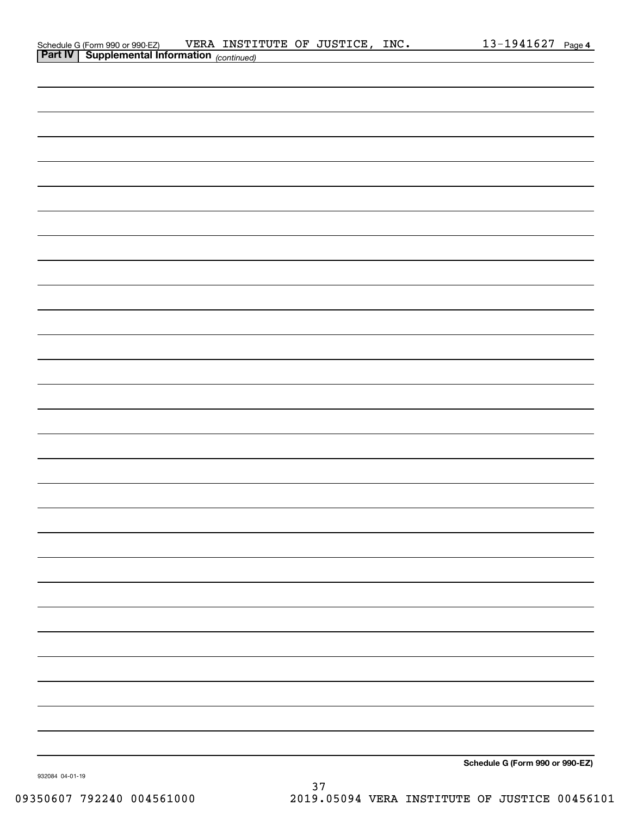| Schedule G (Form 990 or 990-EZ)                       | VERA INSTITUTE OF JUSTICE, INC. |  | $13 - 1941627$ Page 4 |  |
|-------------------------------------------------------|---------------------------------|--|-----------------------|--|
| <b>Part IV   Supplemental Information</b> (continued) |                                 |  |                       |  |

| <b>Part IV   Supplemental Information</b> (continued) |  |                                 |
|-------------------------------------------------------|--|---------------------------------|
|                                                       |  |                                 |
|                                                       |  |                                 |
|                                                       |  |                                 |
|                                                       |  |                                 |
|                                                       |  |                                 |
|                                                       |  |                                 |
|                                                       |  |                                 |
|                                                       |  |                                 |
|                                                       |  |                                 |
|                                                       |  |                                 |
|                                                       |  |                                 |
|                                                       |  |                                 |
|                                                       |  |                                 |
|                                                       |  |                                 |
|                                                       |  |                                 |
|                                                       |  |                                 |
|                                                       |  |                                 |
|                                                       |  |                                 |
|                                                       |  |                                 |
|                                                       |  |                                 |
|                                                       |  |                                 |
|                                                       |  |                                 |
|                                                       |  |                                 |
|                                                       |  |                                 |
|                                                       |  |                                 |
|                                                       |  |                                 |
|                                                       |  |                                 |
|                                                       |  |                                 |
|                                                       |  |                                 |
|                                                       |  |                                 |
|                                                       |  | Schedule G (Form 990 or 990-EZ) |

932084 04-01-19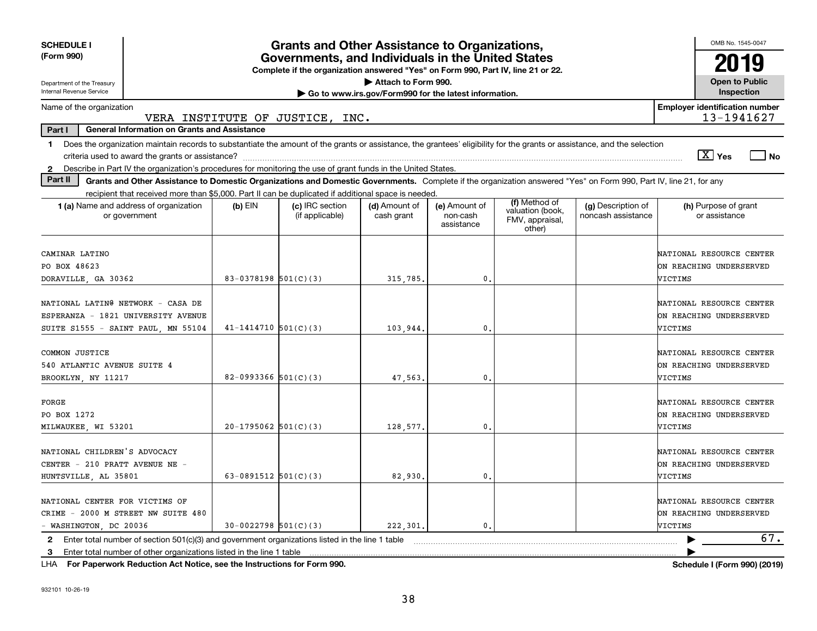| <b>SCHEDULE I</b>                                                                                                                                                                       |                          | <b>Grants and Other Assistance to Organizations,</b>                                                                                  |                                                       |                                         |                                               |                                          | OMB No. 1545-0047                                              |
|-----------------------------------------------------------------------------------------------------------------------------------------------------------------------------------------|--------------------------|---------------------------------------------------------------------------------------------------------------------------------------|-------------------------------------------------------|-----------------------------------------|-----------------------------------------------|------------------------------------------|----------------------------------------------------------------|
| (Form 990)                                                                                                                                                                              |                          | Governments, and Individuals in the United States<br>Complete if the organization answered "Yes" on Form 990, Part IV, line 21 or 22. |                                                       |                                         |                                               |                                          | 2019                                                           |
| Department of the Treasury                                                                                                                                                              |                          |                                                                                                                                       | Attach to Form 990.                                   |                                         |                                               |                                          | <b>Open to Public</b>                                          |
| Internal Revenue Service                                                                                                                                                                |                          |                                                                                                                                       | Go to www.irs.gov/Form990 for the latest information. |                                         |                                               |                                          | Inspection                                                     |
| Name of the organization<br>VERA INSTITUTE OF JUSTICE,                                                                                                                                  |                          | INC.                                                                                                                                  |                                                       |                                         |                                               |                                          | <b>Employer identification number</b><br>13-1941627            |
| Part I<br><b>General Information on Grants and Assistance</b>                                                                                                                           |                          |                                                                                                                                       |                                                       |                                         |                                               |                                          |                                                                |
| Does the organization maintain records to substantiate the amount of the grants or assistance, the grantees' eligibility for the grants or assistance, and the selection<br>$\mathbf 1$ |                          |                                                                                                                                       |                                                       |                                         |                                               |                                          |                                                                |
|                                                                                                                                                                                         |                          |                                                                                                                                       |                                                       |                                         |                                               |                                          | $\sqrt{X}$ Yes<br>l No                                         |
| Describe in Part IV the organization's procedures for monitoring the use of grant funds in the United States.<br>$\mathbf{2}$                                                           |                          |                                                                                                                                       |                                                       |                                         |                                               |                                          |                                                                |
| Part II<br>Grants and Other Assistance to Domestic Organizations and Domestic Governments. Complete if the organization answered "Yes" on Form 990, Part IV, line 21, for any           |                          |                                                                                                                                       |                                                       |                                         |                                               |                                          |                                                                |
| recipient that received more than \$5,000. Part II can be duplicated if additional space is needed.                                                                                     |                          |                                                                                                                                       |                                                       |                                         | (f) Method of                                 |                                          |                                                                |
| 1 (a) Name and address of organization<br>or government                                                                                                                                 | $(b)$ EIN                | (c) IRC section<br>(if applicable)                                                                                                    | (d) Amount of<br>cash grant                           | (e) Amount of<br>non-cash<br>assistance | valuation (book,<br>FMV, appraisal,<br>other) | (g) Description of<br>noncash assistance | (h) Purpose of grant<br>or assistance                          |
| CAMINAR LATINO                                                                                                                                                                          |                          |                                                                                                                                       |                                                       |                                         |                                               |                                          | NATIONAL RESOURCE CENTER                                       |
| PO BOX 48623                                                                                                                                                                            |                          |                                                                                                                                       |                                                       |                                         |                                               |                                          | ON REACHING UNDERSERVED                                        |
| DORAVILLE, GA 30362                                                                                                                                                                     | 83-0378198 $501(C)(3)$   |                                                                                                                                       | 315,785.                                              | 0.                                      |                                               |                                          | VICTIMS                                                        |
| NATIONAL LATING NETWORK - CASA DE<br>ESPERANZA - 1821 UNIVERSITY AVENUE                                                                                                                 |                          |                                                                                                                                       |                                                       |                                         |                                               |                                          | NATIONAL RESOURCE CENTER<br>ON REACHING UNDERSERVED            |
| SUITE S1555 - SAINT PAUL, MN 55104                                                                                                                                                      | $41 - 1414710$ 501(C)(3) |                                                                                                                                       | 103,944                                               | 0                                       |                                               |                                          | VICTIMS                                                        |
| COMMON JUSTICE<br>540 ATLANTIC AVENUE SUITE 4<br>BROOKLYN, NY 11217                                                                                                                     | 82-0993366 $501(C)(3)$   |                                                                                                                                       | 47,563.                                               | 0.                                      |                                               |                                          | NATIONAL RESOURCE CENTER<br>ON REACHING UNDERSERVED<br>VICTIMS |
| FORGE<br>PO BOX 1272<br>MILWAUKEE, WI 53201                                                                                                                                             | $20-1795062$ 501(C)(3)   |                                                                                                                                       | 128,577.                                              | 0                                       |                                               |                                          | NATIONAL RESOURCE CENTER<br>ON REACHING UNDERSERVED<br>VICTIMS |
| NATIONAL CHILDREN'S ADVOCACY<br>CENTER - 210 PRATT AVENUE NE -<br>HUNTSVILLE, AL 35801                                                                                                  | 63-0891512 $501(C)(3)$   |                                                                                                                                       | 82,930.                                               | 0.                                      |                                               |                                          | NATIONAL RESOURCE CENTER<br>ON REACHING UNDERSERVED<br>VICTIMS |
| NATIONAL CENTER FOR VICTIMS OF<br>CRIME - 2000 M STREET NW SUITE 480<br>- WASHINGTON, DC 20036                                                                                          | $30-0022798$ 501(C)(3)   |                                                                                                                                       | 222,301.                                              | $\mathbf{0}$                            |                                               |                                          | NATIONAL RESOURCE CENTER<br>ON REACHING UNDERSERVED<br>VICTIMS |
| 2 Enter total number of section 501(c)(3) and government organizations listed in the line 1 table                                                                                       |                          |                                                                                                                                       |                                                       |                                         |                                               |                                          | 67.                                                            |
| Enter total number of other organizations listed in the line 1 table<br>3                                                                                                               |                          |                                                                                                                                       |                                                       |                                         |                                               |                                          |                                                                |

**For Paperwork Reduction Act Notice, see the Instructions for Form 990. Schedule I (Form 990) (2019)** LHA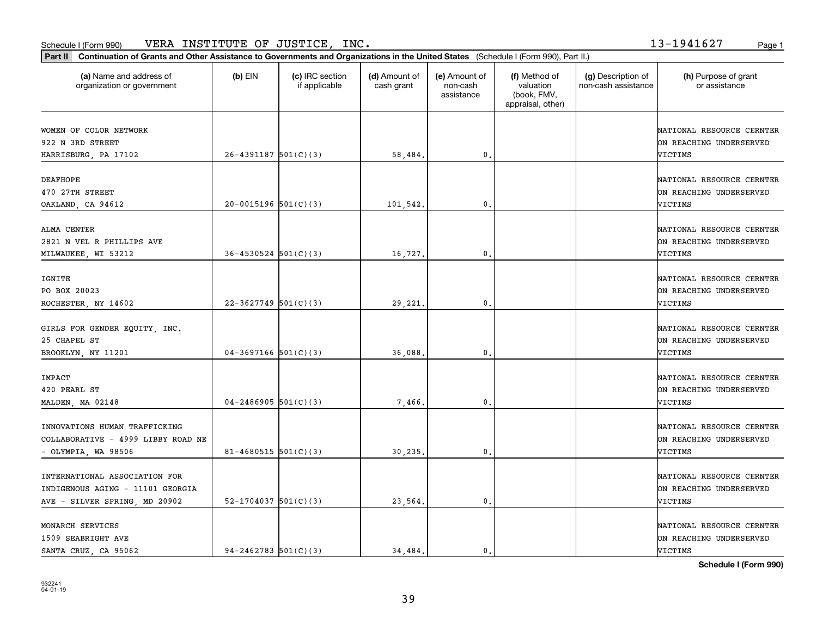|                                                       | Part II   Continuation of Grants and Other Assistance to Governments and Organizations in the United States (Schedule I (Form 990), Part II.) |                                  |                             |                                         |                                                                |                                           |                                                      |  |  |  |
|-------------------------------------------------------|-----------------------------------------------------------------------------------------------------------------------------------------------|----------------------------------|-----------------------------|-----------------------------------------|----------------------------------------------------------------|-------------------------------------------|------------------------------------------------------|--|--|--|
| (a) Name and address of<br>organization or government | $(b)$ EIN                                                                                                                                     | (c) IRC section<br>if applicable | (d) Amount of<br>cash grant | (e) Amount of<br>non-cash<br>assistance | (f) Method of<br>valuation<br>(book, FMV,<br>appraisal, other) | (g) Description of<br>non-cash assistance | (h) Purpose of grant<br>or assistance                |  |  |  |
| WOMEN OF COLOR NETWORK                                |                                                                                                                                               |                                  |                             |                                         |                                                                |                                           | NATIONAL RESOURCE CERNTER                            |  |  |  |
| 922 N 3RD STREET                                      |                                                                                                                                               |                                  |                             |                                         |                                                                |                                           | ON REACHING UNDERSERVED                              |  |  |  |
| HARRISBURG, PA 17102                                  | $26 - 4391187$ 501(C)(3)                                                                                                                      |                                  | 58,484.                     | $\mathfrak{o}$ .                        |                                                                |                                           | VICTIMS                                              |  |  |  |
| <b>DEAFHOPE</b>                                       |                                                                                                                                               |                                  |                             |                                         |                                                                |                                           | NATIONAL RESOURCE CERNTER                            |  |  |  |
| 470 27TH STREET                                       |                                                                                                                                               |                                  |                             |                                         |                                                                |                                           | ON REACHING UNDERSERVED                              |  |  |  |
| OAKLAND, CA 94612                                     | $20-0015196$ 501(C)(3)                                                                                                                        |                                  | 101,542.                    | 0.                                      |                                                                |                                           | VICTIMS                                              |  |  |  |
|                                                       |                                                                                                                                               |                                  |                             |                                         |                                                                |                                           |                                                      |  |  |  |
| ALMA CENTER<br>2821 N VEL R PHILLIPS AVE              |                                                                                                                                               |                                  |                             |                                         |                                                                |                                           | NATIONAL RESOURCE CERNTER<br>ON REACHING UNDERSERVED |  |  |  |
|                                                       | $36 - 4530524$ $501(C)(3)$                                                                                                                    |                                  | 16,727.                     | $\mathfrak{o}$ .                        |                                                                |                                           | VICTIMS                                              |  |  |  |
| MILWAUKEE, WI 53212                                   |                                                                                                                                               |                                  |                             |                                         |                                                                |                                           |                                                      |  |  |  |
| IGNITE                                                |                                                                                                                                               |                                  |                             |                                         |                                                                |                                           | NATIONAL RESOURCE CERNTER                            |  |  |  |
| PO BOX 20023                                          |                                                                                                                                               |                                  |                             |                                         |                                                                |                                           | ON REACHING UNDERSERVED                              |  |  |  |
| ROCHESTER, NY 14602                                   | $22-3627749$ 501(C)(3)                                                                                                                        |                                  | 29,221.                     | 0.                                      |                                                                |                                           | VICTIMS                                              |  |  |  |
|                                                       |                                                                                                                                               |                                  |                             |                                         |                                                                |                                           |                                                      |  |  |  |
| GIRLS FOR GENDER EQUITY, INC.<br>25 CHAPEL ST         |                                                                                                                                               |                                  |                             |                                         |                                                                |                                           | NATIONAL RESOURCE CERNTER<br>ON REACHING UNDERSERVED |  |  |  |
| BROOKLYN, NY 11201                                    | $04-3697166$ 501(C)(3)                                                                                                                        |                                  | 36,088.                     | $\mathbf 0$ .                           |                                                                |                                           | VICTIMS                                              |  |  |  |
|                                                       |                                                                                                                                               |                                  |                             |                                         |                                                                |                                           |                                                      |  |  |  |
| IMPACT                                                |                                                                                                                                               |                                  |                             |                                         |                                                                |                                           | NATIONAL RESOURCE CERNTER                            |  |  |  |
| 420 PEARL ST                                          |                                                                                                                                               |                                  |                             |                                         |                                                                |                                           | ON REACHING UNDERSERVED                              |  |  |  |
| MALDEN, MA 02148                                      | $04 - 2486905$ 501(C)(3)                                                                                                                      |                                  | 7,466.                      | $\mathbf{0}$ .                          |                                                                |                                           | VICTIMS                                              |  |  |  |
| INNOVATIONS HUMAN TRAFFICKING                         |                                                                                                                                               |                                  |                             |                                         |                                                                |                                           | NATIONAL RESOURCE CERNTER                            |  |  |  |
| COLLABORATIVE - 4999 LIBBY ROAD NE                    |                                                                                                                                               |                                  |                             |                                         |                                                                |                                           | ON REACHING UNDERSERVED                              |  |  |  |
| $-$ OLYMPIA, WA 98506                                 | $81 - 4680515$ 501(C)(3)                                                                                                                      |                                  | 30,235.                     | 0.                                      |                                                                |                                           | VICTIMS                                              |  |  |  |
|                                                       |                                                                                                                                               |                                  |                             |                                         |                                                                |                                           |                                                      |  |  |  |
| INTERNATIONAL ASSOCIATION FOR                         |                                                                                                                                               |                                  |                             |                                         |                                                                |                                           | NATIONAL RESOURCE CERNTER                            |  |  |  |
| INDIGENOUS AGING - 11101 GEORGIA                      |                                                                                                                                               |                                  |                             |                                         |                                                                |                                           | ON REACHING UNDERSERVED                              |  |  |  |
| AVE - SILVER SPRING, MD 20902                         | $52 - 1704037$ $501(C)(3)$                                                                                                                    |                                  | 23,564                      | $\mathbf{0}$ .                          |                                                                |                                           | VICTIMS                                              |  |  |  |
|                                                       |                                                                                                                                               |                                  |                             |                                         |                                                                |                                           |                                                      |  |  |  |
| MONARCH SERVICES                                      |                                                                                                                                               |                                  |                             |                                         |                                                                |                                           | NATIONAL RESOURCE CERNTER                            |  |  |  |
| 1509 SEABRIGHT AVE                                    | $94 - 2462783$ 501(C)(3)                                                                                                                      |                                  |                             | $\mathbf{0}$ .                          |                                                                |                                           | ON REACHING UNDERSERVED<br><b>VICTIMS</b>            |  |  |  |
| SANTA CRUZ CA 95062                                   |                                                                                                                                               |                                  | 34,484.                     |                                         |                                                                |                                           |                                                      |  |  |  |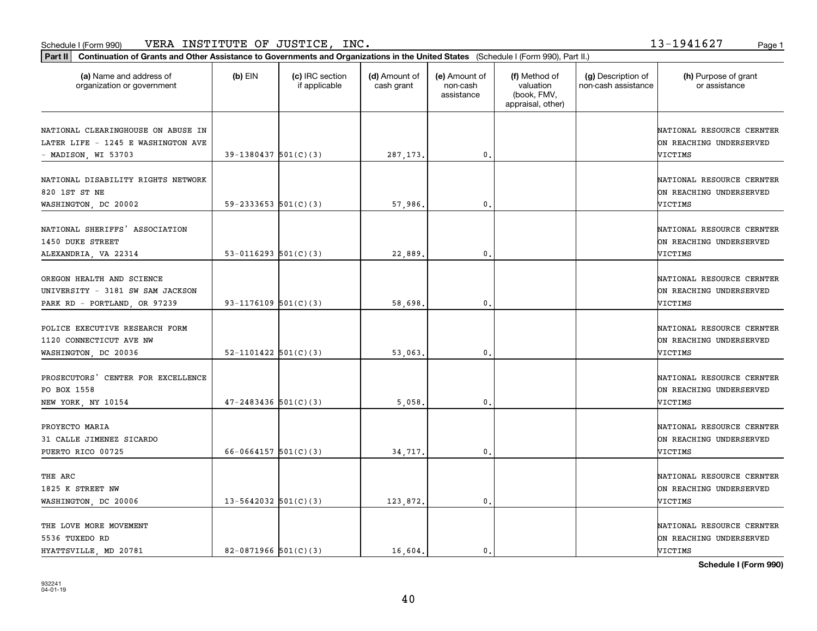|                                                                                                 | Part II   Continuation of Grants and Other Assistance to Governments and Organizations in the United States (Schedule I (Form 990), Part II.) |                                  |                             |                                         |                                                                |                                           |                                                                 |  |  |  |
|-------------------------------------------------------------------------------------------------|-----------------------------------------------------------------------------------------------------------------------------------------------|----------------------------------|-----------------------------|-----------------------------------------|----------------------------------------------------------------|-------------------------------------------|-----------------------------------------------------------------|--|--|--|
| (a) Name and address of<br>organization or government                                           | $(b)$ EIN                                                                                                                                     | (c) IRC section<br>if applicable | (d) Amount of<br>cash grant | (e) Amount of<br>non-cash<br>assistance | (f) Method of<br>valuation<br>(book, FMV,<br>appraisal, other) | (g) Description of<br>non-cash assistance | (h) Purpose of grant<br>or assistance                           |  |  |  |
| NATIONAL CLEARINGHOUSE ON ABUSE IN<br>LATER LIFE - 1245 E WASHINGTON AVE<br>- MADISON, WI 53703 | $39-1380437$ 501(C)(3)                                                                                                                        |                                  | 287, 173.                   | $\mathbf{0}$ .                          |                                                                |                                           | NATIONAL RESOURCE CERNTER<br>ON REACHING UNDERSERVED<br>VICTIMS |  |  |  |
| NATIONAL DISABILITY RIGHTS NETWORK<br>820 1ST ST NE<br>WASHINGTON, DC 20002                     | 59-2333653 $501(C)(3)$                                                                                                                        |                                  | 57,986.                     | $\mathbf 0$ .                           |                                                                |                                           | NATIONAL RESOURCE CERNTER<br>ON REACHING UNDERSERVED<br>VICTIMS |  |  |  |
| NATIONAL SHERIFFS' ASSOCIATION<br>1450 DUKE STREET<br>ALEXANDRIA, VA 22314                      | 53-0116293 $501(C)(3)$                                                                                                                        |                                  | 22,889.                     | $\mathfrak o$ .                         |                                                                |                                           | NATIONAL RESOURCE CERNTER<br>ON REACHING UNDERSERVED<br>VICTIMS |  |  |  |
| OREGON HEALTH AND SCIENCE<br>UNIVERSITY - 3181 SW SAM JACKSON<br>PARK RD - PORTLAND, OR 97239   | 93-1176109 501(C)(3)                                                                                                                          |                                  | 58,698                      | $\mathbf{0}$                            |                                                                |                                           | NATIONAL RESOURCE CERNTER<br>ON REACHING UNDERSERVED<br>VICTIMS |  |  |  |
| POLICE EXECUTIVE RESEARCH FORM<br>1120 CONNECTICUT AVE NW<br>WASHINGTON, DC 20036               | $52 - 1101422$ $501(C)(3)$                                                                                                                    |                                  | 53,063                      | $\mathfrak o$ .                         |                                                                |                                           | NATIONAL RESOURCE CERNTER<br>ON REACHING UNDERSERVED<br>VICTIMS |  |  |  |
| PROSECUTORS'<br>CENTER FOR EXCELLENCE<br>PO BOX 1558<br>NEW YORK, NY 10154                      | $47 - 2483436$ 501(C)(3)                                                                                                                      |                                  | 5,058                       | $\mathfrak{o}$ .                        |                                                                |                                           | NATIONAL RESOURCE CERNTER<br>ON REACHING UNDERSERVED<br>VICTIMS |  |  |  |
| PROYECTO MARIA<br>31 CALLE JIMENEZ SICARDO<br>PUERTO RICO 00725                                 | 66-0664157 $501(C)(3)$                                                                                                                        |                                  | 34,717.                     | $^{\circ}$ .                            |                                                                |                                           | NATIONAL RESOURCE CERNTER<br>ON REACHING UNDERSERVED<br>VICTIMS |  |  |  |
| THE ARC<br>1825 K STREET NW<br>WASHINGTON, DC 20006                                             | $13 - 5642032$ $501(C)(3)$                                                                                                                    |                                  | 123,872.                    | $\mathbf{0}$                            |                                                                |                                           | NATIONAL RESOURCE CERNTER<br>ON REACHING UNDERSERVED<br>VICTIMS |  |  |  |
| THE LOVE MORE MOVEMENT<br>5536 TUXEDO RD<br>HYATTSVILLE, MD 20781                               | 82-0871966 501(C)(3)                                                                                                                          |                                  | 16,604.                     | $\mathbf{0}$ .                          |                                                                |                                           | NATIONAL RESOURCE CERNTER<br>ON REACHING UNDERSERVED<br>VICTIMS |  |  |  |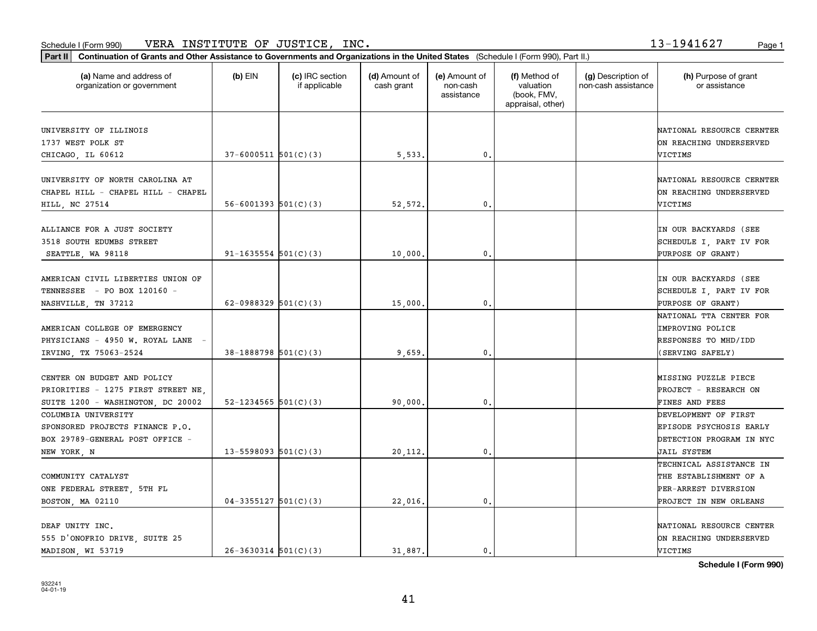| Part II   Continuation of Grants and Other Assistance to Governments and Organizations in the United States (Schedule I (Form 990), Part II.) |                            |                                  |                             |                                         |                                                                |                                           |                                                                                                     |
|-----------------------------------------------------------------------------------------------------------------------------------------------|----------------------------|----------------------------------|-----------------------------|-----------------------------------------|----------------------------------------------------------------|-------------------------------------------|-----------------------------------------------------------------------------------------------------|
| (a) Name and address of<br>organization or government                                                                                         | $(b)$ EIN                  | (c) IRC section<br>if applicable | (d) Amount of<br>cash grant | (e) Amount of<br>non-cash<br>assistance | (f) Method of<br>valuation<br>(book, FMV,<br>appraisal, other) | (g) Description of<br>non-cash assistance | (h) Purpose of grant<br>or assistance                                                               |
| UNIVERSITY OF ILLINOIS<br>1737 WEST POLK ST<br>CHICAGO, IL 60612                                                                              | $37 - 6000511$ 501(C)(3)   |                                  | 5,533.                      | 0.                                      |                                                                |                                           | NATIONAL RESOURCE CERNTER<br>ON REACHING UNDERSERVED<br>VICTIMS                                     |
| UNIVERSITY OF NORTH CAROLINA AT<br>CHAPEL HILL - CHAPEL HILL - CHAPEL<br>HILL, NC 27514                                                       | $56 - 6001393$ $501(C)(3)$ |                                  | 52,572.                     | 0.                                      |                                                                |                                           | NATIONAL RESOURCE CERNTER<br>ON REACHING UNDERSERVED<br>VICTIMS                                     |
| ALLIANCE FOR A JUST SOCIETY<br>3518 SOUTH EDUMBS STREET<br>SEATTLE, WA 98118                                                                  | $91 - 1635554$ $501(C)(3)$ |                                  | 10,000                      | 0.                                      |                                                                |                                           | IN OUR BACKYARDS (SEE<br>SCHEDULE I, PART IV FOR<br><b>PURPOSE OF GRANT)</b>                        |
| AMERICAN CIVIL LIBERTIES UNION OF<br>TENNESSEE - PO BOX 120160 -<br>NASHVILLE, TN 37212                                                       | 62-0988329 $501(C)(3)$     |                                  | 15,000                      | 0.                                      |                                                                |                                           | IN OUR BACKYARDS (SEE<br>SCHEDULE I, PART IV FOR<br><b>PURPOSE OF GRANT)</b>                        |
| AMERICAN COLLEGE OF EMERGENCY<br>PHYSICIANS - 4950 W. ROYAL LANE<br>IRVING, TX 75063-2524                                                     | $38-1888798$ 501(C)(3)     |                                  | 9,659                       | 0.                                      |                                                                |                                           | NATIONAL TTA CENTER FOR<br>IMPROVING POLICE<br>RESPONSES TO MHD/IDD<br>(SERVING SAFELY)             |
| CENTER ON BUDGET AND POLICY<br>PRIORITIES - 1275 FIRST STREET NE<br>SUITE 1200 - WASHINGTON, DC 20002                                         | 52-1234565 $501(C)(3)$     |                                  | 90,000                      | 0.                                      |                                                                |                                           | MISSING PUZZLE PIECE<br><b>PROJECT - RESEARCH ON</b><br>FINES AND FEES                              |
| COLUMBIA UNIVERSITY<br>SPONSORED PROJECTS FINANCE P.O.<br>BOX 29789-GENERAL POST OFFICE -<br>NEW YORK, N                                      | $13 - 5598093$ 501(C)(3)   |                                  | 20,112.                     | 0.                                      |                                                                |                                           | DEVELOPMENT OF FIRST<br>EPISODE PSYCHOSIS EARLY<br>DETECTION PROGRAM IN NYC<br>JAIL SYSTEM          |
| COMMUNITY CATALYST<br>ONE FEDERAL STREET, 5TH FL<br>BOSTON, MA 02110                                                                          | $04-3355127$ 501(C)(3)     |                                  | 22,016.                     | 0.                                      |                                                                |                                           | TECHNICAL ASSISTANCE IN<br>THE ESTABLISHMENT OF A<br>PER-ARREST DIVERSION<br>PROJECT IN NEW ORLEANS |
| DEAF UNITY INC.<br>555 D'ONOFRIO DRIVE, SUITE 25<br>MADISON, WI 53719                                                                         | $26 - 3630314$ 501(C)(3)   |                                  | 31,887.                     | 0.                                      |                                                                |                                           | NATIONAL RESOURCE CENTER<br>ON REACHING UNDERSERVED<br>VICTIMS                                      |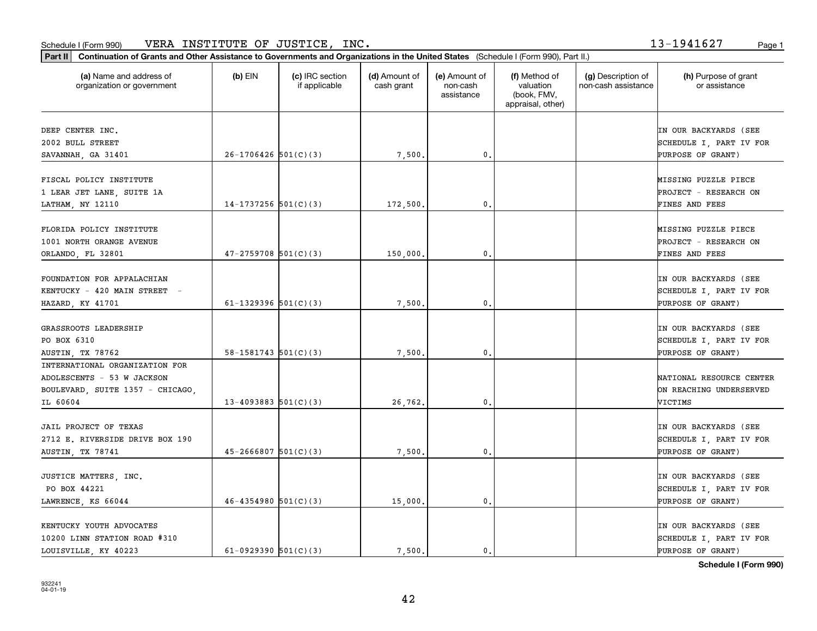| Part II   Continuation of Grants and Other Assistance to Governments and Organizations in the United States (Schedule I (Form 990), Part II.)<br>(a) Name and address of |                            | (c) IRC section | (d) Amount of | (e) Amount of          | (f) Method of                                 | (g) Description of  | (h) Purpose of grant                         |
|--------------------------------------------------------------------------------------------------------------------------------------------------------------------------|----------------------------|-----------------|---------------|------------------------|-----------------------------------------------|---------------------|----------------------------------------------|
| organization or government                                                                                                                                               | $(b)$ EIN                  | if applicable   | cash grant    | non-cash<br>assistance | valuation<br>(book, FMV,<br>appraisal, other) | non-cash assistance | or assistance                                |
| DEEP CENTER INC.                                                                                                                                                         |                            |                 |               |                        |                                               |                     | IN OUR BACKYARDS (SEE                        |
| 2002 BULL STREET                                                                                                                                                         |                            |                 |               |                        |                                               |                     | SCHEDULE I, PART IV FOR                      |
| SAVANNAH, GA 31401                                                                                                                                                       | $26-1706426$ 501(C)(3)     |                 | 7,500.        | $\mathbf{0}$ .         |                                               |                     | PURPOSE OF GRANT)                            |
| FISCAL POLICY INSTITUTE                                                                                                                                                  |                            |                 |               |                        |                                               |                     | MISSING PUZZLE PIECE                         |
| 1 LEAR JET LANE, SUITE 1A                                                                                                                                                |                            |                 |               |                        |                                               |                     | PROJECT - RESEARCH ON                        |
| LATHAM, NY 12110                                                                                                                                                         | $14-1737256$ $501(C)(3)$   |                 | 172,500       | 0.                     |                                               |                     | FINES AND FEES                               |
| FLORIDA POLICY INSTITUTE                                                                                                                                                 |                            |                 |               |                        |                                               |                     | MISSING PUZZLE PIECE                         |
| 1001 NORTH ORANGE AVENUE                                                                                                                                                 |                            |                 |               |                        |                                               |                     | <b>PROJECT - RESEARCH ON</b>                 |
| ORLANDO, FL 32801                                                                                                                                                        | $47 - 2759708$ 501(C)(3)   |                 | 150,000,      | $^{\circ}$ .           |                                               |                     | FINES AND FEES                               |
|                                                                                                                                                                          |                            |                 |               |                        |                                               |                     |                                              |
| FOUNDATION FOR APPALACHIAN                                                                                                                                               |                            |                 |               |                        |                                               |                     | IN OUR BACKYARDS (SEE                        |
| KENTUCKY - 420 MAIN STREET -                                                                                                                                             |                            |                 |               |                        |                                               |                     | SCHEDULE I, PART IV FOR                      |
| HAZARD, KY 41701                                                                                                                                                         | 61-1329396 $501(C)(3)$     |                 | 7,500         | 0.                     |                                               |                     | PURPOSE OF GRANT)                            |
|                                                                                                                                                                          |                            |                 |               |                        |                                               |                     |                                              |
| GRASSROOTS LEADERSHIP                                                                                                                                                    |                            |                 |               |                        |                                               |                     | IN OUR BACKYARDS (SEE                        |
| PO BOX 6310                                                                                                                                                              |                            |                 |               |                        |                                               |                     | SCHEDULE I, PART IV FOR                      |
| AUSTIN, TX 78762                                                                                                                                                         | $58-1581743$ $501(C)(3)$   |                 | 7,500.        | 0.                     |                                               |                     | PURPOSE OF GRANT)                            |
| INTERNATIONAL ORGANIZATION FOR                                                                                                                                           |                            |                 |               |                        |                                               |                     |                                              |
| ADOLESCENTS - 53 W JACKSON                                                                                                                                               |                            |                 |               |                        |                                               |                     | NATIONAL RESOURCE CENTER                     |
| BOULEVARD, SUITE 1357 - CHICAGO,                                                                                                                                         |                            |                 |               |                        |                                               |                     | ON REACHING UNDERSERVED                      |
| IL 60604                                                                                                                                                                 | $13-4093883$ 501(C)(3)     |                 | 26,762.       | 0.                     |                                               |                     | VICTIMS                                      |
| JAIL PROJECT OF TEXAS                                                                                                                                                    |                            |                 |               |                        |                                               |                     | IN OUR BACKYARDS (SEE                        |
| 2712 E. RIVERSIDE DRIVE BOX 190                                                                                                                                          |                            |                 |               |                        |                                               |                     | SCHEDULE I, PART IV FOR                      |
| AUSTIN, TX 78741                                                                                                                                                         | $45 - 2666807$ 501(C)(3)   |                 | 7,500         | $\mathbf{0}$ .         |                                               |                     | PURPOSE OF GRANT)                            |
|                                                                                                                                                                          |                            |                 |               |                        |                                               |                     |                                              |
| JUSTICE MATTERS, INC.                                                                                                                                                    |                            |                 |               |                        |                                               |                     | IN OUR BACKYARDS (SEE                        |
| PO BOX 44221                                                                                                                                                             |                            |                 |               |                        |                                               |                     | SCHEDULE I, PART IV FOR                      |
| LAWRENCE, KS 66044                                                                                                                                                       | $46 - 4354980$ $501(C)(3)$ |                 | 15,000.       | 0.                     |                                               |                     | PURPOSE OF GRANT)                            |
| KENTUCKY YOUTH ADVOCATES                                                                                                                                                 |                            |                 |               |                        |                                               |                     | IN OUR BACKYARDS (SEE                        |
| 10200 LINN STATION ROAD #310                                                                                                                                             |                            |                 |               |                        |                                               |                     |                                              |
| LOUISVILLE, KY 40223                                                                                                                                                     | 61-0929390 $501(C)(3)$     |                 | 7.500.        | 0.                     |                                               |                     | SCHEDULE I, PART IV FOR<br>PURPOSE OF GRANT) |
|                                                                                                                                                                          |                            |                 |               |                        |                                               |                     |                                              |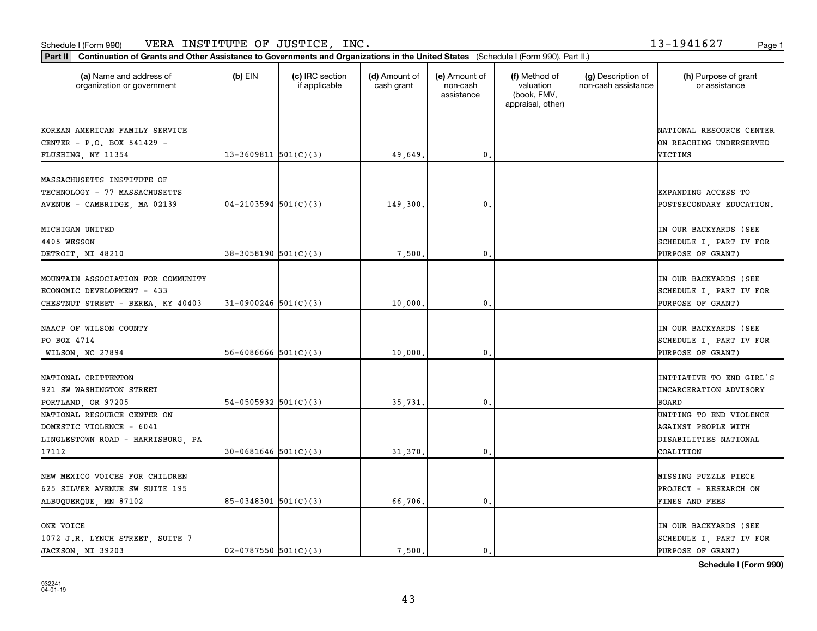| Part II   Continuation of Grants and Other Assistance to Governments and Organizations in the United States (Schedule I (Form 990), Part II.) |                            |                                  |                             |                                         |                                                                |                                           |                                       |
|-----------------------------------------------------------------------------------------------------------------------------------------------|----------------------------|----------------------------------|-----------------------------|-----------------------------------------|----------------------------------------------------------------|-------------------------------------------|---------------------------------------|
| (a) Name and address of<br>organization or government                                                                                         | $(b)$ EIN                  | (c) IRC section<br>if applicable | (d) Amount of<br>cash grant | (e) Amount of<br>non-cash<br>assistance | (f) Method of<br>valuation<br>(book, FMV,<br>appraisal, other) | (g) Description of<br>non-cash assistance | (h) Purpose of grant<br>or assistance |
| KOREAN AMERICAN FAMILY SERVICE                                                                                                                |                            |                                  |                             |                                         |                                                                |                                           | NATIONAL RESOURCE CENTER              |
| CENTER - P.O. BOX 541429 -                                                                                                                    |                            |                                  |                             |                                         |                                                                |                                           | ON REACHING UNDERSERVED               |
| FLUSHING, NY 11354                                                                                                                            | $13-3609811$ $501(C)(3)$   |                                  | 49,649.                     | 0.                                      |                                                                |                                           | VICTIMS                               |
| MASSACHUSETTS INSTITUTE OF                                                                                                                    |                            |                                  |                             |                                         |                                                                |                                           |                                       |
|                                                                                                                                               |                            |                                  |                             |                                         |                                                                |                                           |                                       |
| TECHNOLOGY - 77 MASSACHUSETTS                                                                                                                 |                            |                                  |                             |                                         |                                                                |                                           | EXPANDING ACCESS TO                   |
| AVENUE - CAMBRIDGE, MA 02139                                                                                                                  | $04 - 2103594$ 501(C)(3)   |                                  | 149,300                     | 0.                                      |                                                                |                                           | POSTSECONDARY EDUCATION.              |
| MICHIGAN UNITED                                                                                                                               |                            |                                  |                             |                                         |                                                                |                                           | IN OUR BACKYARDS (SEE                 |
| 4405 WESSON                                                                                                                                   |                            |                                  |                             |                                         |                                                                |                                           | SCHEDULE I, PART IV FOR               |
| DETROIT, MI 48210                                                                                                                             | $38-3058190$ $501(C)(3)$   |                                  | 7,500                       | $\mathbf{0}$ .                          |                                                                |                                           | <b>PURPOSE OF GRANT)</b>              |
|                                                                                                                                               |                            |                                  |                             |                                         |                                                                |                                           |                                       |
| MOUNTAIN ASSOCIATION FOR COMMUNITY                                                                                                            |                            |                                  |                             |                                         |                                                                |                                           | IN OUR BACKYARDS (SEE                 |
| ECONOMIC DEVELOPMENT - 433                                                                                                                    |                            |                                  |                             |                                         |                                                                |                                           | SCHEDULE I, PART IV FOR               |
| CHESTNUT STREET - BEREA, KY 40403                                                                                                             | $31-0900246$ 501(C)(3)     |                                  | 10,000                      | 0.                                      |                                                                |                                           | PURPOSE OF GRANT)                     |
| NAACP OF WILSON COUNTY                                                                                                                        |                            |                                  |                             |                                         |                                                                |                                           | IN OUR BACKYARDS (SEE                 |
| PO BOX 4714                                                                                                                                   |                            |                                  |                             |                                         |                                                                |                                           | SCHEDULE I, PART IV FOR               |
| WILSON, NC 27894                                                                                                                              | $56 - 6086666$ $501(C)(3)$ |                                  | 10,000                      | 0.                                      |                                                                |                                           | PURPOSE OF GRANT)                     |
|                                                                                                                                               |                            |                                  |                             |                                         |                                                                |                                           |                                       |
| NATIONAL CRITTENTON                                                                                                                           |                            |                                  |                             |                                         |                                                                |                                           | INITIATIVE TO END GIRL'S              |
| 921 SW WASHINGTON STREET                                                                                                                      |                            |                                  |                             |                                         |                                                                |                                           | <b>INCARCERATION ADVISORY</b>         |
| PORTLAND, OR 97205                                                                                                                            | 54-0505932 $501(C)(3)$     |                                  | 35,731.                     | 0.                                      |                                                                |                                           | BOARD                                 |
| NATIONAL RESOURCE CENTER ON                                                                                                                   |                            |                                  |                             |                                         |                                                                |                                           | UNITING TO END VIOLENCE               |
| DOMESTIC VIOLENCE - 6041                                                                                                                      |                            |                                  |                             |                                         |                                                                |                                           | AGAINST PEOPLE WITH                   |
| LINGLESTOWN ROAD - HARRISBURG, PA                                                                                                             |                            |                                  |                             |                                         |                                                                |                                           | DISABILITIES NATIONAL                 |
| 17112                                                                                                                                         | $30-0681646$ 501(C)(3)     |                                  | 31,370                      | $\mathfrak o$ .                         |                                                                |                                           | COALITION                             |
| NEW MEXICO VOICES FOR CHILDREN                                                                                                                |                            |                                  |                             |                                         |                                                                |                                           | MISSING PUZZLE PIECE                  |
| 625 SILVER AVENUE SW SUITE 195                                                                                                                |                            |                                  |                             |                                         |                                                                |                                           | <b>PROJECT - RESEARCH ON</b>          |
| ALBUQUERQUE, MN 87102                                                                                                                         | $85-0348301$ $501(C)(3)$   |                                  | 66,706.                     | 0.                                      |                                                                |                                           | FINES AND FEES                        |
|                                                                                                                                               |                            |                                  |                             |                                         |                                                                |                                           |                                       |
| ONE VOICE                                                                                                                                     |                            |                                  |                             |                                         |                                                                |                                           | IN OUR BACKYARDS (SEE                 |
| 1072 J.R. LYNCH STREET, SUITE 7                                                                                                               |                            |                                  |                             |                                         |                                                                |                                           | SCHEDULE I, PART IV FOR               |
| JACKSON, MI 39203                                                                                                                             | $02-0787550$ $501(C)(3)$   |                                  | 7.500.                      | 0.                                      |                                                                |                                           | PURPOSE OF GRANT)                     |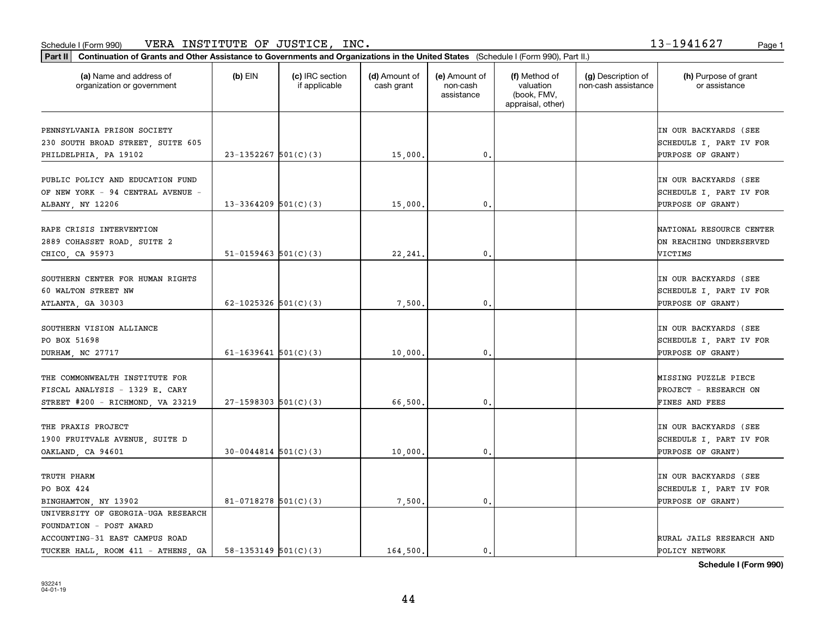| Part II   Continuation of Grants and Other Assistance to Governments and Organizations in the United States (Schedule I (Form 990), Part II.) |                            |                                  |                             |                                         |                                                                |                                           |                                                                              |
|-----------------------------------------------------------------------------------------------------------------------------------------------|----------------------------|----------------------------------|-----------------------------|-----------------------------------------|----------------------------------------------------------------|-------------------------------------------|------------------------------------------------------------------------------|
| (a) Name and address of<br>organization or government                                                                                         | $(b)$ EIN                  | (c) IRC section<br>if applicable | (d) Amount of<br>cash grant | (e) Amount of<br>non-cash<br>assistance | (f) Method of<br>valuation<br>(book, FMV,<br>appraisal, other) | (g) Description of<br>non-cash assistance | (h) Purpose of grant<br>or assistance                                        |
| PENNSYLVANIA PRISON SOCIETY<br>230 SOUTH BROAD STREET, SUITE 605<br>PHILDELPHIA, PA 19102                                                     | $23-1352267$ 501(C)(3)     |                                  | 15,000.                     | 0.                                      |                                                                |                                           | IN OUR BACKYARDS (SEE<br>SCHEDULE I, PART IV FOR<br>PURPOSE OF GRANT)        |
| PUBLIC POLICY AND EDUCATION FUND<br>OF NEW YORK - 94 CENTRAL AVENUE -<br>ALBANY, NY 12206                                                     | $13-3364209$ 501(C)(3)     |                                  | 15,000                      | 0.                                      |                                                                |                                           | IN OUR BACKYARDS (SEE<br>SCHEDULE I, PART IV FOR<br>PURPOSE OF GRANT)        |
| RAPE CRISIS INTERVENTION<br>2889 COHASSET ROAD, SUITE 2<br>CHICO, CA 95973                                                                    | $51-0159463$ $501(C)(3)$   |                                  | 22, 241.                    | 0.                                      |                                                                |                                           | NATIONAL RESOURCE CENTER<br>ON REACHING UNDERSERVED<br>VICTIMS               |
| SOUTHERN CENTER FOR HUMAN RIGHTS<br>60 WALTON STREET NW<br>ATLANTA, GA 30303                                                                  | 62-1025326 $501(C)(3)$     |                                  | 7,500                       | 0.                                      |                                                                |                                           | IN OUR BACKYARDS (SEE<br>SCHEDULE I, PART IV FOR<br><b>PURPOSE OF GRANT)</b> |
| SOUTHERN VISION ALLIANCE<br>PO BOX 51698<br>DURHAM, NC 27717                                                                                  | $61 - 1639641$ 501(C)(3)   |                                  | 10,000                      | 0.                                      |                                                                |                                           | IN OUR BACKYARDS (SEE<br>SCHEDULE I, PART IV FOR<br>PURPOSE OF GRANT)        |
| THE COMMONWEALTH INSTITUTE FOR<br>FISCAL ANALYSIS - 1329 E. CARY<br>STREET #200 - RICHMOND, VA 23219                                          | $27-1598303$ 501(C)(3)     |                                  | 66,500,                     | 0.                                      |                                                                |                                           | MISSING PUZZLE PIECE<br><b>PROJECT - RESEARCH ON</b><br>FINES AND FEES       |
| THE PRAXIS PROJECT<br>1900 FRUITVALE AVENUE, SUITE D<br>OAKLAND, CA 94601                                                                     | $30 - 0044814$ $501(C)(3)$ |                                  | 10,000                      | 0.                                      |                                                                |                                           | IN OUR BACKYARDS (SEE<br>SCHEDULE I, PART IV FOR<br>PURPOSE OF GRANT)        |
| TRUTH PHARM<br>PO BOX 424<br>BINGHAMTON, NY 13902                                                                                             | 81-0718278 $501(C)(3)$     |                                  | 7,500                       | 0.                                      |                                                                |                                           | IN OUR BACKYARDS (SEE<br>SCHEDULE I, PART IV FOR<br><b>PURPOSE OF GRANT)</b> |
| UNIVERSITY OF GEORGIA-UGA RESEARCH<br>FOUNDATION - POST AWARD<br>ACCOUNTING-31 EAST CAMPUS ROAD<br>TUCKER HALL ROOM 411 - ATHENS GA           | $58 - 1353149$ $501(C)(3)$ |                                  | 164,500.                    | 0.                                      |                                                                |                                           | RURAL JAILS RESEARCH AND<br>POLICY NETWORK                                   |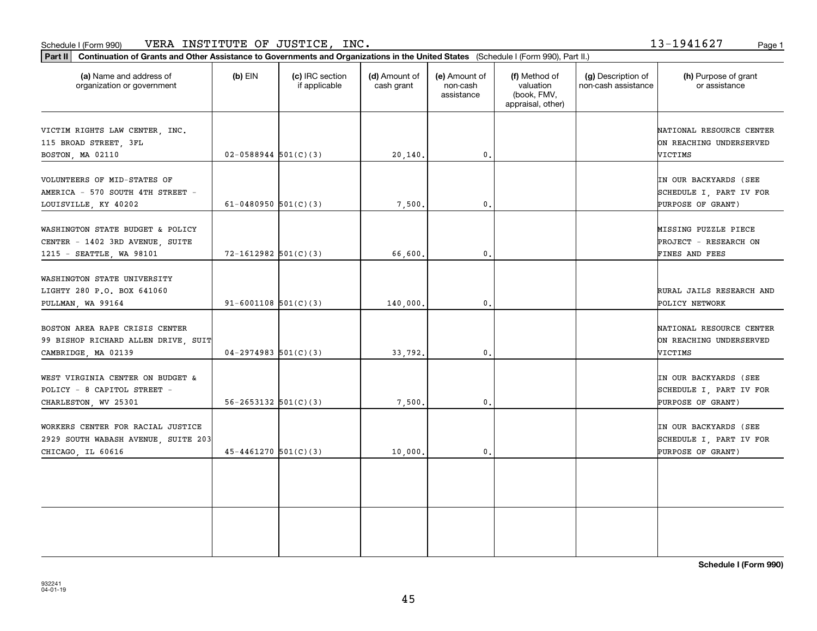#### Schedule I (Form 990) VERA INSTITUTE OF JUSTICE, INC. 1 3-1 9 41 6 2 7 Page 1

**Part II Continuation of Grants and Other Assistance to Governments and Organizations in the United States**  (Schedule I (Form 990), Part II.)

932241 04-01-19

| (a) Name and address of<br>organization or government                                           | $(b)$ EIN                  | (c) IRC section<br>if applicable | (d) Amount of<br>cash grant | (e) Amount of<br>non-cash<br>assistance | (f) Method of<br>valuation<br>(book, FMV,<br>appraisal, other) | (g) Description of<br>non-cash assistance | (h) Purpose of grant<br>or assistance                                 |
|-------------------------------------------------------------------------------------------------|----------------------------|----------------------------------|-----------------------------|-----------------------------------------|----------------------------------------------------------------|-------------------------------------------|-----------------------------------------------------------------------|
| VICTIM RIGHTS LAW CENTER, INC.<br>115 BROAD STREET, 3FL<br>BOSTON, MA 02110                     | $02 - 0588944$ $501(C)(3)$ |                                  | 20,140.                     | 0.                                      |                                                                |                                           | NATIONAL RESOURCE CENTER<br>ON REACHING UNDERSERVED<br>VICTIMS        |
| VOLUNTEERS OF MID-STATES OF<br>AMERICA - 570 SOUTH 4TH STREET -<br>LOUISVILLE, KY 40202         | 61-0480950 $501(C)(3)$     |                                  | 7,500.                      | 0.                                      |                                                                |                                           | IN OUR BACKYARDS (SEE<br>SCHEDULE I, PART IV FOR<br>PURPOSE OF GRANT) |
| WASHINGTON STATE BUDGET & POLICY<br>CENTER - 1402 3RD AVENUE, SUITE<br>1215 - SEATTLE, WA 98101 | $72 - 1612982$ 501(C)(3)   |                                  | 66,600.                     | 0.                                      |                                                                |                                           | MISSING PUZZLE PIECE<br>PROJECT - RESEARCH ON<br>FINES AND FEES       |
| WASHINGTON STATE UNIVERSITY<br>LIGHTY 280 P.O. BOX 641060<br>PULLMAN, WA 99164                  | $91 - 6001108$ $501(C)(3)$ |                                  | 140,000.                    | 0.                                      |                                                                |                                           | RURAL JAILS RESEARCH AND<br>POLICY NETWORK                            |
| BOSTON AREA RAPE CRISIS CENTER<br>99 BISHOP RICHARD ALLEN DRIVE, SUIT<br>CAMBRIDGE, MA 02139    | $04-2974983$ 501(C)(3)     |                                  | 33,792.                     | 0.                                      |                                                                |                                           | NATIONAL RESOURCE CENTER<br>ON REACHING UNDERSERVED<br>VICTIMS        |
| WEST VIRGINIA CENTER ON BUDGET &<br>POLICY - 8 CAPITOL STREET -<br>CHARLESTON, WV 25301         | $56 - 2653132$ $501(C)(3)$ |                                  | 7,500                       | 0.                                      |                                                                |                                           | IN OUR BACKYARDS (SEE<br>SCHEDULE I, PART IV FOR<br>PURPOSE OF GRANT) |
| WORKERS CENTER FOR RACIAL JUSTICE<br>2929 SOUTH WABASH AVENUE, SUITE 203<br>CHICAGO, IL 60616   | $45 - 4461270$ $501(C)(3)$ |                                  | 10,000.                     | 0.                                      |                                                                |                                           | IN OUR BACKYARDS (SEE<br>SCHEDULE I, PART IV FOR<br>PURPOSE OF GRANT) |
|                                                                                                 |                            |                                  |                             |                                         |                                                                |                                           |                                                                       |
|                                                                                                 |                            |                                  |                             |                                         |                                                                |                                           |                                                                       |

Т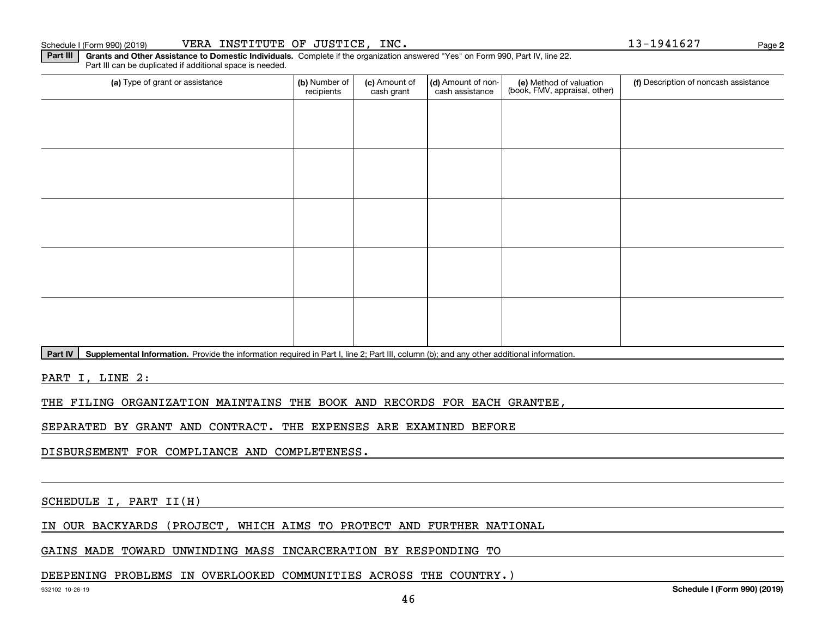**2**

**Part III** | Grants and Other Assistance to Domestic Individuals. Complete if the organization answered "Yes" on Form 990, Part IV, line 22. Part III can be duplicated if additional space is needed.

| (a) Type of grant or assistance | (b) Number of<br>recipients | (c) Amount of<br>cash grant | (d) Amount of non-<br>cash assistance | (e) Method of valuation<br>(book, FMV, appraisal, other) | (f) Description of noncash assistance |
|---------------------------------|-----------------------------|-----------------------------|---------------------------------------|----------------------------------------------------------|---------------------------------------|
|                                 |                             |                             |                                       |                                                          |                                       |
|                                 |                             |                             |                                       |                                                          |                                       |
|                                 |                             |                             |                                       |                                                          |                                       |
|                                 |                             |                             |                                       |                                                          |                                       |
|                                 |                             |                             |                                       |                                                          |                                       |
|                                 |                             |                             |                                       |                                                          |                                       |
|                                 |                             |                             |                                       |                                                          |                                       |
|                                 |                             |                             |                                       |                                                          |                                       |
|                                 |                             |                             |                                       |                                                          |                                       |
|                                 |                             |                             |                                       |                                                          |                                       |
| المسامسات<br>.                  |                             |                             |                                       |                                                          |                                       |

Part IV | Supplemental Information. Provide the information required in Part I, line 2; Part III, column (b); and any other additional information.

PART I, LINE 2:

THE FILING ORGANIZATION MAINTAINS THE BOOK AND RECORDS FOR EACH GRANTEE,

SEPARATED BY GRANT AND CONTRACT. THE EXPENSES ARE EXAMINED BEFORE

DISBURSEMENT FOR COMPLIANCE AND COMPLETENESS.

SCHEDULE I, PART II(H)

IN OUR BACKYARDS (PROJECT, WHICH AIMS TO PROTECT AND FURTHER NATIONAL

GAINS MADE TOWARD UNWINDING MASS INCARCERATION BY RESPONDING TO

#### DEEPENING PROBLEMS IN OVERLOOKED COMMUNITIES ACROSS THE COUNTRY.)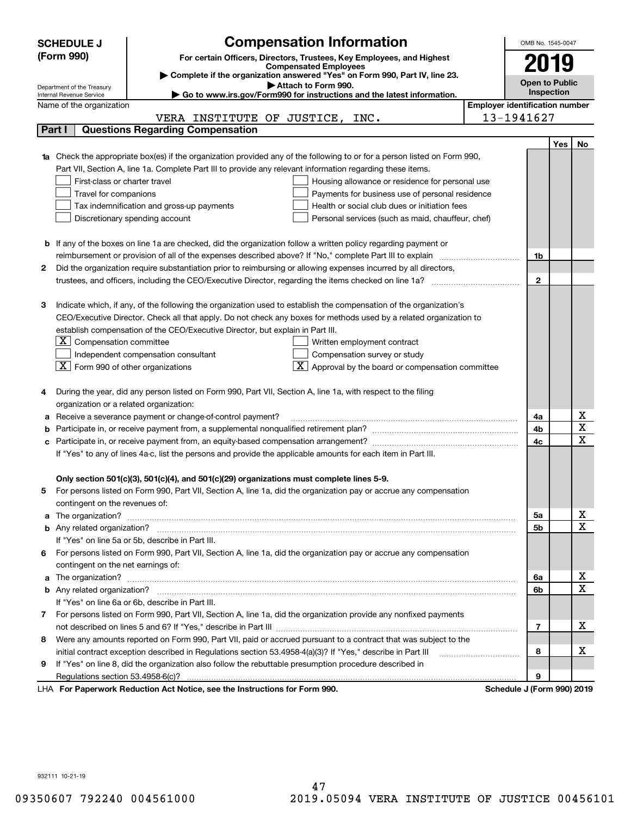|   | <b>SCHEDULE J</b>                                      | <b>Compensation Information</b>                                                                                                  | OMB No. 1545-0047                     |            |                         |
|---|--------------------------------------------------------|----------------------------------------------------------------------------------------------------------------------------------|---------------------------------------|------------|-------------------------|
|   | (Form 990)                                             | For certain Officers, Directors, Trustees, Key Employees, and Highest                                                            |                                       |            |                         |
|   |                                                        | <b>Compensated Employees</b>                                                                                                     | 2019                                  |            |                         |
|   |                                                        | Complete if the organization answered "Yes" on Form 990, Part IV, line 23.                                                       | <b>Open to Public</b>                 |            |                         |
|   | Department of the Treasury<br>Internal Revenue Service | Attach to Form 990.<br>Go to www.irs.gov/Form990 for instructions and the latest information.                                    |                                       | Inspection |                         |
|   | Name of the organization                               |                                                                                                                                  | <b>Employer identification number</b> |            |                         |
|   |                                                        | VERA INSTITUTE OF JUSTICE, INC.                                                                                                  | 13-1941627                            |            |                         |
|   | Part I                                                 | <b>Questions Regarding Compensation</b>                                                                                          |                                       |            |                         |
|   |                                                        |                                                                                                                                  |                                       | Yes        | No                      |
|   |                                                        | <b>1a</b> Check the appropriate box(es) if the organization provided any of the following to or for a person listed on Form 990, |                                       |            |                         |
|   |                                                        | Part VII, Section A, line 1a. Complete Part III to provide any relevant information regarding these items.                       |                                       |            |                         |
|   | First-class or charter travel                          | Housing allowance or residence for personal use                                                                                  |                                       |            |                         |
|   | Travel for companions                                  | Payments for business use of personal residence                                                                                  |                                       |            |                         |
|   |                                                        | Tax indemnification and gross-up payments<br>Health or social club dues or initiation fees                                       |                                       |            |                         |
|   |                                                        | Discretionary spending account<br>Personal services (such as maid, chauffeur, chef)                                              |                                       |            |                         |
|   |                                                        |                                                                                                                                  |                                       |            |                         |
|   |                                                        | <b>b</b> If any of the boxes on line 1a are checked, did the organization follow a written policy regarding payment or           |                                       |            |                         |
|   |                                                        |                                                                                                                                  | 1b                                    |            |                         |
| 2 |                                                        | Did the organization require substantiation prior to reimbursing or allowing expenses incurred by all directors,                 |                                       |            |                         |
|   |                                                        |                                                                                                                                  | $\overline{2}$                        |            |                         |
|   |                                                        |                                                                                                                                  |                                       |            |                         |
| З |                                                        | Indicate which, if any, of the following the organization used to establish the compensation of the organization's               |                                       |            |                         |
|   |                                                        | CEO/Executive Director. Check all that apply. Do not check any boxes for methods used by a related organization to               |                                       |            |                         |
|   |                                                        | establish compensation of the CEO/Executive Director, but explain in Part III.                                                   |                                       |            |                         |
|   | $X$ Compensation committee                             | Written employment contract                                                                                                      |                                       |            |                         |
|   |                                                        | Compensation survey or study<br>Independent compensation consultant                                                              |                                       |            |                         |
|   | $ \mathbf{X} $ Form 990 of other organizations         | Approval by the board or compensation committee                                                                                  |                                       |            |                         |
|   |                                                        | During the year, did any person listed on Form 990, Part VII, Section A, line 1a, with respect to the filing                     |                                       |            |                         |
|   | organization or a related organization:                |                                                                                                                                  |                                       |            |                         |
| а |                                                        | Receive a severance payment or change-of-control payment?                                                                        | 4a                                    |            | x                       |
|   |                                                        |                                                                                                                                  | 4b                                    |            | $\overline{\textbf{X}}$ |
|   |                                                        |                                                                                                                                  | 4c                                    |            | $\overline{\mathbf{x}}$ |
|   |                                                        | If "Yes" to any of lines 4a-c, list the persons and provide the applicable amounts for each item in Part III.                    |                                       |            |                         |
|   |                                                        |                                                                                                                                  |                                       |            |                         |
|   |                                                        | Only section 501(c)(3), 501(c)(4), and 501(c)(29) organizations must complete lines 5-9.                                         |                                       |            |                         |
| 5 |                                                        | For persons listed on Form 990, Part VII, Section A, line 1a, did the organization pay or accrue any compensation                |                                       |            |                         |
|   | contingent on the revenues of:                         |                                                                                                                                  |                                       |            |                         |
|   |                                                        |                                                                                                                                  | 5a                                    |            | x                       |
|   |                                                        |                                                                                                                                  | 5b                                    |            | $\overline{\mathbf{x}}$ |
|   |                                                        | If "Yes" on line 5a or 5b, describe in Part III.                                                                                 |                                       |            |                         |
|   |                                                        | 6 For persons listed on Form 990, Part VII, Section A, line 1a, did the organization pay or accrue any compensation              |                                       |            |                         |
|   | contingent on the net earnings of:                     |                                                                                                                                  |                                       |            |                         |
|   |                                                        |                                                                                                                                  | 6a                                    |            | х                       |
|   |                                                        |                                                                                                                                  | 6b                                    |            | $\overline{\mathbf{x}}$ |
|   |                                                        | If "Yes" on line 6a or 6b, describe in Part III.                                                                                 |                                       |            |                         |
|   |                                                        | 7 For persons listed on Form 990, Part VII, Section A, line 1a, did the organization provide any nonfixed payments               |                                       |            |                         |
|   |                                                        |                                                                                                                                  | 7                                     |            | х                       |
| 8 |                                                        | Were any amounts reported on Form 990, Part VII, paid or accrued pursuant to a contract that was subject to the                  |                                       |            |                         |
|   |                                                        |                                                                                                                                  | 8                                     |            | х                       |
| 9 |                                                        | If "Yes" on line 8, did the organization also follow the rebuttable presumption procedure described in                           |                                       |            |                         |
|   |                                                        | expects Reduction Act Notice, see the Instructions for Ferm 000                                                                  | 9<br>Pohodulo I (Form 000) 2010       |            |                         |

LHA For Paperwork Reduction Act Notice, see the Instructions for Form 990. Schedule J (Form 990) 2019

932111 10-21-19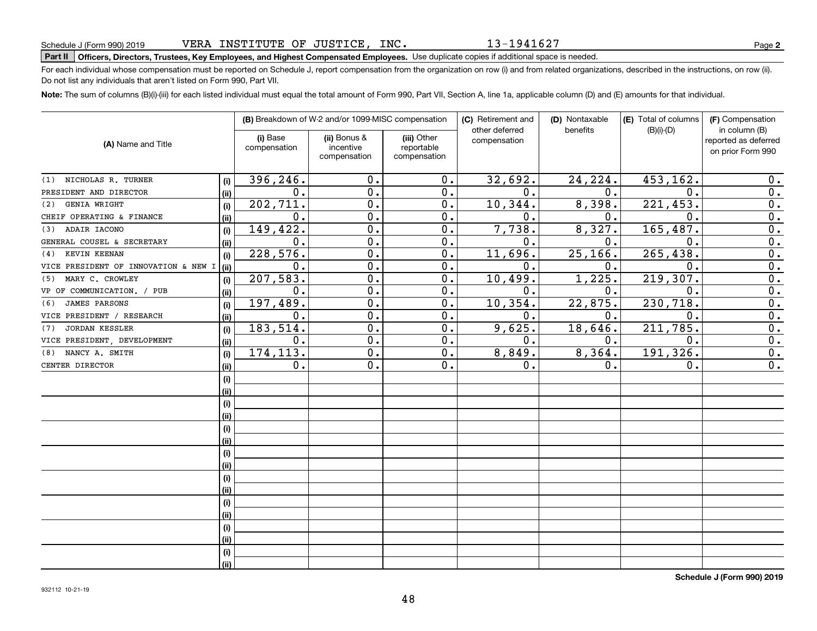# **Part II Officers, Directors, Trustees, Key Employees, and Highest Compensated Employees.**  Schedule J (Form 990) 2019 Page Use duplicate copies if additional space is needed.

For each individual whose compensation must be reported on Schedule J, report compensation from the organization on row (i) and from related organizations, described in the instructions, on row (ii). Do not list any individuals that aren't listed on Form 990, Part VII.

**Note:**  The sum of columns (B)(i)-(iii) for each listed individual must equal the total amount of Form 990, Part VII, Section A, line 1a, applicable column (D) and (E) amounts for that individual.

|                                      |      |                          | (B) Breakdown of W-2 and/or 1099-MISC compensation |                                           | (C) Retirement and<br>other deferred | (D) Nontaxable<br>benefits | (E) Total of columns<br>$(B)(i)-(D)$ | (F) Compensation<br>in column (B)         |
|--------------------------------------|------|--------------------------|----------------------------------------------------|-------------------------------------------|--------------------------------------|----------------------------|--------------------------------------|-------------------------------------------|
| (A) Name and Title                   |      | (i) Base<br>compensation | (ii) Bonus &<br>incentive<br>compensation          | (iii) Other<br>reportable<br>compensation | compensation                         |                            |                                      | reported as deferred<br>on prior Form 990 |
| NICHOLAS R. TURNER<br>(1)            | (i)  | 396, 246.                | 0.                                                 | 0.                                        | 32,692.                              | 24,224.                    | 453,162.                             | 0.                                        |
| PRESIDENT AND DIRECTOR               | (ii) | $\mathbf 0$ .            | $\overline{0}$ .                                   | 0.                                        | 0.                                   | 0.                         | $\mathbf 0$                          | $\overline{0}$ .                          |
| GENIA WRIGHT<br>(2)                  | (i)  | 202,711.                 | $\overline{0}$ .                                   | 0.                                        | 10, 344.                             | 8,398.                     | 221, 453.                            | $\overline{0}$ .                          |
| CHEIF OPERATING & FINANCE            | (ii) | $\mathbf 0$ .            | $\overline{0}$ .                                   | 0.                                        | $\mathbf 0$ .                        | $\mathbf 0$ .              | $\mathbf{0}$                         | $\overline{0}$ .                          |
| ADAIR IACONO<br>(3)                  | (i)  | 149,422.                 | $\mathbf 0$ .                                      | 0.                                        | 7,738.                               | 8,327.                     | 165, 487.                            | $\overline{0}$ .                          |
| GENERAL COUSEL & SECRETARY           | (ii) | $\mathbf 0$ .            | $\mathbf 0$ .                                      | 0.                                        | $\mathbf 0$ .                        | $\mathbf 0$ .              | $\mathbf{0}$                         | $\overline{0}$ .                          |
| KEVIN KEENAN<br>(4)                  | (i)  | 228,576.                 | $\mathbf 0$ .                                      | 0.                                        | 11,696.                              | 25, 166.                   | 265, 438.                            | $\overline{0}$ .                          |
| VICE PRESIDENT OF INNOVATION & NEW I | (ii) | 0.                       | $\mathbf 0$ .                                      | 0.                                        | $\mathbf 0$ .                        | 0.                         | $\mathbf 0$                          | $\overline{0}$ .                          |
| MARY C. CROWLEY<br>(5)               | (i)  | 207,583.                 | $\mathbf 0$ .                                      | 0.                                        | 10,499.                              | 1,225.                     | 219,307.                             | $\overline{0}$ .                          |
| VP OF COMMUNICATION. / PUB           | (ii) | 0.                       | $\mathbf 0$ .                                      | 0.                                        | 0.                                   | 0.                         | $\mathbf 0$                          | $\overline{0}$ .                          |
| <b>JAMES PARSONS</b><br>(6)          | (i)  | 197,489.                 | $\mathbf 0$ .                                      | 0.                                        | 10, 354.                             | 22,875.                    | 230, 718.                            | $\overline{0}$ .                          |
| VICE PRESIDENT / RESEARCH            | (ii) | 0.                       | $\mathbf 0$ .                                      | 0.                                        | 0.                                   | 0.                         | $\mathbf 0$                          | $\overline{0}$ .                          |
| <b>JORDAN KESSLER</b><br>(7)         | (i)  | 183,514.                 | $\mathbf 0$ .                                      | 0.                                        | 9,625.                               | 18,646.                    | 211,785.                             | $\overline{0}$ .                          |
| VICE PRESIDENT, DEVELOPMENT          | (ii) | 0.                       | 0.                                                 | 0.                                        | 0.                                   | 0.                         | $\mathbf 0$ .                        | $\overline{0}$ .                          |
| NANCY A. SMITH<br>(8)                | (i)  | 174, 113.                | $\overline{0}$ .                                   | $\overline{0}$ .                          | 8,849.                               | 8,364.                     | 191, 326.                            | $\overline{0}$ .                          |
| CENTER DIRECTOR                      | (ii) | 0.                       | $\overline{0}$ .                                   | $\overline{0}$ .                          | $\overline{0}$ .                     | 0.                         | $\mathbf 0$ .                        | $\overline{0}$ .                          |
|                                      | (i)  |                          |                                                    |                                           |                                      |                            |                                      |                                           |
|                                      | (ii) |                          |                                                    |                                           |                                      |                            |                                      |                                           |
|                                      | (i)  |                          |                                                    |                                           |                                      |                            |                                      |                                           |
|                                      | (ii) |                          |                                                    |                                           |                                      |                            |                                      |                                           |
|                                      | (i)  |                          |                                                    |                                           |                                      |                            |                                      |                                           |
|                                      | (ii) |                          |                                                    |                                           |                                      |                            |                                      |                                           |
|                                      | (i)  |                          |                                                    |                                           |                                      |                            |                                      |                                           |
|                                      | (i)  |                          |                                                    |                                           |                                      |                            |                                      |                                           |
|                                      | (i)  |                          |                                                    |                                           |                                      |                            |                                      |                                           |
|                                      | (i)  |                          |                                                    |                                           |                                      |                            |                                      |                                           |
|                                      | (i)  |                          |                                                    |                                           |                                      |                            |                                      |                                           |
|                                      | (i)  |                          |                                                    |                                           |                                      |                            |                                      |                                           |
|                                      | (i)  |                          |                                                    |                                           |                                      |                            |                                      |                                           |
|                                      | (i)  |                          |                                                    |                                           |                                      |                            |                                      |                                           |
|                                      | (i)  |                          |                                                    |                                           |                                      |                            |                                      |                                           |
|                                      | (ii) |                          |                                                    |                                           |                                      |                            |                                      |                                           |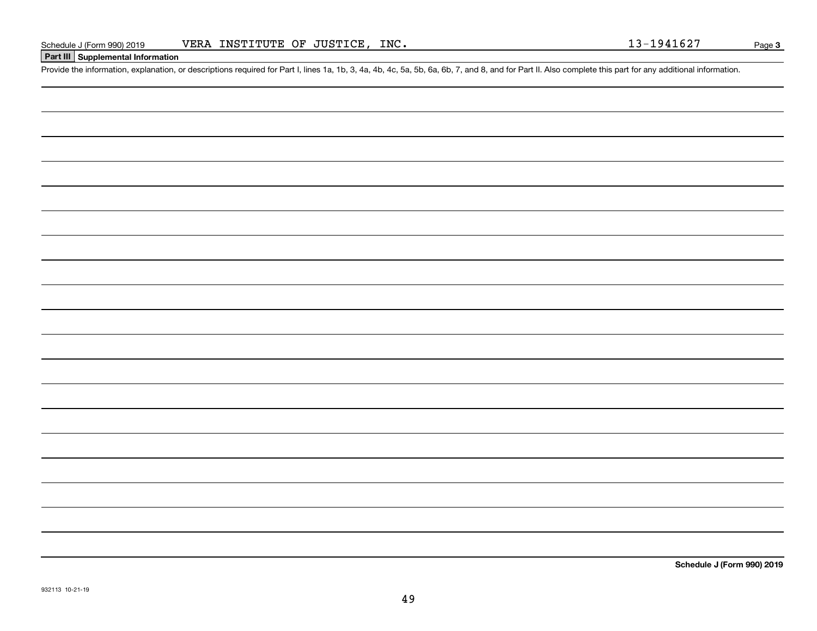#### **Part III Supplemental Information**

Schedule J (Form 990) 2019 VERA INSTITUTE OF JUSTICE, INC.<br>Part III Supplemental Information<br>Provide the information, explanation, or descriptions required for Part I, lines 1a, 1b, 3, 4a, 4b, 4c, 5a, 5b, 6a, 6b, 7, and 8,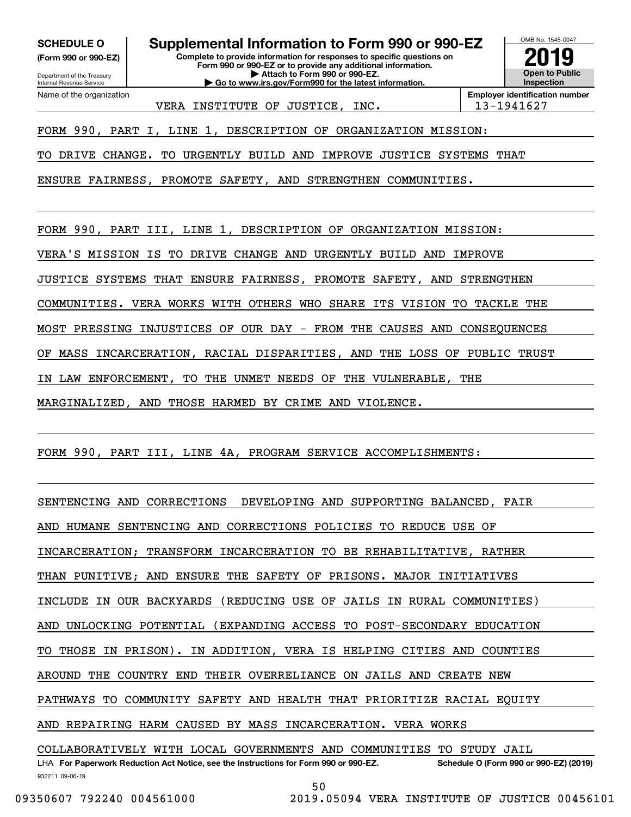**(Form 990 or 990-EZ)**

Department of the Treasury Internal Revenue Service Name of the organization

**SCHEDULE O Supplemental Information to Form 990 or 990-EZ**

**Complete to provide information for responses to specific questions on Form 990 or 990-EZ or to provide any additional information. | Attach to Form 990 or 990-EZ. | Go to www.irs.gov/Form990 for the latest information.**

**Open to Public Inspection2019**

OMB No. 1545-0047

VERA INSTITUTE OF JUSTICE, INC.  $\vert$  13-1941627

**Employer identification number**

FORM 990, PART I, LINE 1, DESCRIPTION OF ORGANIZATION MISSION:

TO DRIVE CHANGE. TO URGENTLY BUILD AND IMPROVE JUSTICE SYSTEMS THAT

ENSURE FAIRNESS, PROMOTE SAFETY, AND STRENGTHEN COMMUNITIES.

FORM 990, PART III, LINE 1, DESCRIPTION OF ORGANIZATION MISSION:

VERA'S MISSION IS TO DRIVE CHANGE AND URGENTLY BUILD AND IMPROVE

JUSTICE SYSTEMS THAT ENSURE FAIRNESS, PROMOTE SAFETY, AND STRENGTHEN

COMMUNITIES. VERA WORKS WITH OTHERS WHO SHARE ITS VISION TO TACKLE THE

MOST PRESSING INJUSTICES OF OUR DAY - FROM THE CAUSES AND CONSEQUENCES

OF MASS INCARCERATION, RACIAL DISPARITIES, AND THE LOSS OF PUBLIC TRUST

IN LAW ENFORCEMENT, TO THE UNMET NEEDS OF THE VULNERABLE, THE

MARGINALIZED, AND THOSE HARMED BY CRIME AND VIOLENCE.

FORM 990, PART III, LINE 4A, PROGRAM SERVICE ACCOMPLISHMENTS:

SENTENCING AND CORRECTIONS DEVELOPING AND SUPPORTING BALANCED, FAIR

AND HUMANE SENTENCING AND CORRECTIONS POLICIES TO REDUCE USE OF

INCARCERATION; TRANSFORM INCARCERATION TO BE REHABILITATIVE, RATHER

THAN PUNITIVE; AND ENSURE THE SAFETY OF PRISONS. MAJOR INITIATIVES

INCLUDE IN OUR BACKYARDS (REDUCING USE OF JAILS IN RURAL COMMUNITIES)

AND UNLOCKING POTENTIAL (EXPANDING ACCESS TO POST-SECONDARY EDUCATION

TO THOSE IN PRISON). IN ADDITION, VERA IS HELPING CITIES AND COUNTIES

AROUND THE COUNTRY END THEIR OVERRELIANCE ON JAILS AND CREATE NEW

PATHWAYS TO COMMUNITY SAFETY AND HEALTH THAT PRIORITIZE RACIAL EQUITY

AND REPAIRING HARM CAUSED BY MASS INCARCERATION. VERA WORKS

COLLABORATIVELY WITH LOCAL GOVERNMENTS AND COMMUNITIES TO STUDY JAIL

932211 09-06-19 LHA For Paperwork Reduction Act Notice, see the Instructions for Form 990 or 990-EZ. Schedule O (Form 990 or 990-EZ) (2019) 50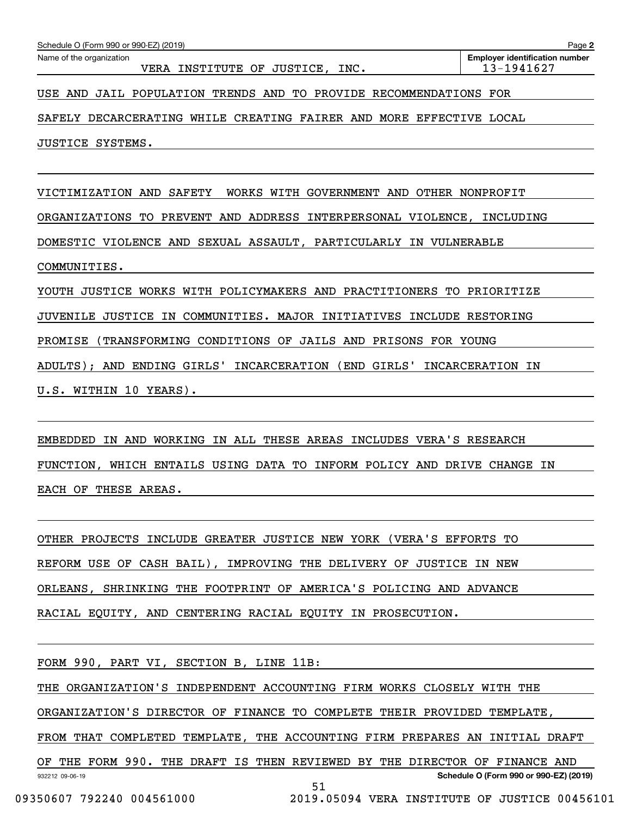| USE AND JAIL POPULATION TRENDS AND TO PROVIDE RECOMMENDATIONS FOR       |
|-------------------------------------------------------------------------|
| SAFELY DECARCERATING WHILE CREATING FAIRER AND MORE EFFECTIVE LOCAL     |
| JUSTICE SYSTEMS.                                                        |
|                                                                         |
| VICTIMIZATION AND SAFETY WORKS WITH GOVERNMENT AND OTHER NONPROFIT      |
| ORGANIZATIONS TO PREVENT AND ADDRESS INTERPERSONAL VIOLENCE, INCLUDING  |
| DOMESTIC VIOLENCE AND SEXUAL ASSAULT, PARTICULARLY IN VULNERABLE        |
| COMMUNITIES.                                                            |
| YOUTH JUSTICE WORKS WITH POLICYMAKERS AND PRACTITIONERS TO PRIORITIZE   |
| JUVENILE JUSTICE IN COMMUNITIES. MAJOR INITIATIVES INCLUDE RESTORING    |
| PROMISE (TRANSFORMING CONDITIONS OF JAILS AND PRISONS FOR YOUNG         |
| ADULTS); AND ENDING GIRLS' INCARCERATION (END GIRLS' INCARCERATION IN   |
| U.S. WITHIN 10 YEARS).                                                  |
|                                                                         |
| EMBEDDED IN AND WORKING IN ALL THESE AREAS INCLUDES VERA'S RESEARCH     |
| FUNCTION, WHICH ENTAILS USING DATA TO INFORM POLICY AND DRIVE CHANGE IN |
| EACH OF THESE AREAS.                                                    |
|                                                                         |
| OTHER PROJECTS INCLUDE GREATER JUSTICE NEW YORK (VERA'S EFFORTS TO      |
| REFORM USE OF CASH BAIL), IMPROVING THE DELIVERY OF JUSTICE IN NEW      |
| ORLEANS, SHRINKING THE FOOTPRINT OF AMERICA'S POLICING AND ADVANCE      |

Echedule O (Form 990 or 990-EZ) (2019)<br>Name of the organization **number** Name of the organization **page Name of the organization number** 

VERA INSTITUTE OF JUSTICE, INC. | 13-1941627

FORM 990, PART VI, SECTION B, LINE 11B:

RACIAL EQUITY, AND CENTERING RACIAL EQUITY IN PROSECUTION.

THE ORGANIZATION'S INDEPENDENT ACCOUNTING FIRM WORKS CLOSELY WITH THE

ORGANIZATION'S DIRECTOR OF FINANCE TO COMPLETE THEIR PROVIDED TEMPLATE,

FROM THAT COMPLETED TEMPLATE, THE ACCOUNTING FIRM PREPARES AN INITIAL DRAFT

932212 09-06-19 **Schedule O (Form 990 or 990-EZ) (2019)** OF THE FORM 990. THE DRAFT IS THEN REVIEWED BY THE DIRECTOR OF FINANCE AND 51

09350607 792240 004561000 2019.05094 VERA INSTITUTE OF JUSTICE 00456101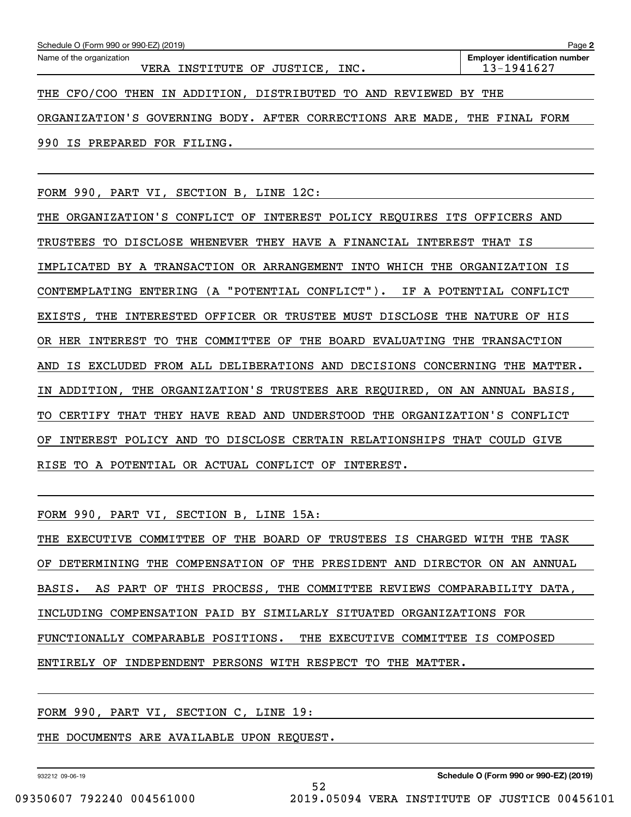| Schedule O (Form 990 or 990-EZ) (2019)                                    | Page 2                                              |
|---------------------------------------------------------------------------|-----------------------------------------------------|
| Name of the organization                                                  | <b>Employer identification number</b><br>13-1941627 |
| VERA INSTITUTE OF JUSTICE, INC.                                           |                                                     |
| THE CFO/COO THEN IN ADDITION, DISTRIBUTED TO AND REVIEWED BY THE          |                                                     |
| ORGANIZATION'S GOVERNING BODY. AFTER CORRECTIONS ARE MADE, THE FINAL FORM |                                                     |
| 990 IS PREPARED FOR FILING.                                               |                                                     |
|                                                                           |                                                     |

FORM 990, PART VI, SECTION B, LINE 12C:

THE ORGANIZATION'S CONFLICT OF INTEREST POLICY REQUIRES ITS OFFICERS AND TRUSTEES TO DISCLOSE WHENEVER THEY HAVE A FINANCIAL INTEREST THAT IS IMPLICATED BY A TRANSACTION OR ARRANGEMENT INTO WHICH THE ORGANIZATION IS CONTEMPLATING ENTERING (A "POTENTIAL CONFLICT"). IF A POTENTIAL CONFLICT EXISTS, THE INTERESTED OFFICER OR TRUSTEE MUST DISCLOSE THE NATURE OF HIS OR HER INTEREST TO THE COMMITTEE OF THE BOARD EVALUATING THE TRANSACTION AND IS EXCLUDED FROM ALL DELIBERATIONS AND DECISIONS CONCERNING THE MATTER. IN ADDITION, THE ORGANIZATION'S TRUSTEES ARE REQUIRED, ON AN ANNUAL BASIS, TO CERTIFY THAT THEY HAVE READ AND UNDERSTOOD THE ORGANIZATION'S CONFLICT OF INTEREST POLICY AND TO DISCLOSE CERTAIN RELATIONSHIPS THAT COULD GIVE RISE TO A POTENTIAL OR ACTUAL CONFLICT OF INTEREST.

FORM 990, PART VI, SECTION B, LINE 15A:

THE EXECUTIVE COMMITTEE OF THE BOARD OF TRUSTEES IS CHARGED WITH THE TASK OF DETERMINING THE COMPENSATION OF THE PRESIDENT AND DIRECTOR ON AN ANNUAL BASIS. AS PART OF THIS PROCESS, THE COMMITTEE REVIEWS COMPARABILITY DATA, INCLUDING COMPENSATION PAID BY SIMILARLY SITUATED ORGANIZATIONS FOR FUNCTIONALLY COMPARABLE POSITIONS. THE EXECUTIVE COMMITTEE IS COMPOSED ENTIRELY OF INDEPENDENT PERSONS WITH RESPECT TO THE MATTER.

52

#### FORM 990, PART VI, SECTION C, LINE 19:

#### THE DOCUMENTS ARE AVAILABLE UPON REQUEST.

932212 09-06-19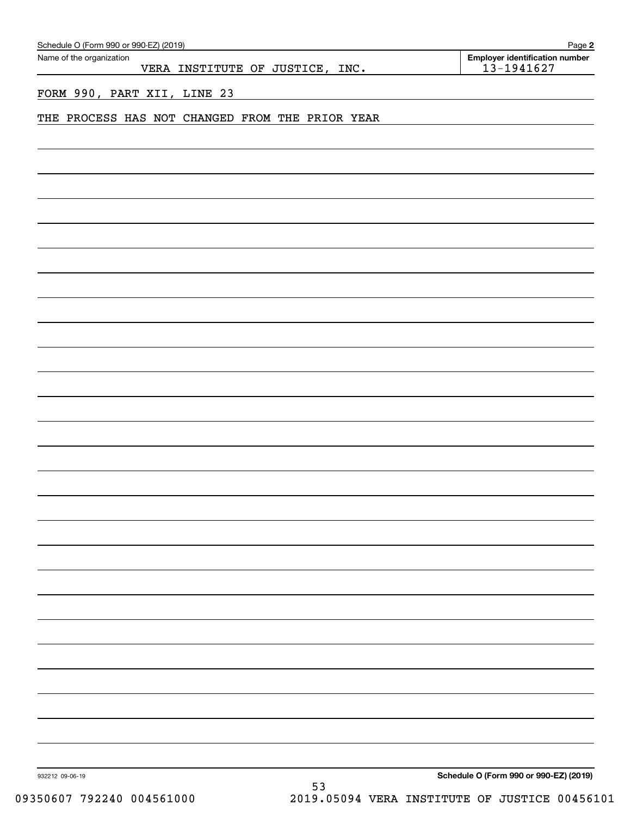| Schedule O (Form 990 or 990-EZ) (2019)                      | Page 2                                           |
|-------------------------------------------------------------|--------------------------------------------------|
| Name of the organization<br>VERA INSTITUTE OF JUSTICE, INC. | Employer identification number<br>$13 - 1941627$ |
|                                                             |                                                  |
| FORM 990, PART XII, LINE 23                                 |                                                  |
| THE PROCESS HAS NOT CHANGED FROM THE PRIOR YEAR             |                                                  |
|                                                             |                                                  |
|                                                             |                                                  |
|                                                             |                                                  |
|                                                             |                                                  |
|                                                             |                                                  |
|                                                             |                                                  |
|                                                             |                                                  |
|                                                             |                                                  |
|                                                             |                                                  |
|                                                             |                                                  |
|                                                             |                                                  |
|                                                             |                                                  |
|                                                             |                                                  |
|                                                             |                                                  |
|                                                             |                                                  |
|                                                             |                                                  |
|                                                             |                                                  |
|                                                             |                                                  |
|                                                             |                                                  |
|                                                             |                                                  |
|                                                             |                                                  |
|                                                             |                                                  |
|                                                             |                                                  |
|                                                             |                                                  |
|                                                             |                                                  |
|                                                             |                                                  |
|                                                             |                                                  |
|                                                             |                                                  |
|                                                             |                                                  |
|                                                             |                                                  |
|                                                             |                                                  |
|                                                             |                                                  |
|                                                             |                                                  |
|                                                             |                                                  |
|                                                             |                                                  |
|                                                             |                                                  |
|                                                             |                                                  |
|                                                             |                                                  |
| 932212 09-06-19                                             | Schedule O (Form 990 or 990-EZ) (2019)           |
| 53                                                          |                                                  |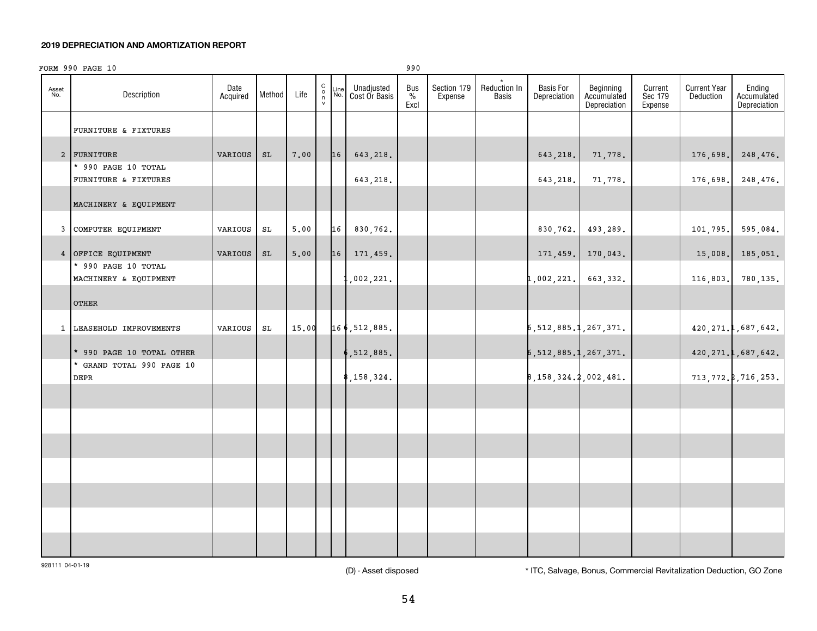#### **2019 DEPRECIATION AND AMORTIZATION REPORT**

|              | FORM 990 PAGE 10                                       |                  |               |       |                                                  |             |                             | 990                 |                        |                              |                                  |                                          |                               |                                  |                                       |
|--------------|--------------------------------------------------------|------------------|---------------|-------|--------------------------------------------------|-------------|-----------------------------|---------------------|------------------------|------------------------------|----------------------------------|------------------------------------------|-------------------------------|----------------------------------|---------------------------------------|
| Asset<br>No. | Description                                            | Date<br>Acquired | Method        | Life  | $\begin{array}{c} C \\ 0 \\ \eta \\ \end{array}$ | Line<br>No. | Unadjusted<br>Cost Or Basis | Bus<br>$\%$<br>Excl | Section 179<br>Expense | Reduction In<br><b>Basis</b> | <b>Basis For</b><br>Depreciation | Beginning<br>Accumulated<br>Depreciation | Current<br>Sec 179<br>Expense | <b>Current Year</b><br>Deduction | Ending<br>Accumulated<br>Depreciation |
|              | FURNITURE & FIXTURES                                   |                  |               |       |                                                  |             |                             |                     |                        |                              |                                  |                                          |                               |                                  |                                       |
|              | 2 FURNITURE                                            | VARIOUS          | $\mathtt{SL}$ | 7.00  |                                                  | 16          | 643,218.                    |                     |                        |                              | 643,218.                         | 71,778.                                  |                               | 176,698.                         | 248,476.                              |
|              | * 990 PAGE 10 TOTAL<br>FURNITURE & FIXTURES            |                  |               |       |                                                  |             | 643,218.                    |                     |                        |                              | 643,218.                         | 71,778.                                  |                               | 176,698.                         | 248,476.                              |
|              | MACHINERY & EQUIPMENT                                  |                  |               |       |                                                  |             |                             |                     |                        |                              |                                  |                                          |                               |                                  |                                       |
|              | 3 COMPUTER EQUIPMENT                                   | VARIOUS          | SL            | 5,00  |                                                  | 16          | 830,762.                    |                     |                        |                              | 830,762.                         | 493,289.                                 |                               | 101,795.                         | 595,084.                              |
|              | 4 OFFICE EQUIPMENT<br>* 990 PAGE 10 TOTAL              | VARIOUS          | SL            | 5.00  |                                                  | 16          | 171,459.                    |                     |                        |                              | 171, 459.                        | 170,043.                                 |                               | 15,008.                          | 185,051.                              |
|              | MACHINERY & EQUIPMENT                                  |                  |               |       |                                                  |             | ,002,221.                   |                     |                        |                              | 1,002,221.                       | 663,332.                                 |                               | 116,803.                         | 780,135.                              |
|              | <b>OTHER</b>                                           |                  |               |       |                                                  |             |                             |                     |                        |                              |                                  |                                          |                               |                                  |                                       |
|              | 1 LEASEHOLD IMPROVEMENTS                               | VARIOUS          | SL            | 15.00 |                                                  |             | 166, 512, 885.              |                     |                        |                              | 5, 512, 885.1, 267, 371.         |                                          |                               |                                  | 420, 271.1, 687, 642.                 |
|              | * 990 PAGE 10 TOTAL OTHER<br>* GRAND TOTAL 990 PAGE 10 |                  |               |       |                                                  |             | ,512,885.                   |                     |                        |                              | 5, 512, 885.1, 267, 371.         |                                          |                               |                                  | 420, 271.1, 687, 642.                 |
|              | <b>DEPR</b>                                            |                  |               |       |                                                  |             | , 158, 324.                 |                     |                        |                              | 8, 158, 324. 2, 002, 481.        |                                          |                               |                                  | 713, 772.2, 716, 253.                 |
|              |                                                        |                  |               |       |                                                  |             |                             |                     |                        |                              |                                  |                                          |                               |                                  |                                       |
|              |                                                        |                  |               |       |                                                  |             |                             |                     |                        |                              |                                  |                                          |                               |                                  |                                       |
|              |                                                        |                  |               |       |                                                  |             |                             |                     |                        |                              |                                  |                                          |                               |                                  |                                       |
|              |                                                        |                  |               |       |                                                  |             |                             |                     |                        |                              |                                  |                                          |                               |                                  |                                       |
|              |                                                        |                  |               |       |                                                  |             |                             |                     |                        |                              |                                  |                                          |                               |                                  |                                       |
|              |                                                        |                  |               |       |                                                  |             |                             |                     |                        |                              |                                  |                                          |                               |                                  |                                       |
|              |                                                        |                  |               |       |                                                  |             |                             |                     |                        |                              |                                  |                                          |                               |                                  |                                       |

928111 04-01-19

(D) - Asset disposed \* ITC, Salvage, Bonus, Commercial Revitalization Deduction, GO Zone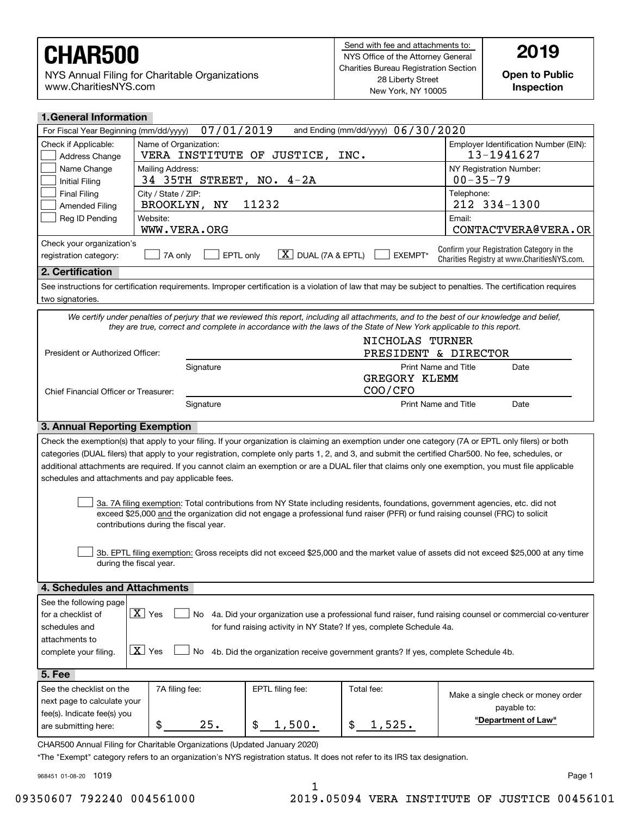NYS Annual Filing for Charitable Organizations www.CharitiesNYS.com

**Open to Public Inspection**

| <b>1. General Information</b>                                                                            |                                                                  |                                                                       |                                     |                                                                                                                                                           |                                                                                                                                                                                                                                                                                                                                                                                                                                                                 |  |  |  |  |
|----------------------------------------------------------------------------------------------------------|------------------------------------------------------------------|-----------------------------------------------------------------------|-------------------------------------|-----------------------------------------------------------------------------------------------------------------------------------------------------------|-----------------------------------------------------------------------------------------------------------------------------------------------------------------------------------------------------------------------------------------------------------------------------------------------------------------------------------------------------------------------------------------------------------------------------------------------------------------|--|--|--|--|
| For Fiscal Year Beginning (mm/dd/yyyy)                                                                   |                                                                  | 07/01/2019                                                            |                                     | and Ending (mm/dd/yyyy) 06/30/2020                                                                                                                        |                                                                                                                                                                                                                                                                                                                                                                                                                                                                 |  |  |  |  |
| Check if Applicable:<br>Address Change                                                                   | Name of Organization:                                            |                                                                       | VERA INSTITUTE OF JUSTICE,          | INC.                                                                                                                                                      | Employer Identification Number (EIN):<br>13-1941627                                                                                                                                                                                                                                                                                                                                                                                                             |  |  |  |  |
| Name Change<br><b>Initial Filing</b>                                                                     | Mailing Address:                                                 | NY Registration Number:<br>$00 - 35 - 79$<br>34 35TH STREET, NO. 4-2A |                                     |                                                                                                                                                           |                                                                                                                                                                                                                                                                                                                                                                                                                                                                 |  |  |  |  |
| <b>Final Filing</b><br>Amended Filing                                                                    | City / State / ZIP:<br>BROOKLYN, NY                              |                                                                       | 11232                               |                                                                                                                                                           | Telephone:<br>212 334-1300                                                                                                                                                                                                                                                                                                                                                                                                                                      |  |  |  |  |
| Reg ID Pending                                                                                           | Website:<br>WWW.VERA.ORG                                         |                                                                       |                                     |                                                                                                                                                           | Email:<br>CONTACTVERA@VERA.OR                                                                                                                                                                                                                                                                                                                                                                                                                                   |  |  |  |  |
| Check your organization's<br>registration category:                                                      | 7A only                                                          | EPTL only                                                             | $\boxed{\text{X}}$ DUAL (7A & EPTL) | EXEMPT*                                                                                                                                                   | Confirm your Registration Category in the<br>Charities Registry at www.CharitiesNYS.com.                                                                                                                                                                                                                                                                                                                                                                        |  |  |  |  |
| 2. Certification                                                                                         |                                                                  |                                                                       |                                     |                                                                                                                                                           |                                                                                                                                                                                                                                                                                                                                                                                                                                                                 |  |  |  |  |
| two signatories.                                                                                         |                                                                  |                                                                       |                                     |                                                                                                                                                           | See instructions for certification requirements. Improper certification is a violation of law that may be subject to penalties. The certification requires                                                                                                                                                                                                                                                                                                      |  |  |  |  |
|                                                                                                          |                                                                  |                                                                       |                                     | they are true, correct and complete in accordance with the laws of the State of New York applicable to this report.                                       | We certify under penalties of perjury that we reviewed this report, including all attachments, and to the best of our knowledge and belief,                                                                                                                                                                                                                                                                                                                     |  |  |  |  |
|                                                                                                          |                                                                  |                                                                       |                                     | NICHOLAS TURNER                                                                                                                                           |                                                                                                                                                                                                                                                                                                                                                                                                                                                                 |  |  |  |  |
| President or Authorized Officer:                                                                         |                                                                  |                                                                       |                                     | PRESIDENT & DIRECTOR                                                                                                                                      |                                                                                                                                                                                                                                                                                                                                                                                                                                                                 |  |  |  |  |
|                                                                                                          |                                                                  | Signature                                                             |                                     | <b>Print Name and Title</b><br>GREGORY KLEMM                                                                                                              | Date                                                                                                                                                                                                                                                                                                                                                                                                                                                            |  |  |  |  |
| Chief Financial Officer or Treasurer:                                                                    |                                                                  |                                                                       |                                     | COO/CFO                                                                                                                                                   |                                                                                                                                                                                                                                                                                                                                                                                                                                                                 |  |  |  |  |
|                                                                                                          |                                                                  | Signature                                                             |                                     | <b>Print Name and Title</b>                                                                                                                               | Date                                                                                                                                                                                                                                                                                                                                                                                                                                                            |  |  |  |  |
| 3. Annual Reporting Exemption                                                                            |                                                                  |                                                                       |                                     |                                                                                                                                                           |                                                                                                                                                                                                                                                                                                                                                                                                                                                                 |  |  |  |  |
| schedules and attachments and pay applicable fees.                                                       |                                                                  |                                                                       |                                     |                                                                                                                                                           | Check the exemption(s) that apply to your filing. If your organization is claiming an exemption under one category (7A or EPTL only filers) or both<br>categories (DUAL filers) that apply to your registration, complete only parts 1, 2, and 3, and submit the certified Char500. No fee, schedules, or<br>additional attachments are required. If you cannot claim an exemption or are a DUAL filer that claims only one exemption, you must file applicable |  |  |  |  |
|                                                                                                          | contributions during the fiscal year.                            |                                                                       |                                     |                                                                                                                                                           | 3a. 7A filing exemption: Total contributions from NY State including residents, foundations, government agencies, etc. did not<br>exceed \$25,000 and the organization did not engage a professional fund raiser (PFR) or fund raising counsel (FRC) to solicit                                                                                                                                                                                                 |  |  |  |  |
|                                                                                                          | during the fiscal year.                                          |                                                                       |                                     |                                                                                                                                                           | 3b. EPTL filing exemption: Gross receipts did not exceed \$25,000 and the market value of assets did not exceed \$25,000 at any time                                                                                                                                                                                                                                                                                                                            |  |  |  |  |
| 4. Schedules and Attachments                                                                             |                                                                  |                                                                       |                                     |                                                                                                                                                           |                                                                                                                                                                                                                                                                                                                                                                                                                                                                 |  |  |  |  |
| See the following page<br>for a checklist of<br>schedules and<br>attachments to<br>complete your filing. | $\boxed{\mathbf{X}}$ Yes<br>No<br>$\boxed{\mathbf{X}}$ Yes<br>No |                                                                       |                                     | for fund raising activity in NY State? If yes, complete Schedule 4a.<br>4b. Did the organization receive government grants? If yes, complete Schedule 4b. | 4a. Did your organization use a professional fund raiser, fund raising counsel or commercial co-venturer                                                                                                                                                                                                                                                                                                                                                        |  |  |  |  |
| 5. Fee                                                                                                   |                                                                  |                                                                       |                                     |                                                                                                                                                           |                                                                                                                                                                                                                                                                                                                                                                                                                                                                 |  |  |  |  |
| See the checklist on the                                                                                 | 7A filing fee:                                                   |                                                                       | EPTL filing fee:                    | Total fee:                                                                                                                                                |                                                                                                                                                                                                                                                                                                                                                                                                                                                                 |  |  |  |  |
| next page to calculate your<br>fee(s). Indicate fee(s) you                                               |                                                                  |                                                                       |                                     |                                                                                                                                                           | Make a single check or money order<br>payable to:                                                                                                                                                                                                                                                                                                                                                                                                               |  |  |  |  |
| are submitting here:                                                                                     | \$                                                               | 25.                                                                   | $\mathsf{\$}$<br>1,500.             | \$<br>1,525.                                                                                                                                              | "Department of Law"                                                                                                                                                                                                                                                                                                                                                                                                                                             |  |  |  |  |

CHAR500 Annual Filing for Charitable Organizations (Updated January 2020)

\*The "Exempt" category refers to an organization's NYS registration status. It does not refer to its IRS tax designation.

968451 01-08-20 1019

Page 1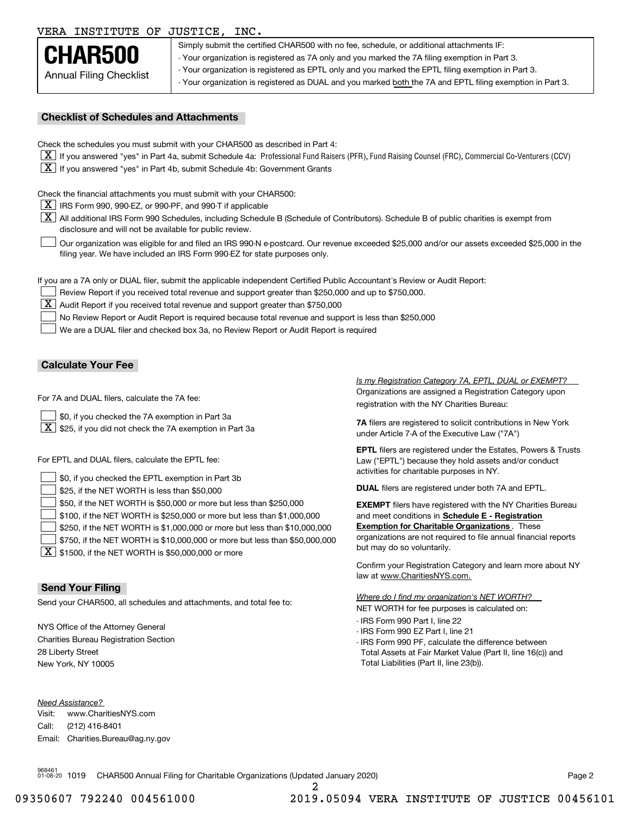## VERA INSTITUTE OF JUSTICE, INC.



Simply submit the certified CHAR500 with no fee, schedule, or additional attachments IF: - Your organization is registered as 7A only and you marked the 7A filing exemption in Part 3. - Your organization is registered as EPTL only and you marked the EPTL filing exemption in Part 3. - Your organization is registered as DUAL and you marked both the 7A and EPTL filing exemption in Part 3.

#### **Checklist of Schedules and Attachments**

Check the schedules you must submit with your CHAR500 as described in Part 4:

- $\boxed{\textbf{X}}$  If you answered "yes" in Part 4a, submit Schedule 4a: Professional Fund Raisers (PFR), Fund Raising Counsel (FRC), Commercial Co-Venturers (CCV)
- $\boxed{\textbf{X}}$  If you answered "yes" in Part 4b, submit Schedule 4b: Government Grants

Check the financial attachments you must submit with your CHAR500:

 $\boxed{\textbf{X}}$  IRS Form 990, 990-EZ, or 990-PF, and 990-T if applicable

 $\boxed{\textbf{X}}$  All additional IRS Form 990 Schedules, including Schedule B (Schedule of Contributors). Schedule B of public charities is exempt from disclosure and will not be available for public review.

Our organization was eligible for and filed an IRS 990-N e-postcard. Our revenue exceeded \$25,000 and/or our assets exceeded \$25,000 in the filing year. We have included an IRS Form 990-EZ for state purposes only.  $\mathcal{L}^{\text{max}}$ 

If you are a 7A only or DUAL filer, submit the applicable independent Certified Public Accountant's Review or Audit Report:

Review Report if you received total revenue and support greater than \$250,000 and up to \$750,000.

 $\boxed{\textbf{X}}$  Audit Report if you received total revenue and support greater than \$750,000

No Review Report or Audit Report is required because total revenue and support is less than \$250,000  $\mathcal{L}^{\text{max}}$ 

We are a DUAL filer and checked box 3a, no Review Report or Audit Report is required  $\mathcal{L}^{\text{max}}$ 

#### **Calculate Your Fee**

For 7A and DUAL filers, calculate the 7A fee:

\$0, if you checked the 7A exemption in Part 3a  $\mathcal{L}^{\text{max}}$ 

 $\boxed{\textbf{X}}$  \$25, if you did not check the 7A exemption in Part 3a

For EPTL and DUAL filers, calculate the EPTL fee:

| $\Box$ \$0, if you checked the EPTL exemption in Part 3b                                                | activities for charitable purposes in NY.                         |
|---------------------------------------------------------------------------------------------------------|-------------------------------------------------------------------|
| $\rfloor$ \$25, if the NET WORTH is less than \$50,000<br>$\mathbf{L}$                                  | <b>DUAL</b> filers are registered under both 7A and EPTL.         |
| $\rfloor$ \$50, if the NET WORTH is \$50,000 or more but less than \$250,000                            | <b>EXEMPT</b> filers have registered with the NY Charities Bureau |
| $\mathbf{L}$<br>$\frac{1}{2}$ \$100, if the NET WORTH is \$250,000 or more but less than \$1,000,000    | and meet conditions in Schedule E - Registration                  |
| $\frac{1}{2}$ \$250, if the NET WORTH is \$1,000,000 or more but less than \$10,000,000<br>$\mathbf{L}$ | <b>Exemption for Charitable Organizations.</b> These              |
| $\rfloor$ \$750, if the NET WORTH is \$10,000,000 or more but less than \$50,000,000                    | organizations are not required to file annual financial reports   |
| $\frac{1}{2}$                                                                                           | but may do so voluntarily.                                        |

 $\boxed{\textbf{X}}$  \$1500, if the NET WORTH is \$50,000,000 or more

#### **Send Your Filing**

Send your CHAR500, all schedules and attachments, and total fee to:

NYS Office of the Attorney General Charities Bureau Registration Section 28 Liberty Street New York, NY 10005

*Need Assistance?*

Visit:Call:Email:Charities.Bureau@ag.ny.gov www.CharitiesNYS.com(212) 416-8401

Organizations are assigned a Registration Category upon registration with the NY Charities Bureau: *Is my Registration Category 7A, EPTL, DUAL or EXEMPT?* 

**7A** filers are registered to solicit contributions in New York under Article 7-A of the Executive Law ("7A")

**EPTL** filers are registered under the Estates, Powers & Trusts Law ("EPTL") because they hold assets and/or conduct activities for charitable purposes in NY.

Confirm your Registration Category and learn more about NY law at www.CharitiesNYS.com.

NET WORTH for fee purposes is calculated on: *Where do I find my organization's NET WORTH?*

- IRS Form 990 Part I, line 22
- IRS Form 990 EZ Part I, line 21
- IRS Form 990 PF, calculate the difference between Total Assets at Fair Market Value (Part II, line 16(c)) and Total Liabilities (Part II, line 23(b)).

968461 01-08-20 1019 CHAR500 Annual Filing for Charitable Organizations (Updated January 2020) Page 2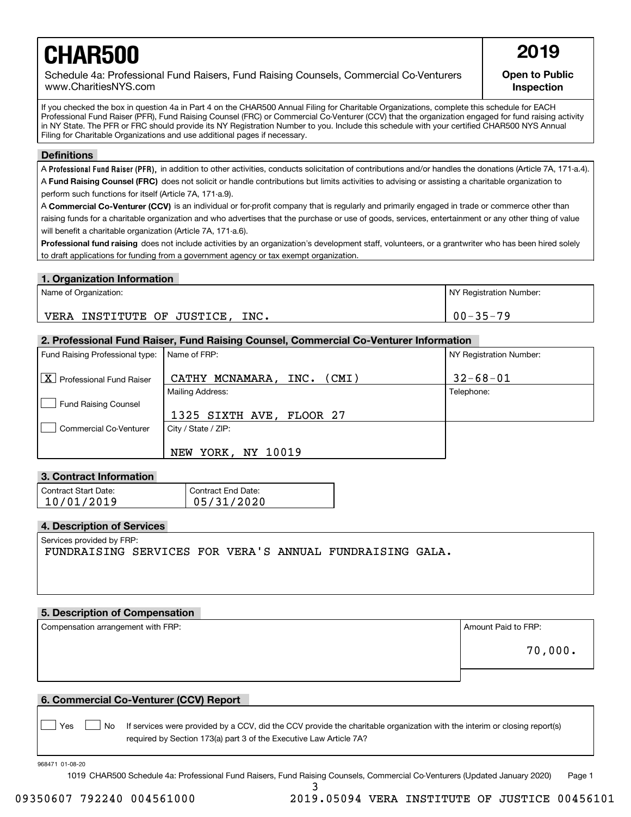# **CHAR500** 2019

Schedule 4a: Professional Fund Raisers, Fund Raising Counsels, Commercial Co-Venturers www.CharitiesNYS.com

**Open to Public Inspection**

If you checked the box in question 4a in Part 4 on the CHAR500 Annual Filing for Charitable Organizations, complete this schedule for EACH Professional Fund Raiser (PFR), Fund Raising Counsel (FRC) or Commercial Co-Venturer (CCV) that the organization engaged for fund raising activity in NY State. The PFR or FRC should provide its NY Registration Number to you. Include this schedule with your certified CHAR500 NYS Annual Filing for Charitable Organizations and use additional pages if necessary.

#### **Definitions**

A Professional Fund Raiser (PFR), in addition to other activities, conducts solicitation of contributions and/or handles the donations (Article 7A, 171-a.4). A **Fund Raising Counsel (FRC)** does not solicit or handle contributions but limits activities to advising or assisting a charitable organization to perform such functions for itself (Article 7A, 171-a.9).

A **Commercial Co-Venturer (CCV)** is an individual or for-profit company that is regularly and primarily engaged in trade or commerce other than raising funds for a charitable organization and who advertises that the purchase or use of goods, services, entertainment or any other thing of value will benefit a charitable organization (Article 7A, 171-a.6).

**Professional fund raising** does not include activities by an organization's development staff, volunteers, or a grantwriter who has been hired solely to draft applications for funding from a government agency or tax exempt organization.

#### **1. Organization Information**

| Name of Organization:                 | NY Registration Number: |
|---------------------------------------|-------------------------|
| INC.<br>VERA<br>INSTITUTE OF JUSTICE, | $00 - 35 - 79$          |

#### **2. Professional Fund Raiser, Fund Raising Counsel, Commercial Co-Venturer Information**

| Fund Raising Professional type:             | Name of FRP:                         | NY Registration Number: |
|---------------------------------------------|--------------------------------------|-------------------------|
| $\boxed{\text{X}}$ Professional Fund Raiser | MCNAMARA ,<br>(CMI)<br>INC.<br>CATHY | $32 - 68 - 01$          |
|                                             | <b>Mailing Address:</b>              | Telephone:              |
| <b>Fund Raising Counsel</b>                 |                                      |                         |
|                                             | 1325 SIXTH AVE, FLOOR 27             |                         |
| <b>Commercial Co-Venturer</b>               | City / State / ZIP:                  |                         |
|                                             | NY 10019<br>YORK,<br><b>NEW</b>      |                         |

#### **3. Contract Information**

| Contract Start Date: | Contract End Date: |
|----------------------|--------------------|
| 10/01/2019           | 05/31/2020         |

#### **4. Description of Services**

Services provided by FRP:

FUNDRAISING SERVICES FOR VERA'S ANNUAL FUNDRAISING GALA.

#### **5. Description of Compensation**

Compensation arrangement with FRP:  $\vert$  Amount Paid to FRP:

70,000.

#### **6. Commercial Co-Venturer (CCV) Report**

Yes **D**  $\Box$  No If services were provided by a CCV, did the CCV provide the charitable organization with the interim or closing report(s) required by Section 173(a) part 3 of the Executive Law Article 7A?

968471 01-08-20

 $\mathcal{L}^{\text{max}}$ 

1019 CHAR500 Schedule 4a: Professional Fund Raisers, Fund Raising Counsels, Commercial Co-Venturers (Updated January 2020) Page 1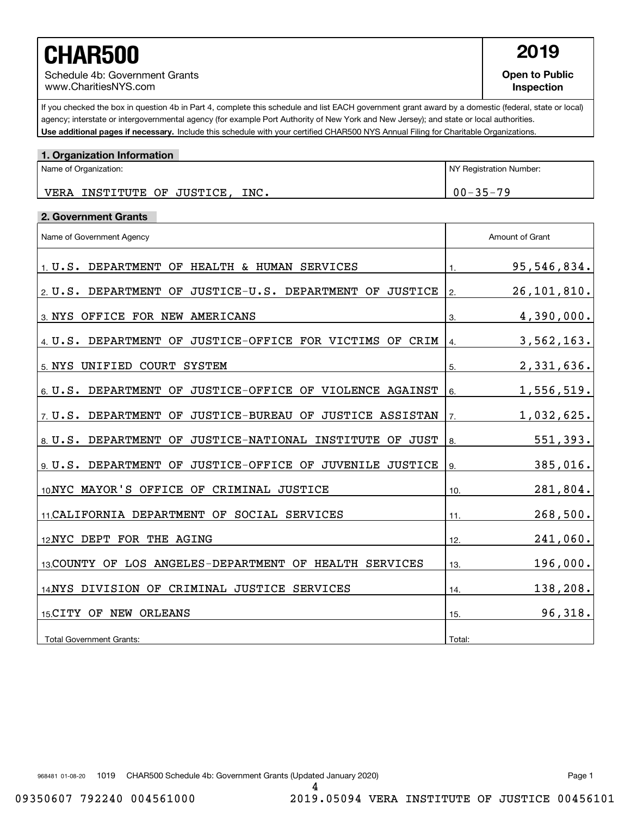# **CHAR500** 2019

Schedule 4b: Government Grants www.CharitiesNYS.com

**Open to Public Inspection**

Use additional pages if necessary. Include this schedule with your certified CHAR500 NYS Annual Filing for Charitable Organizations. If you checked the box in question 4b in Part 4, complete this schedule and list EACH government grant award by a domestic (federal, state or local) agency; interstate or intergovernmental agency (for example Port Authority of New York and New Jersey); and state or local authorities.

| 1. Organization Information     |                         |
|---------------------------------|-------------------------|
| Name of Organization:           | NY Registration Number: |
| VERA INSTITUTE OF JUSTICE, INC. | $00 - 35 - 79$          |

#### **2. Government Grants**

| Name of Government Agency                                                   | Amount of Grant    |  |
|-----------------------------------------------------------------------------|--------------------|--|
| $1. U.S.$ DEPARTMENT OF HEALTH & HUMAN SERVICES                             | 95,546,834.<br>1.  |  |
| 2. U.S. DEPARTMENT<br>JUSTICE-U.S. DEPARTMENT<br><b>JUSTICE</b><br>OF<br>OF | 26,101,810.<br>2.  |  |
| 3. NYS OFFICE FOR NEW AMERICANS                                             | 4,390,000.<br>3.   |  |
| 4 U.S. DEPARTMENT OF JUSTICE-OFFICE FOR VICTIMS OF CRIM                     | 3,562,163.<br>4.   |  |
| UNIFIED COURT SYSTEM<br>5. NYS                                              | 2,331,636.<br>5.   |  |
| JUSTICE-OFFICE OF VIOLENCE AGAINST<br>6. U.S. DEPARTMENT<br>OF              | 1,556,519.<br>6.   |  |
| 7 U.S. DEPARTMENT<br>JUSTICE-BUREAU OF JUSTICE ASSISTAN<br>OF               | 1,032,625.<br>7.   |  |
| 8. U.S. DEPARTMENT<br>JUSTICE-NATIONAL INSTITUTE<br>OF<br>OF JUST           | 551,393.<br>8.     |  |
| 9. U.S. DEPARTMENT<br>JUSTICE-OFFICE OF JUVENILE JUSTICE<br>OF              | 385,016.<br>9.     |  |
| 10 NYC MAYOR'S OFFICE OF<br>CRIMINAL JUSTICE                                | 281,804.<br>10.    |  |
| 11. CALIFORNIA DEPARTMENT OF SOCIAL SERVICES                                | 268,500.<br>11.    |  |
| 12 NYC DEPT FOR THE AGING                                                   | $241,060$ .<br>12. |  |
| 13 COUNTY OF LOS ANGELES-DEPARTMENT OF HEALTH SERVICES                      | 196,000.<br>13.    |  |
| 14NYS DIVISION OF CRIMINAL JUSTICE SERVICES                                 | 138,208.<br>14.    |  |
| 15 CITY OF NEW ORLEANS                                                      | 96,318.<br>15.     |  |
| <b>Total Government Grants:</b>                                             | Total:             |  |

968481 01-08-20 1019 CHAR500 Schedule 4b: Government Grants (Updated January 2020) Page 1